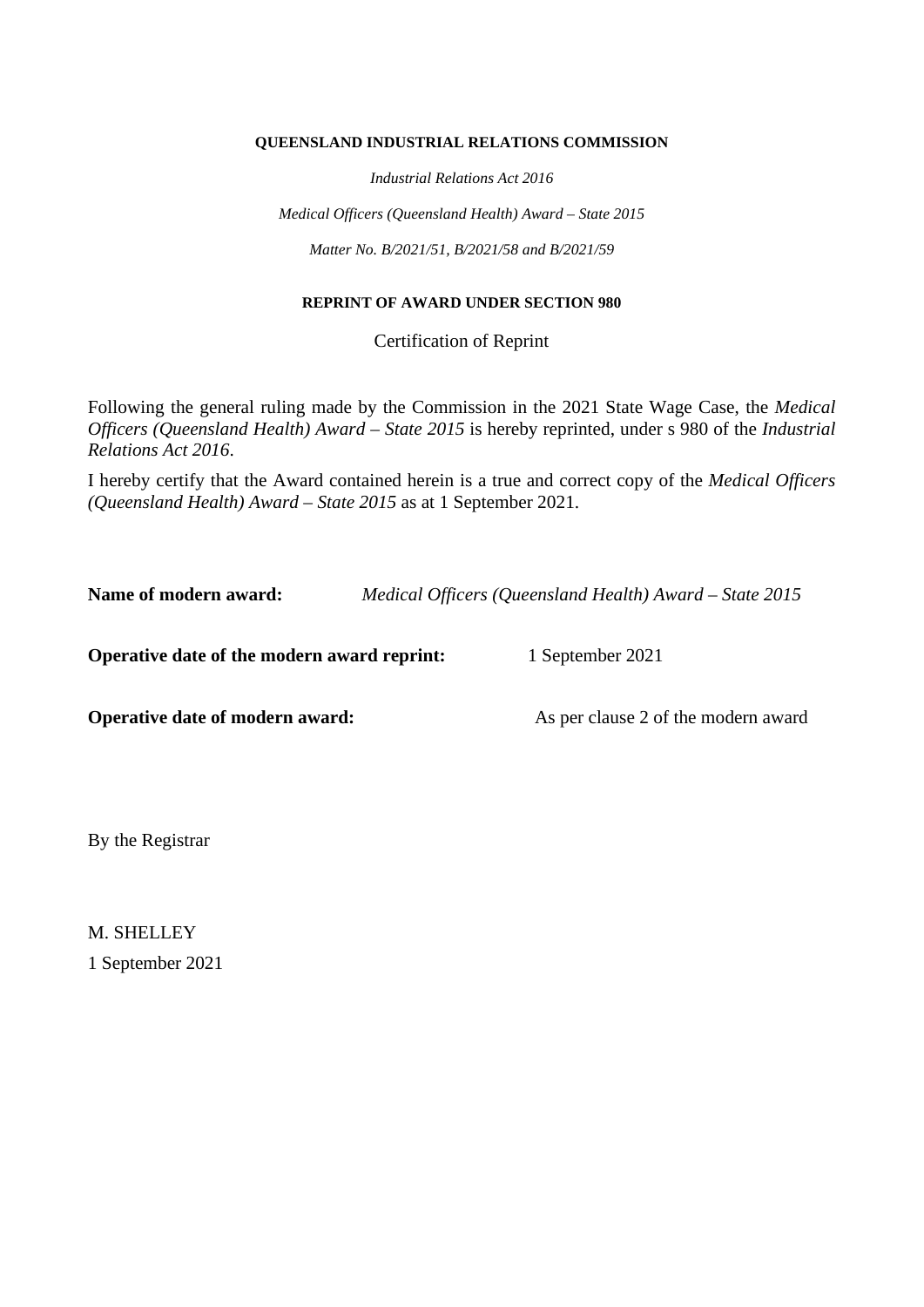#### **QUEENSLAND INDUSTRIAL RELATIONS COMMISSION**

*Industrial Relations Act 2016*

*Medical Officers (Queensland Health) Award – State 2015 Matter No. B/2021/51, B/2021/58 and B/2021/59*

#### **REPRINT OF AWARD UNDER SECTION 980**

Certification of Reprint

Following the general ruling made by the Commission in the 2021 State Wage Case, the *Medical Officers (Queensland Health) Award – State 2015* is hereby reprinted, under s 980 of the *Industrial Relations Act 2016*.

I hereby certify that the Award contained herein is a true and correct copy of the *Medical Officers (Queensland Health) Award – State 2015* as at 1 September 2021.

**Name of modern award:** *Medical Officers (Queensland Health) Award – State 2015*

**Operative date of the modern award reprint:** 1 September 2021

**Operative date of modern award:** As per clause 2 of the modern award

By the Registrar

M. SHELLEY 1 September 2021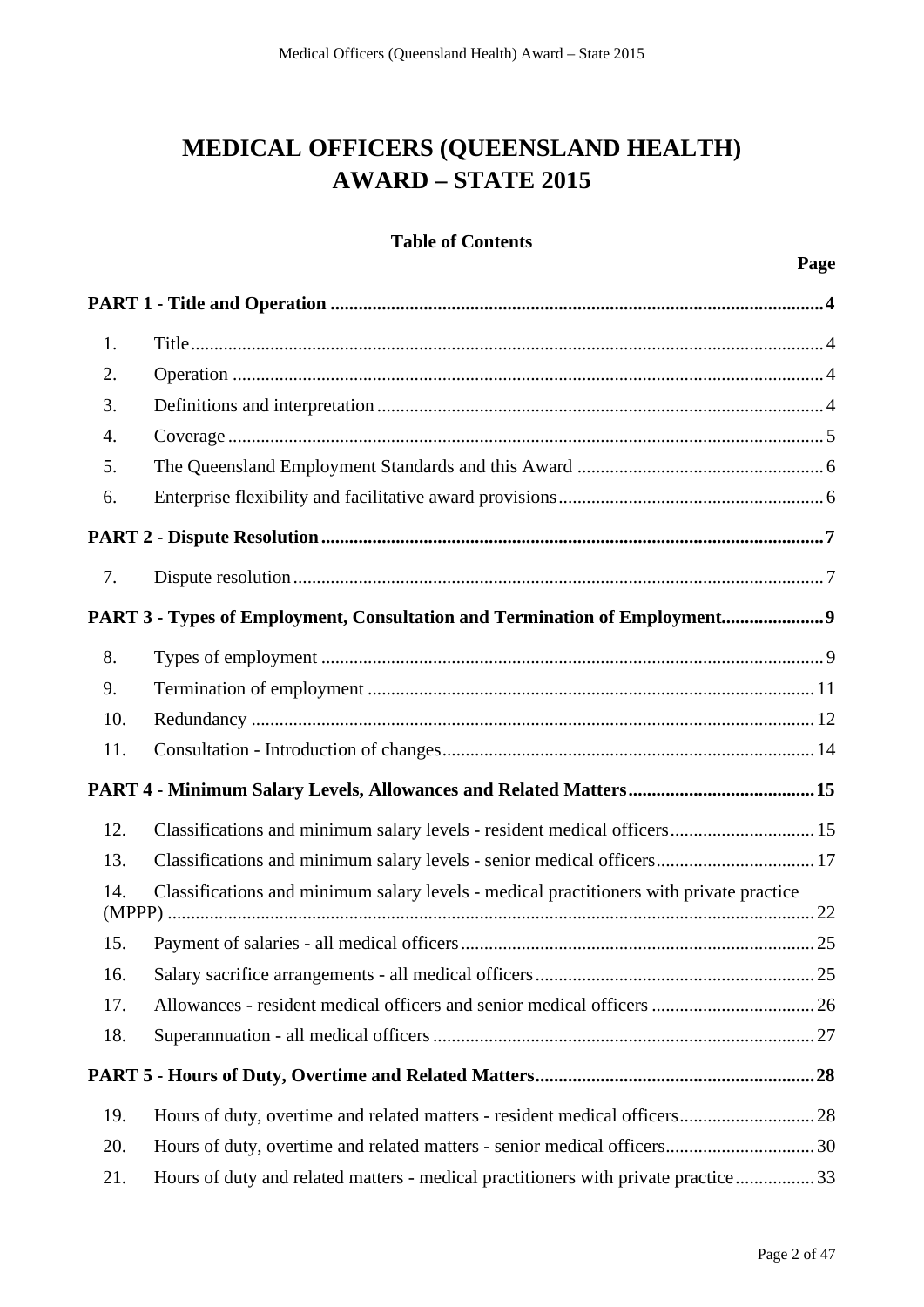# **MEDICAL OFFICERS (QUEENSLAND HEALTH) AWARD – STATE 2015**

# **Table of Contents**

| 1.  |                                                                                         |
|-----|-----------------------------------------------------------------------------------------|
| 2.  |                                                                                         |
| 3.  |                                                                                         |
| 4.  |                                                                                         |
| 5.  |                                                                                         |
| 6.  |                                                                                         |
|     |                                                                                         |
| 7.  |                                                                                         |
|     | PART 3 - Types of Employment, Consultation and Termination of Employment9               |
| 8.  |                                                                                         |
| 9.  |                                                                                         |
| 10. |                                                                                         |
| 11. |                                                                                         |
|     |                                                                                         |
| 12. | Classifications and minimum salary levels - resident medical officers 15                |
| 13. | Classifications and minimum salary levels - senior medical officers 17                  |
| 14. | Classifications and minimum salary levels - medical practitioners with private practice |
| 15. |                                                                                         |
| 16. |                                                                                         |
| 17. |                                                                                         |
| 18. |                                                                                         |
|     |                                                                                         |
| 19. |                                                                                         |
| 20. | Hours of duty, overtime and related matters - senior medical officers30                 |
| 21. | Hours of duty and related matters - medical practitioners with private practice33       |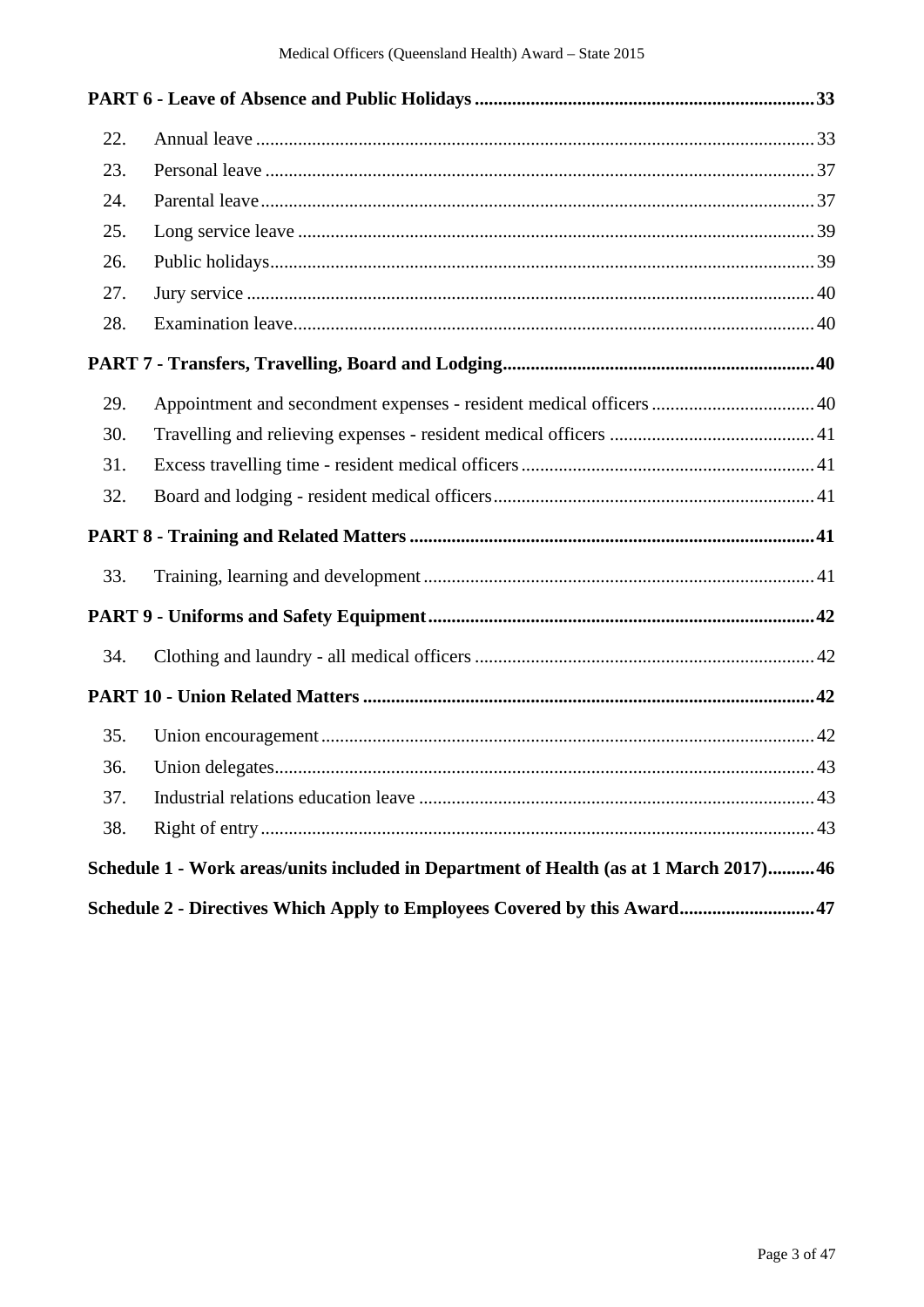| 22. |                                                                                        |  |
|-----|----------------------------------------------------------------------------------------|--|
| 23. |                                                                                        |  |
| 24. |                                                                                        |  |
| 25. |                                                                                        |  |
| 26. |                                                                                        |  |
| 27. |                                                                                        |  |
| 28. |                                                                                        |  |
|     |                                                                                        |  |
| 29. | Appointment and secondment expenses - resident medical officers  40                    |  |
| 30. |                                                                                        |  |
| 31. |                                                                                        |  |
| 32. |                                                                                        |  |
|     |                                                                                        |  |
| 33. |                                                                                        |  |
|     |                                                                                        |  |
| 34. |                                                                                        |  |
|     |                                                                                        |  |
| 35. |                                                                                        |  |
| 36. |                                                                                        |  |
| 37. |                                                                                        |  |
| 38. |                                                                                        |  |
|     | Schedule 1 - Work areas/units included in Department of Health (as at 1 March 2017) 46 |  |
|     | Schedule 2 - Directives Which Apply to Employees Covered by this Award47               |  |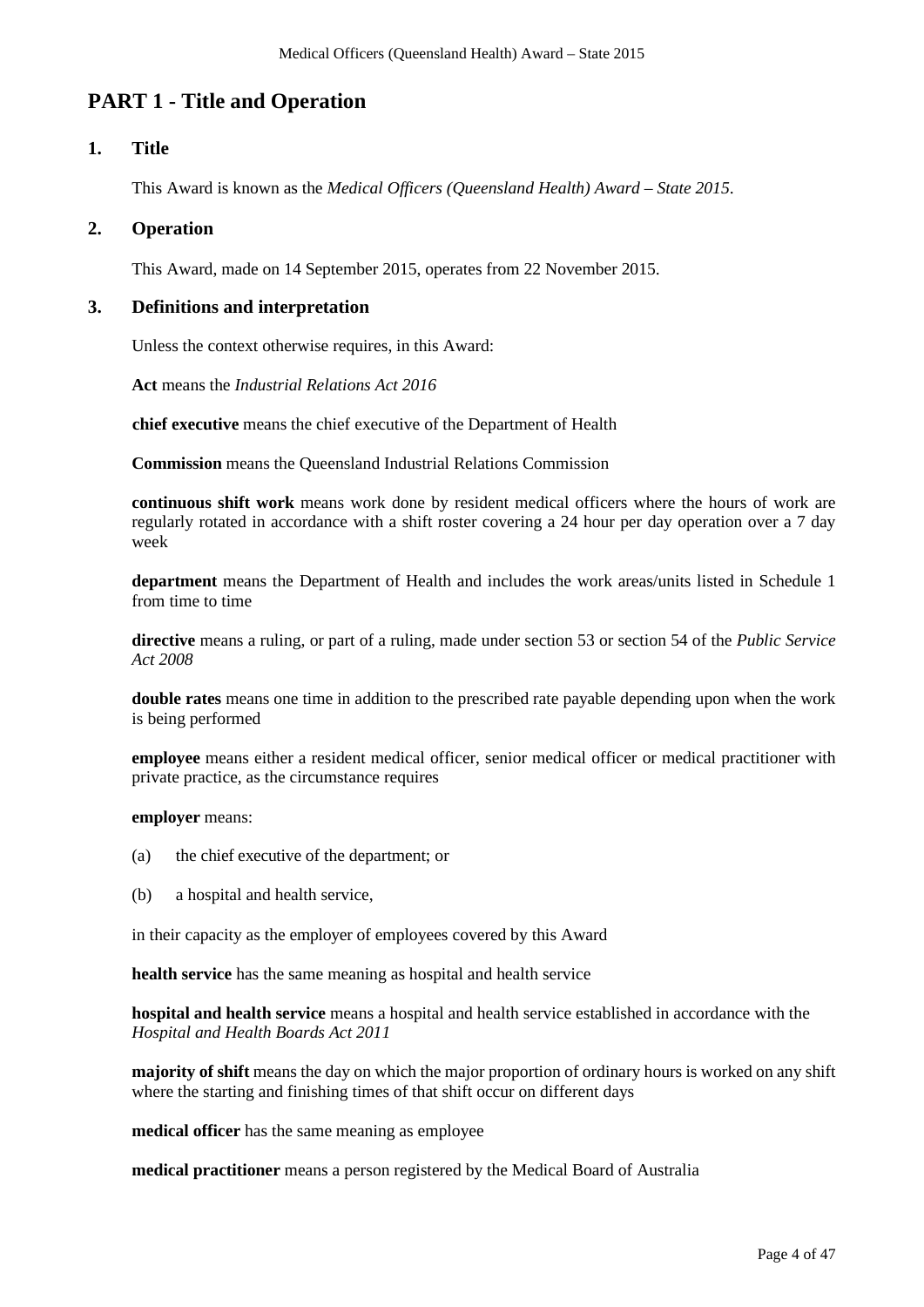# **PART 1 - Title and Operation**

# **1. Title**

This Award is known as the *Medical Officers (Queensland Health) Award* – *State 2015*.

### **2. Operation**

This Award, made on 14 September 2015, operates from 22 November 2015.

# **3. Definitions and interpretation**

Unless the context otherwise requires, in this Award:

**Act** means the *Industrial Relations Act 2016*

**chief executive** means the chief executive of the Department of Health

**Commission** means the Queensland Industrial Relations Commission

**continuous shift work** means work done by resident medical officers where the hours of work are regularly rotated in accordance with a shift roster covering a 24 hour per day operation over a 7 day week

**department** means the Department of Health and includes the work areas/units listed in Schedule 1 from time to time

**directive** means a ruling, or part of a ruling, made under section 53 or section 54 of the *Public Service Act 2008*

**double rates** means one time in addition to the prescribed rate payable depending upon when the work is being performed

**employee** means either a resident medical officer, senior medical officer or medical practitioner with private practice, as the circumstance requires

**employer** means:

- (a) the chief executive of the department; or
- (b) a hospital and health service,

in their capacity as the employer of employees covered by this Award

**health service** has the same meaning as hospital and health service

**hospital and health service** means a hospital and health service established in accordance with the *Hospital and Health Boards Act 2011*

**majority of shift** means the day on which the major proportion of ordinary hours is worked on any shift where the starting and finishing times of that shift occur on different days

**medical officer** has the same meaning as employee

**medical practitioner** means a person registered by the Medical Board of Australia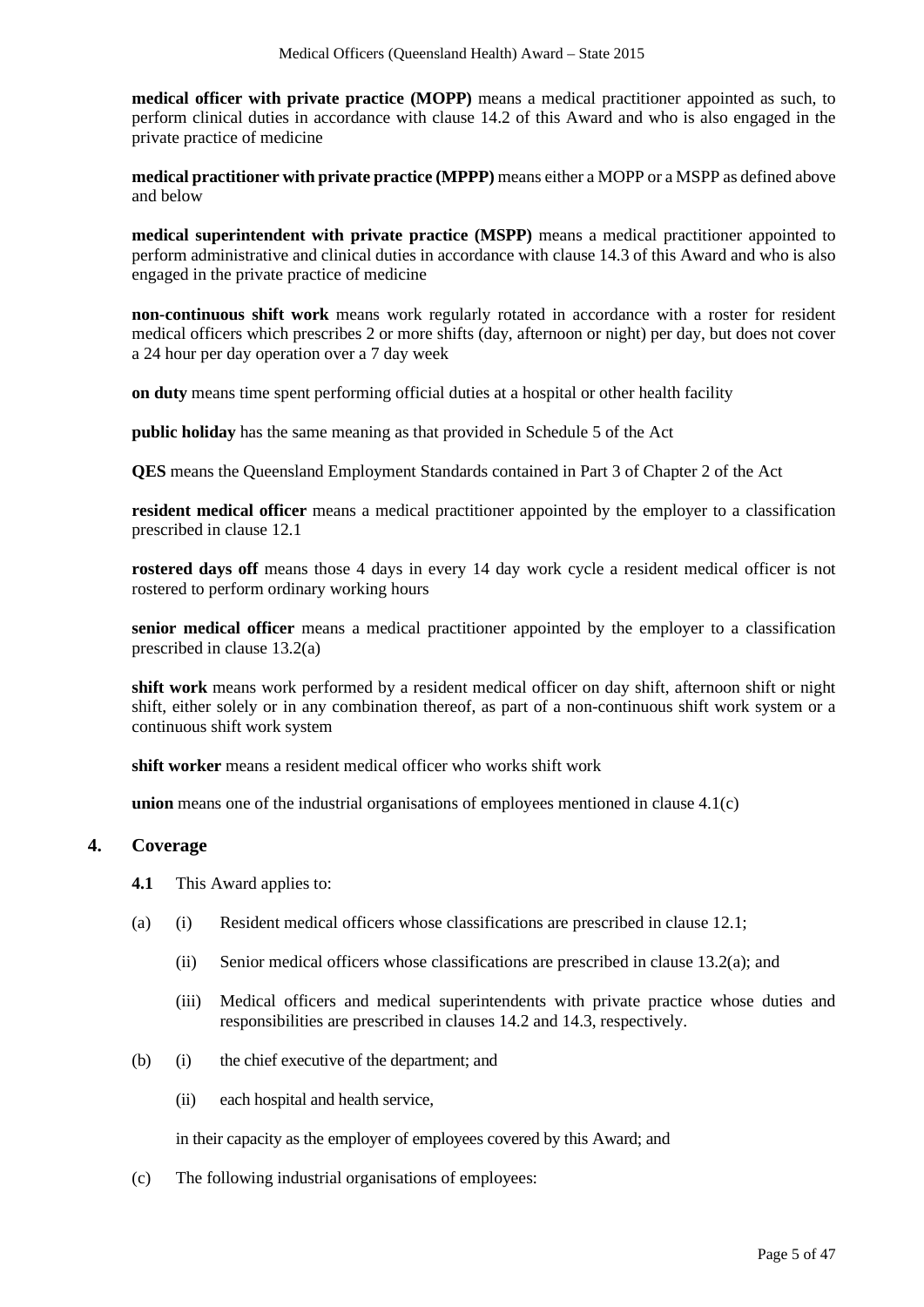**medical officer with private practice (MOPP)** means a medical practitioner appointed as such, to perform clinical duties in accordance with clause 14.2 of this Award and who is also engaged in the private practice of medicine

**medical practitioner with private practice (MPPP)** means either a MOPP or a MSPP as defined above and below

**medical superintendent with private practice (MSPP)** means a medical practitioner appointed to perform administrative and clinical duties in accordance with clause 14.3 of this Award and who is also engaged in the private practice of medicine

**non-continuous shift work** means work regularly rotated in accordance with a roster for resident medical officers which prescribes 2 or more shifts (day, afternoon or night) per day, but does not cover a 24 hour per day operation over a 7 day week

**on duty** means time spent performing official duties at a hospital or other health facility

**public holiday** has the same meaning as that provided in Schedule 5 of the Act

**QES** means the Queensland Employment Standards contained in Part 3 of Chapter 2 of the Act

**resident medical officer** means a medical practitioner appointed by the employer to a classification prescribed in clause 12.1

**rostered days off** means those 4 days in every 14 day work cycle a resident medical officer is not rostered to perform ordinary working hours

**senior medical officer** means a medical practitioner appointed by the employer to a classification prescribed in clause 13.2(a)

**shift work** means work performed by a resident medical officer on day shift, afternoon shift or night shift, either solely or in any combination thereof, as part of a non-continuous shift work system or a continuous shift work system

**shift worker** means a resident medical officer who works shift work

**union** means one of the industrial organisations of employees mentioned in clause 4.1(c)

#### **4. Coverage**

- **4.1** This Award applies to:
- (a) (i) Resident medical officers whose classifications are prescribed in clause 12.1;
	- (ii) Senior medical officers whose classifications are prescribed in clause  $13.2(a)$ ; and
	- (iii) Medical officers and medical superintendents with private practice whose duties and responsibilities are prescribed in clauses 14.2 and 14.3, respectively.
- (b) (i) the chief executive of the department; and
	- (ii) each hospital and health service,

in their capacity as the employer of employees covered by this Award; and

(c) The following industrial organisations of employees: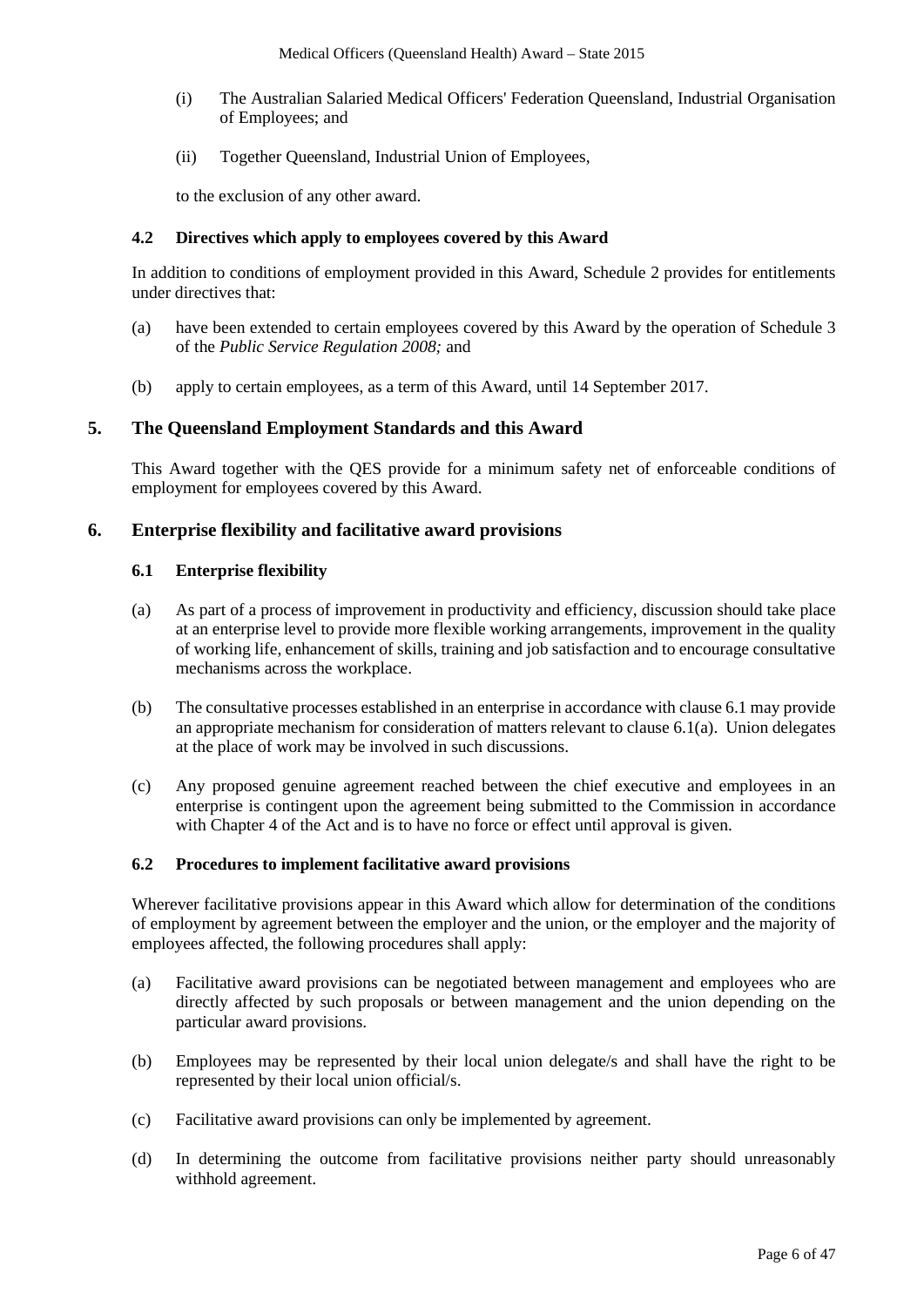- (i) The Australian Salaried Medical Officers' Federation Queensland, Industrial Organisation of Employees; and
- (ii) Together Queensland, Industrial Union of Employees,

to the exclusion of any other award.

### **4.2 Directives which apply to employees covered by this Award**

In addition to conditions of employment provided in this Award, Schedule 2 provides for entitlements under directives that:

- (a) have been extended to certain employees covered by this Award by the operation of Schedule 3 of the *Public Service Regulation 2008;* and
- (b) apply to certain employees, as a term of this Award, until 14 September 2017.

#### **5. The Queensland Employment Standards and this Award**

This Award together with the QES provide for a minimum safety net of enforceable conditions of employment for employees covered by this Award.

#### **6. Enterprise flexibility and facilitative award provisions**

#### **6.1 Enterprise flexibility**

- <span id="page-5-0"></span>(a) As part of a process of improvement in productivity and efficiency, discussion should take place at an enterprise level to provide more flexible working arrangements, improvement in the quality of working life, enhancement of skills, training and job satisfaction and to encourage consultative mechanisms across the workplace.
- (b) The consultative processes established in an enterprise in accordance with clause 6.1 may provide an appropriate mechanism for consideration of matters relevant to clause 6.[1\(a\).](#page-5-0) Union delegates at the place of work may be involved in such discussions.
- (c) Any proposed genuine agreement reached between the chief executive and employees in an enterprise is contingent upon the agreement being submitted to the Commission in accordance with Chapter 4 of the Act and is to have no force or effect until approval is given.

#### **6.2 Procedures to implement facilitative award provisions**

Wherever facilitative provisions appear in this Award which allow for determination of the conditions of employment by agreement between the employer and the union, or the employer and the majority of employees affected, the following procedures shall apply:

- (a) Facilitative award provisions can be negotiated between management and employees who are directly affected by such proposals or between management and the union depending on the particular award provisions.
- (b) Employees may be represented by their local union delegate/s and shall have the right to be represented by their local union official/s.
- (c) Facilitative award provisions can only be implemented by agreement.
- (d) In determining the outcome from facilitative provisions neither party should unreasonably withhold agreement.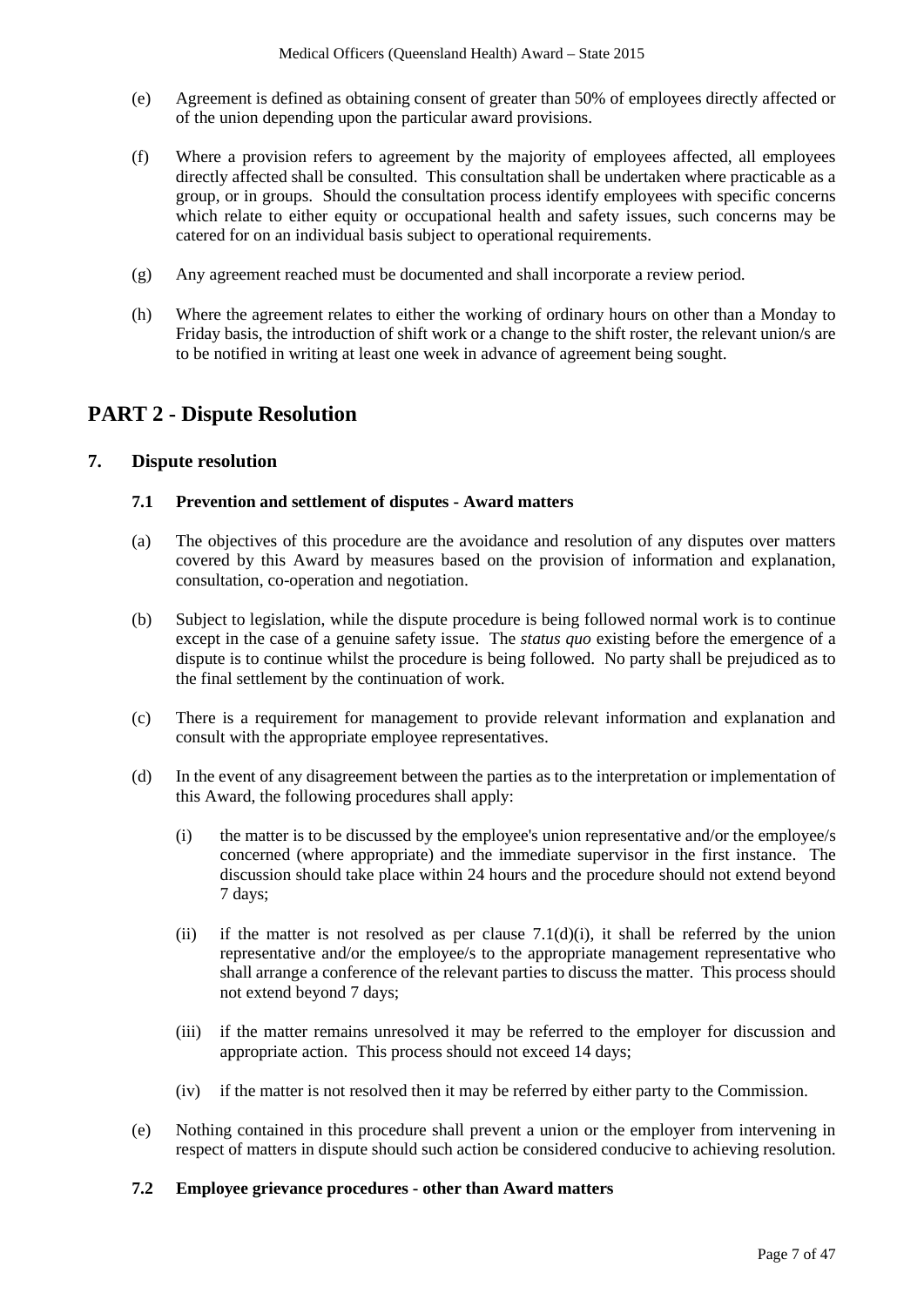- (e) Agreement is defined as obtaining consent of greater than 50% of employees directly affected or of the union depending upon the particular award provisions.
- (f) Where a provision refers to agreement by the majority of employees affected, all employees directly affected shall be consulted. This consultation shall be undertaken where practicable as a group, or in groups. Should the consultation process identify employees with specific concerns which relate to either equity or occupational health and safety issues, such concerns may be catered for on an individual basis subject to operational requirements.
- (g) Any agreement reached must be documented and shall incorporate a review period.
- (h) Where the agreement relates to either the working of ordinary hours on other than a Monday to Friday basis, the introduction of shift work or a change to the shift roster, the relevant union/s are to be notified in writing at least one week in advance of agreement being sought.

# **PART 2 - Dispute Resolution**

# **7. Dispute resolution**

#### **7.1 Prevention and settlement of disputes - Award matters**

- (a) The objectives of this procedure are the avoidance and resolution of any disputes over matters covered by this Award by measures based on the provision of information and explanation, consultation, co-operation and negotiation.
- (b) Subject to legislation, while the dispute procedure is being followed normal work is to continue except in the case of a genuine safety issue. The *status quo* existing before the emergence of a dispute is to continue whilst the procedure is being followed. No party shall be prejudiced as to the final settlement by the continuation of work.
- (c) There is a requirement for management to provide relevant information and explanation and consult with the appropriate employee representatives.
- <span id="page-6-0"></span>(d) In the event of any disagreement between the parties as to the interpretation or implementation of this Award, the following procedures shall apply:
	- (i) the matter is to be discussed by the employee's union representative and/or the employee/s concerned (where appropriate) and the immediate supervisor in the first instance. The discussion should take place within 24 hours and the procedure should not extend beyond 7 days;
	- (ii) if the matter is not resolved as per clause  $7.1(d)(i)$ , it shall be referred by the union representative and/or the employee/s to the appropriate management representative who shall arrange a conference of the relevant parties to discuss the matter. This process should not extend beyond 7 days;
	- (iii) if the matter remains unresolved it may be referred to the employer for discussion and appropriate action. This process should not exceed 14 days;
	- (iv) if the matter is not resolved then it may be referred by either party to the Commission.
- (e) Nothing contained in this procedure shall prevent a union or the employer from intervening in respect of matters in dispute should such action be considered conducive to achieving resolution.

#### **7.2 Employee grievance procedures - other than Award matters**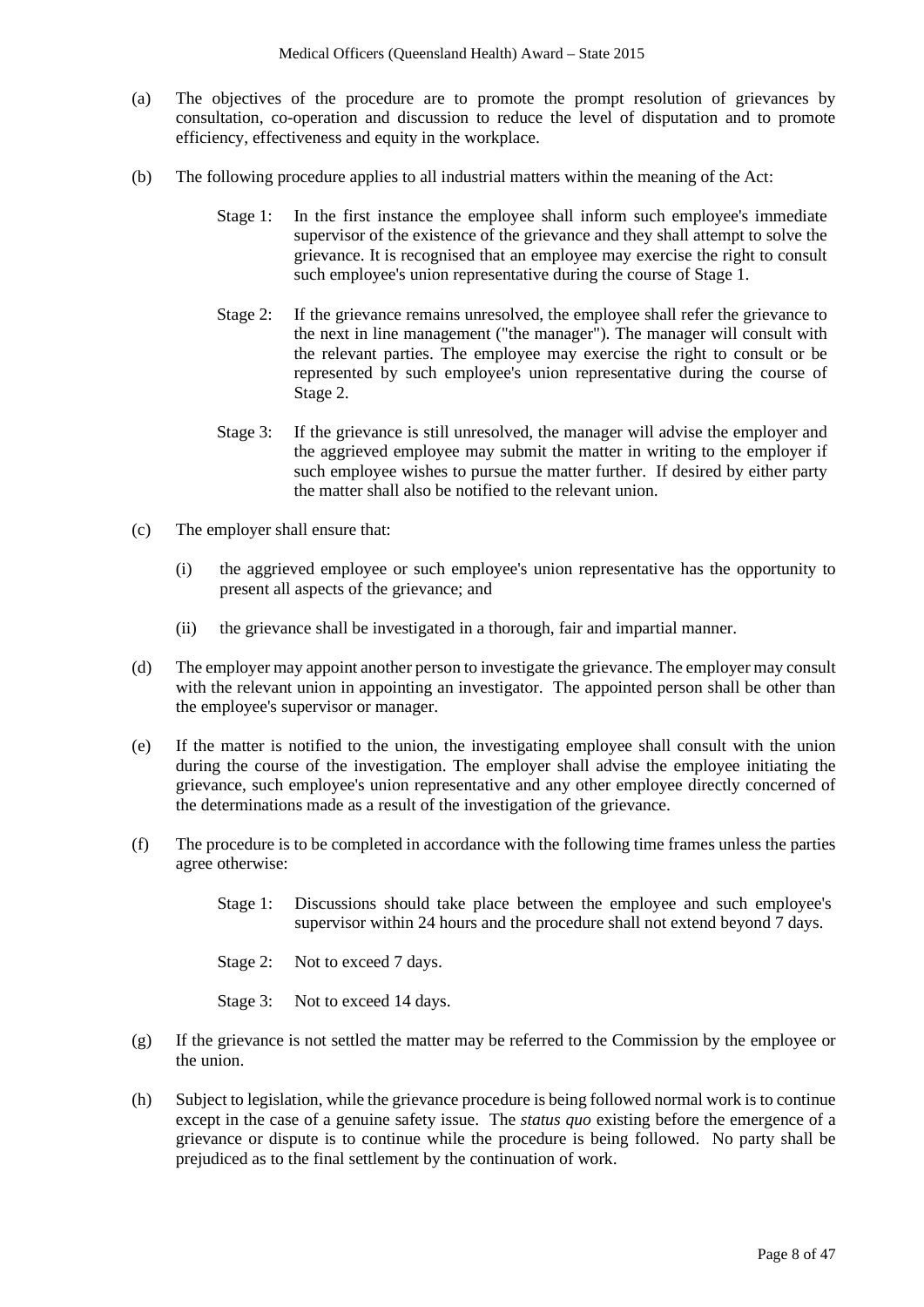- (a) The objectives of the procedure are to promote the prompt resolution of grievances by consultation, co-operation and discussion to reduce the level of disputation and to promote efficiency, effectiveness and equity in the workplace.
- (b) The following procedure applies to all industrial matters within the meaning of the Act:
	- Stage 1: In the first instance the employee shall inform such employee's immediate supervisor of the existence of the grievance and they shall attempt to solve the grievance. It is recognised that an employee may exercise the right to consult such employee's union representative during the course of Stage 1.
	- Stage 2: If the grievance remains unresolved, the employee shall refer the grievance to the next in line management ("the manager"). The manager will consult with the relevant parties. The employee may exercise the right to consult or be represented by such employee's union representative during the course of Stage 2.
	- Stage 3: If the grievance is still unresolved, the manager will advise the employer and the aggrieved employee may submit the matter in writing to the employer if such employee wishes to pursue the matter further. If desired by either party the matter shall also be notified to the relevant union.
- (c) The employer shall ensure that:
	- (i) the aggrieved employee or such employee's union representative has the opportunity to present all aspects of the grievance; and
	- (ii) the grievance shall be investigated in a thorough, fair and impartial manner.
- (d) The employer may appoint another person to investigate the grievance. The employer may consult with the relevant union in appointing an investigator. The appointed person shall be other than the employee's supervisor or manager.
- (e) If the matter is notified to the union, the investigating employee shall consult with the union during the course of the investigation. The employer shall advise the employee initiating the grievance, such employee's union representative and any other employee directly concerned of the determinations made as a result of the investigation of the grievance.
- (f) The procedure is to be completed in accordance with the following time frames unless the parties agree otherwise:
	- Stage 1: Discussions should take place between the employee and such employee's supervisor within 24 hours and the procedure shall not extend beyond 7 days.
	- Stage 2: Not to exceed 7 days.
	- Stage 3: Not to exceed 14 days.
- (g) If the grievance is not settled the matter may be referred to the Commission by the employee or the union.
- (h) Subject to legislation, while the grievance procedure is being followed normal work is to continue except in the case of a genuine safety issue. The *status quo* existing before the emergence of a grievance or dispute is to continue while the procedure is being followed. No party shall be prejudiced as to the final settlement by the continuation of work.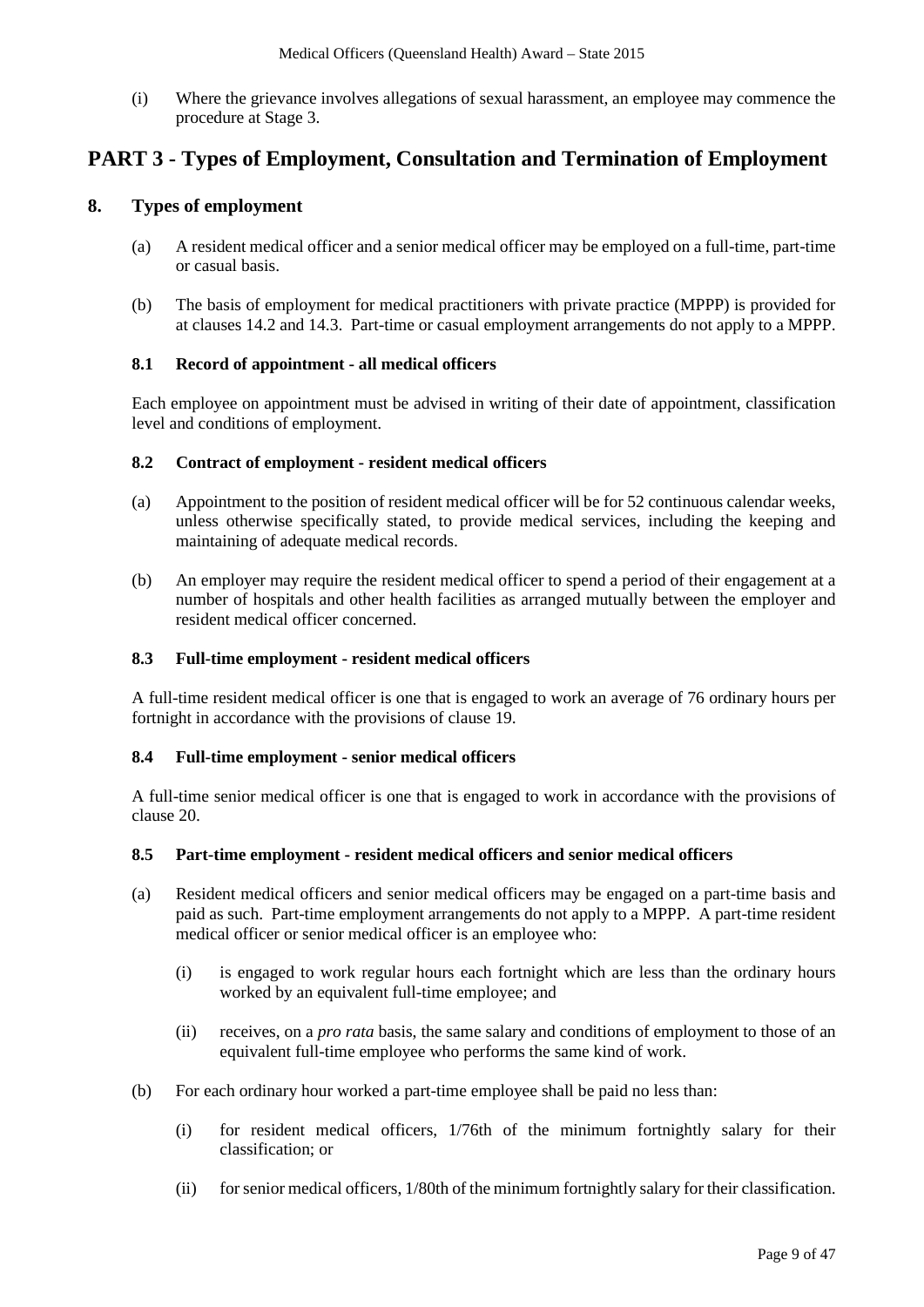(i) Where the grievance involves allegations of sexual harassment, an employee may commence the procedure at Stage 3.

# **PART 3 - Types of Employment, Consultation and Termination of Employment**

### **8. Types of employment**

- (a) A resident medical officer and a senior medical officer may be employed on a full-time, part-time or casual basis.
- (b) The basis of employment for medical practitioners with private practice (MPPP) is provided for at clauses 14.2 and 14.3. Part-time or casual employment arrangements do not apply to a MPPP.

#### **8.1 Record of appointment - all medical officers**

Each employee on appointment must be advised in writing of their date of appointment, classification level and conditions of employment.

#### **8.2 Contract of employment - resident medical officers**

- (a) Appointment to the position of resident medical officer will be for 52 continuous calendar weeks, unless otherwise specifically stated, to provide medical services, including the keeping and maintaining of adequate medical records.
- (b) An employer may require the resident medical officer to spend a period of their engagement at a number of hospitals and other health facilities as arranged mutually between the employer and resident medical officer concerned.

#### **8.3 Full-time employment - resident medical officers**

A full-time resident medical officer is one that is engaged to work an average of 76 ordinary hours per fortnight in accordance with the provisions of clause 19.

#### **8.4 Full-time employment - senior medical officers**

A full-time senior medical officer is one that is engaged to work in accordance with the provisions of clause 20.

#### **8.5 Part-time employment - resident medical officers and senior medical officers**

- (a) Resident medical officers and senior medical officers may be engaged on a part-time basis and paid as such. Part-time employment arrangements do not apply to a MPPP. A part-time resident medical officer or senior medical officer is an employee who:
	- (i) is engaged to work regular hours each fortnight which are less than the ordinary hours worked by an equivalent full-time employee; and
	- (ii) receives, on a *pro rata* basis, the same salary and conditions of employment to those of an equivalent full-time employee who performs the same kind of work.
- (b) For each ordinary hour worked a part-time employee shall be paid no less than:
	- (i) for resident medical officers, 1/76th of the minimum fortnightly salary for their classification; or
	- (ii) forsenior medical officers, 1/80th of the minimum fortnightly salary for their classification.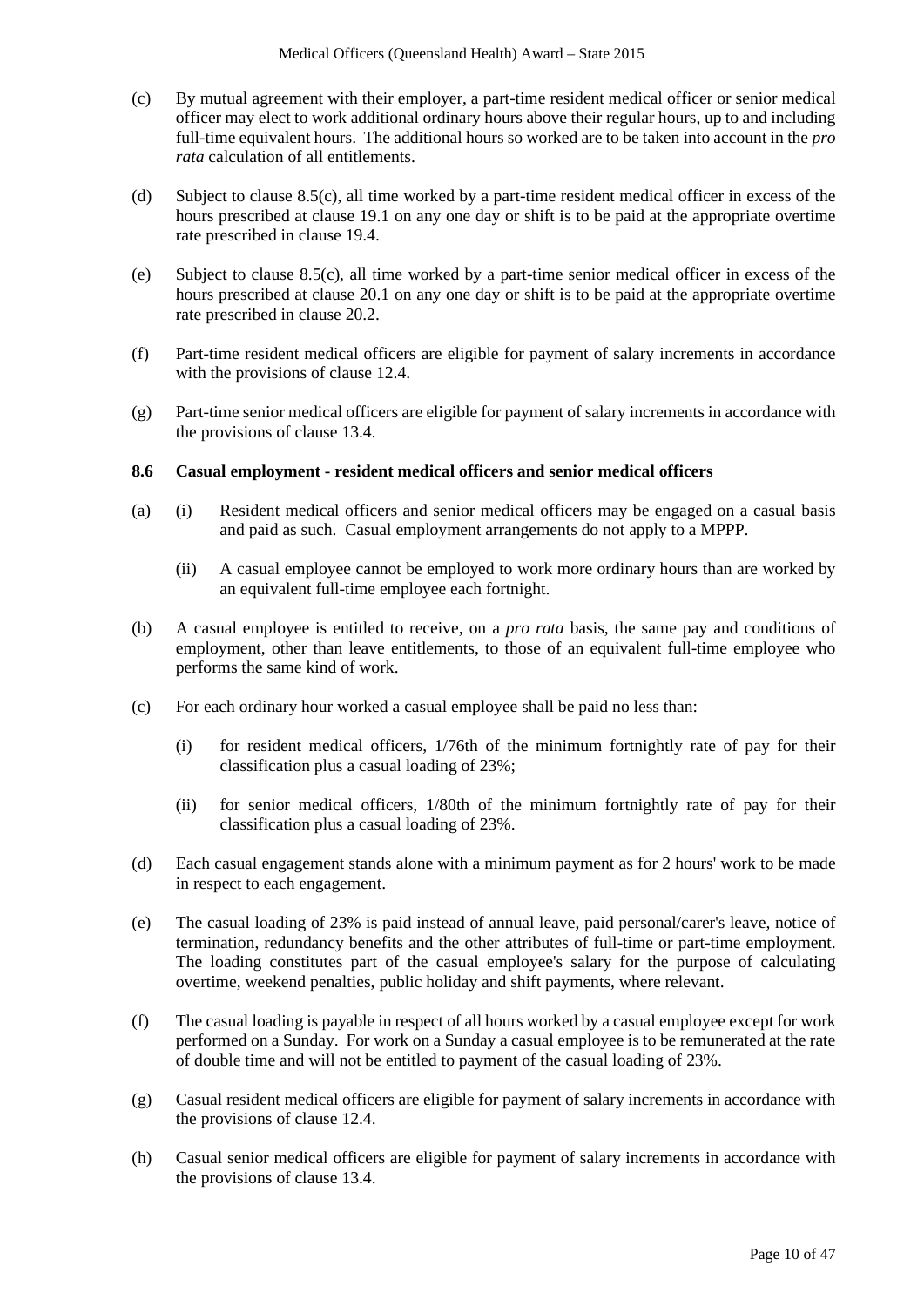- (c) By mutual agreement with their employer, a part-time resident medical officer or senior medical officer may elect to work additional ordinary hours above their regular hours, up to and including full-time equivalent hours. The additional hours so worked are to be taken into account in the *pro rata* calculation of all entitlements.
- (d) Subject to clause 8.5(c), all time worked by a part-time resident medical officer in excess of the hours prescribed at clause 19.1 on any one day or shift is to be paid at the appropriate overtime rate prescribed in clause 19.4.
- (e) Subject to clause 8.5(c), all time worked by a part-time senior medical officer in excess of the hours prescribed at clause 20.1 on any one day or shift is to be paid at the appropriate overtime rate prescribed in clause 20.2.
- (f) Part-time resident medical officers are eligible for payment of salary increments in accordance with the provisions of clause 12.4.
- (g) Part-time senior medical officers are eligible for payment of salary increments in accordance with the provisions of clause 13.4.

#### **8.6 Casual employment - resident medical officers and senior medical officers**

- (a) (i) Resident medical officers and senior medical officers may be engaged on a casual basis and paid as such. Casual employment arrangements do not apply to a MPPP.
	- (ii) A casual employee cannot be employed to work more ordinary hours than are worked by an equivalent full-time employee each fortnight.
- (b) A casual employee is entitled to receive, on a *pro rata* basis, the same pay and conditions of employment, other than leave entitlements, to those of an equivalent full-time employee who performs the same kind of work.
- (c) For each ordinary hour worked a casual employee shall be paid no less than:
	- (i) for resident medical officers, 1/76th of the minimum fortnightly rate of pay for their classification plus a casual loading of 23%;
	- (ii) for senior medical officers, 1/80th of the minimum fortnightly rate of pay for their classification plus a casual loading of 23%.
- (d) Each casual engagement stands alone with a minimum payment as for 2 hours' work to be made in respect to each engagement.
- (e) The casual loading of 23% is paid instead of annual leave, paid personal/carer's leave, notice of termination, redundancy benefits and the other attributes of full-time or part-time employment. The loading constitutes part of the casual employee's salary for the purpose of calculating overtime, weekend penalties, public holiday and shift payments, where relevant.
- (f) The casual loading is payable in respect of all hours worked by a casual employee except for work performed on a Sunday. For work on a Sunday a casual employee is to be remunerated at the rate of double time and will not be entitled to payment of the casual loading of 23%.
- (g) Casual resident medical officers are eligible for payment of salary increments in accordance with the provisions of clause 12.4.
- (h) Casual senior medical officers are eligible for payment of salary increments in accordance with the provisions of clause 13.4.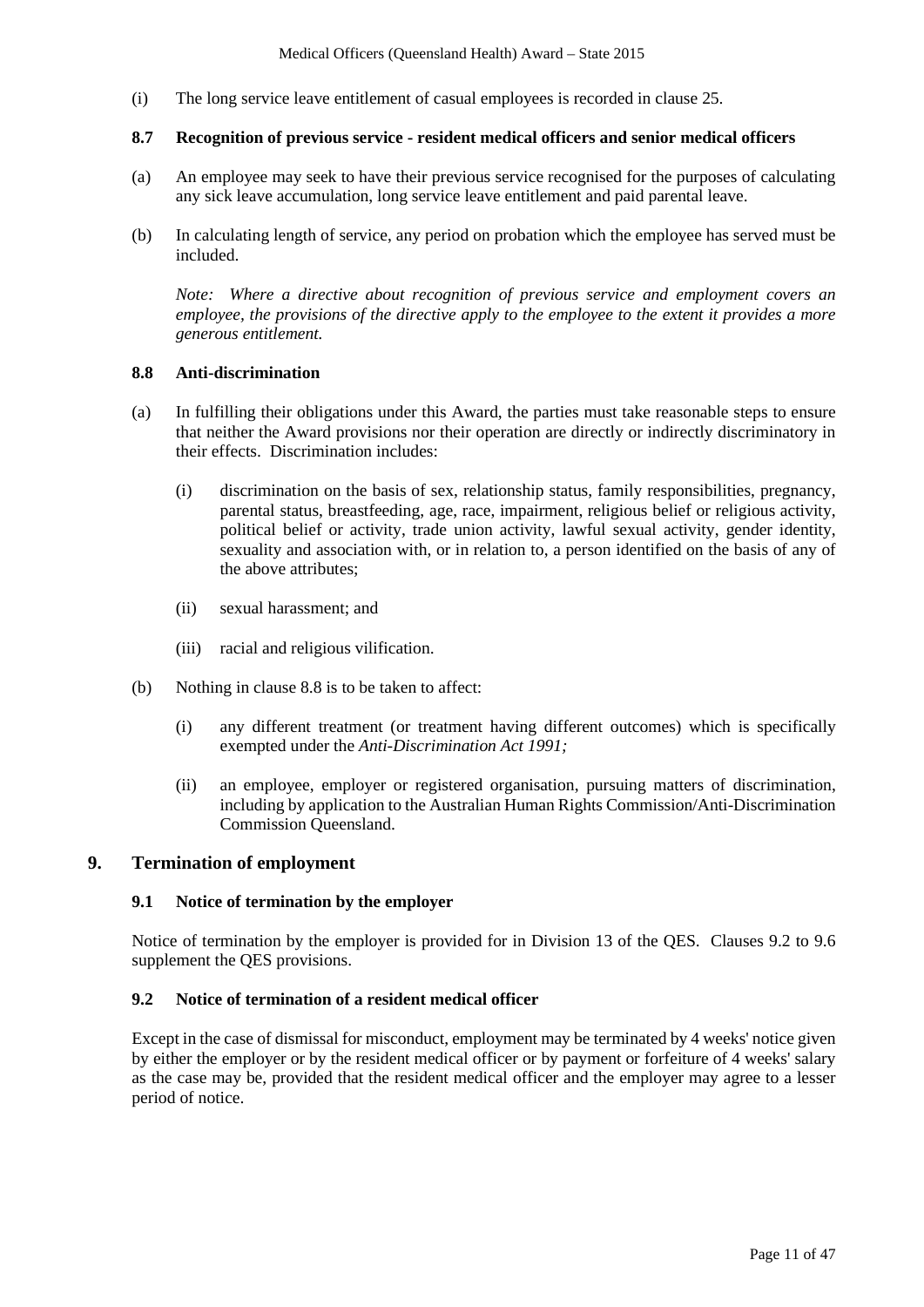(i) The long service leave entitlement of casual employees is recorded in clause 25.

#### **8.7 Recognition of previous service - resident medical officers and senior medical officers**

- (a) An employee may seek to have their previous service recognised for the purposes of calculating any sick leave accumulation, long service leave entitlement and paid parental leave.
- (b) In calculating length of service, any period on probation which the employee has served must be included.

*Note: Where a directive about recognition of previous service and employment covers an employee, the provisions of the directive apply to the employee to the extent it provides a more generous entitlement.* 

#### **8.8 Anti-discrimination**

- (a) In fulfilling their obligations under this Award, the parties must take reasonable steps to ensure that neither the Award provisions nor their operation are directly or indirectly discriminatory in their effects. Discrimination includes:
	- (i) discrimination on the basis of sex, relationship status, family responsibilities, pregnancy, parental status, breastfeeding, age, race, impairment, religious belief or religious activity, political belief or activity, trade union activity, lawful sexual activity, gender identity, sexuality and association with, or in relation to, a person identified on the basis of any of the above attributes;
	- (ii) sexual harassment; and
	- (iii) racial and religious vilification.
- (b) Nothing in clause 8.8 is to be taken to affect:
	- (i) any different treatment (or treatment having different outcomes) which is specifically exempted under the *Anti-Discrimination Act 1991;*
	- (ii) an employee, employer or registered organisation, pursuing matters of discrimination, including by application to the Australian Human Rights Commission/Anti-Discrimination Commission Queensland.

### **9. Termination of employment**

#### **9.1 Notice of termination by the employer**

Notice of termination by the employer is provided for in Division 13 of the QES. Clauses 9.2 to 9.6 supplement the QES provisions.

#### **9.2 Notice of termination of a resident medical officer**

Except in the case of dismissal for misconduct, employment may be terminated by 4 weeks' notice given by either the employer or by the resident medical officer or by payment or forfeiture of 4 weeks' salary as the case may be, provided that the resident medical officer and the employer may agree to a lesser period of notice.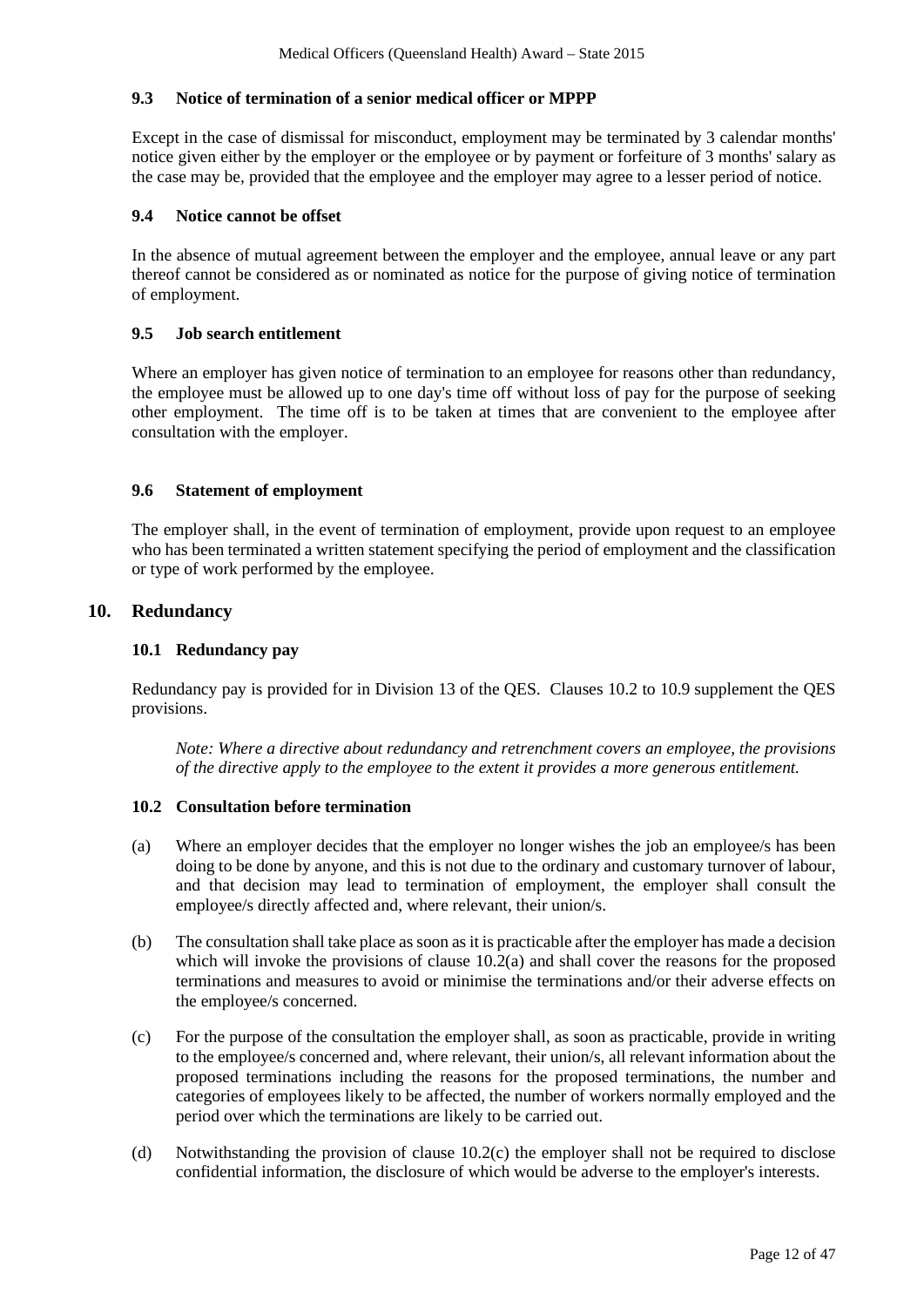#### **9.3 Notice of termination of a senior medical officer or MPPP**

Except in the case of dismissal for misconduct, employment may be terminated by 3 calendar months' notice given either by the employer or the employee or by payment or forfeiture of 3 months' salary as the case may be, provided that the employee and the employer may agree to a lesser period of notice.

#### **9.4 Notice cannot be offset**

In the absence of mutual agreement between the employer and the employee, annual leave or any part thereof cannot be considered as or nominated as notice for the purpose of giving notice of termination of employment.

#### **9.5 Job search entitlement**

Where an employer has given notice of termination to an employee for reasons other than redundancy, the employee must be allowed up to one day's time off without loss of pay for the purpose of seeking other employment. The time off is to be taken at times that are convenient to the employee after consultation with the employer.

#### **9.6 Statement of employment**

The employer shall, in the event of termination of employment, provide upon request to an employee who has been terminated a written statement specifying the period of employment and the classification or type of work performed by the employee.

### **10. Redundancy**

### **10.1 Redundancy pay**

Redundancy pay is provided for in Division 13 of the QES. Clauses 10.2 to 10.9 supplement the QES provisions.

*Note: Where a directive about redundancy and retrenchment covers an employee, the provisions of the directive apply to the employee to the extent it provides a more generous entitlement.*

#### **10.2 Consultation before termination**

- (a) Where an employer decides that the employer no longer wishes the job an employee/s has been doing to be done by anyone, and this is not due to the ordinary and customary turnover of labour, and that decision may lead to termination of employment, the employer shall consult the employee/s directly affected and, where relevant, their union/s.
- (b) The consultation shall take place as soon as it is practicable after the employer has made a decision which will invoke the provisions of clause  $10.\overline{2}$ (a) and shall cover the reasons for the proposed terminations and measures to avoid or minimise the terminations and/or their adverse effects on the employee/s concerned.
- (c) For the purpose of the consultation the employer shall, as soon as practicable, provide in writing to the employee/s concerned and, where relevant, their union/s, all relevant information about the proposed terminations including the reasons for the proposed terminations, the number and categories of employees likely to be affected, the number of workers normally employed and the period over which the terminations are likely to be carried out.
- (d) Notwithstanding the provision of clause 10.2(c) the employer shall not be required to disclose confidential information, the disclosure of which would be adverse to the employer's interests.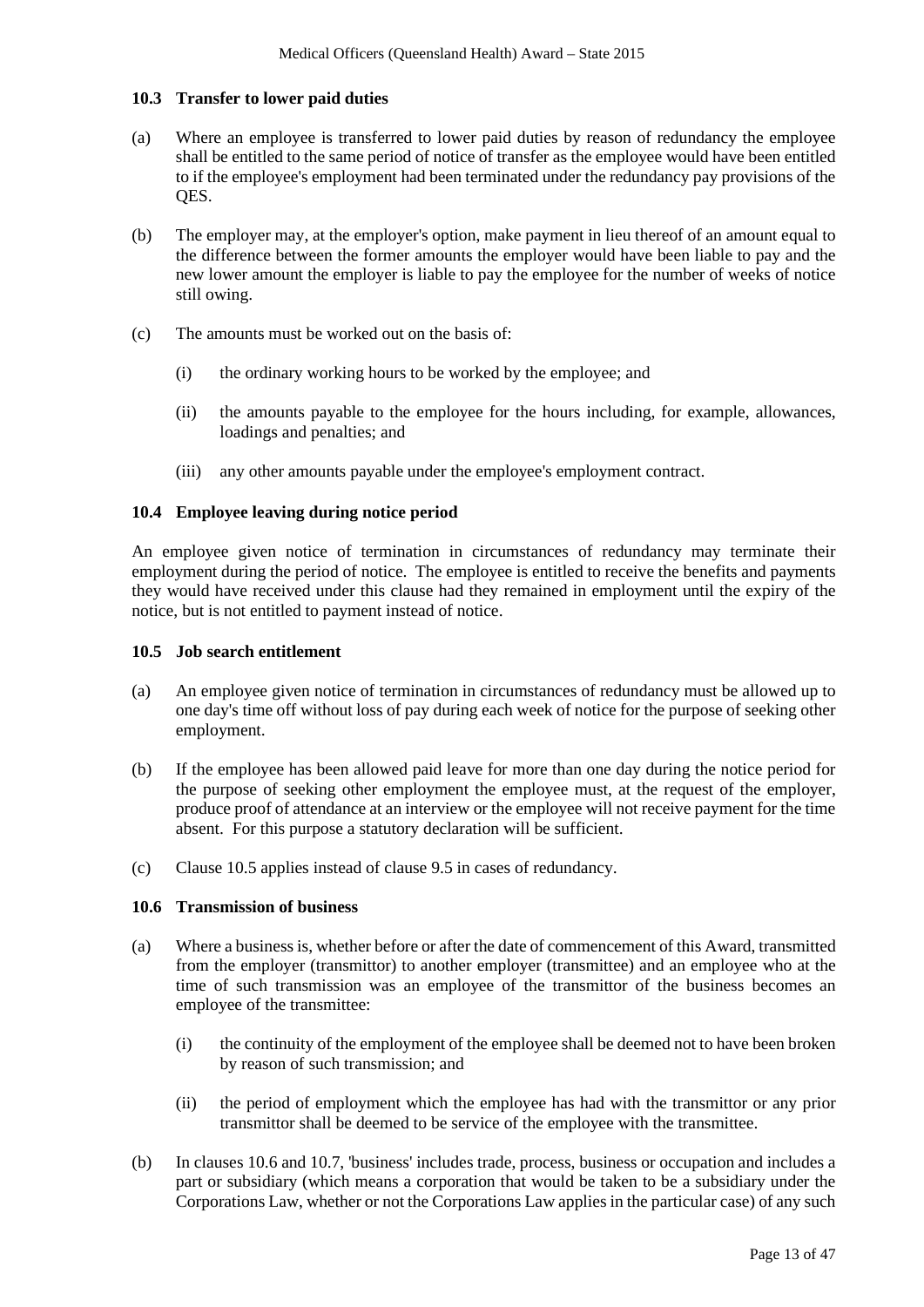#### **10.3 Transfer to lower paid duties**

- (a) Where an employee is transferred to lower paid duties by reason of redundancy the employee shall be entitled to the same period of notice of transfer as the employee would have been entitled to if the employee's employment had been terminated under the redundancy pay provisions of the QES.
- (b) The employer may, at the employer's option, make payment in lieu thereof of an amount equal to the difference between the former amounts the employer would have been liable to pay and the new lower amount the employer is liable to pay the employee for the number of weeks of notice still owing.
- (c) The amounts must be worked out on the basis of:
	- (i) the ordinary working hours to be worked by the employee; and
	- (ii) the amounts payable to the employee for the hours including, for example, allowances, loadings and penalties; and
	- (iii) any other amounts payable under the employee's employment contract.

### **10.4 Employee leaving during notice period**

An employee given notice of termination in circumstances of redundancy may terminate their employment during the period of notice. The employee is entitled to receive the benefits and payments they would have received under this clause had they remained in employment until the expiry of the notice, but is not entitled to payment instead of notice.

#### **10.5 Job search entitlement**

- (a) An employee given notice of termination in circumstances of redundancy must be allowed up to one day's time off without loss of pay during each week of notice for the purpose of seeking other employment.
- (b) If the employee has been allowed paid leave for more than one day during the notice period for the purpose of seeking other employment the employee must, at the request of the employer, produce proof of attendance at an interview or the employee will not receive payment for the time absent. For this purpose a statutory declaration will be sufficient.
- (c) Clause 10.5 applies instead of clause 9.5 in cases of redundancy.

#### **10.6 Transmission of business**

- (a) Where a business is, whether before or after the date of commencement of this Award, transmitted from the employer (transmittor) to another employer (transmittee) and an employee who at the time of such transmission was an employee of the transmittor of the business becomes an employee of the transmittee:
	- (i) the continuity of the employment of the employee shall be deemed not to have been broken by reason of such transmission; and
	- (ii) the period of employment which the employee has had with the transmittor or any prior transmittor shall be deemed to be service of the employee with the transmittee.
- (b) In clauses 10.6 and 10.7, 'business' includes trade, process, business or occupation and includes a part or subsidiary (which means a corporation that would be taken to be a subsidiary under the Corporations Law, whether or not the Corporations Law applies in the particular case) of any such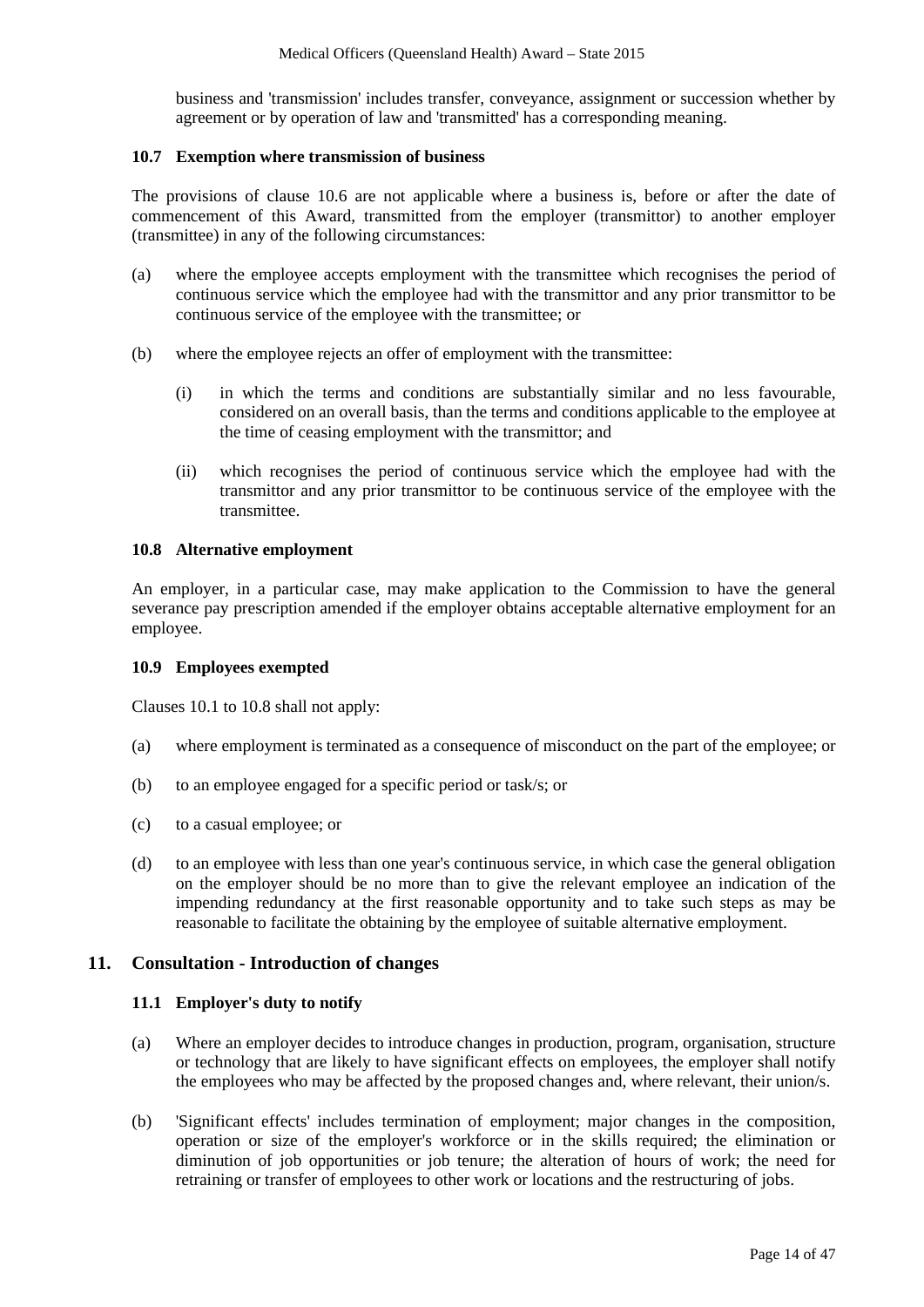business and 'transmission' includes transfer, conveyance, assignment or succession whether by agreement or by operation of law and 'transmitted' has a corresponding meaning.

#### **10.7 Exemption where transmission of business**

The provisions of clause 10.6 are not applicable where a business is, before or after the date of commencement of this Award, transmitted from the employer (transmittor) to another employer (transmittee) in any of the following circumstances:

- (a) where the employee accepts employment with the transmittee which recognises the period of continuous service which the employee had with the transmittor and any prior transmittor to be continuous service of the employee with the transmittee; or
- (b) where the employee rejects an offer of employment with the transmittee:
	- (i) in which the terms and conditions are substantially similar and no less favourable, considered on an overall basis, than the terms and conditions applicable to the employee at the time of ceasing employment with the transmittor; and
	- (ii) which recognises the period of continuous service which the employee had with the transmittor and any prior transmittor to be continuous service of the employee with the transmittee.

#### **10.8 Alternative employment**

An employer, in a particular case, may make application to the Commission to have the general severance pay prescription amended if the employer obtains acceptable alternative employment for an employee.

#### **10.9 Employees exempted**

Clauses 10.1 to 10.8 shall not apply:

- (a) where employment is terminated as a consequence of misconduct on the part of the employee; or
- (b) to an employee engaged for a specific period or task/s; or
- (c) to a casual employee; or
- (d) to an employee with less than one year's continuous service, in which case the general obligation on the employer should be no more than to give the relevant employee an indication of the impending redundancy at the first reasonable opportunity and to take such steps as may be reasonable to facilitate the obtaining by the employee of suitable alternative employment.

#### **11. Consultation - Introduction of changes**

#### **11.1 Employer's duty to notify**

- (a) Where an employer decides to introduce changes in production, program, organisation, structure or technology that are likely to have significant effects on employees, the employer shall notify the employees who may be affected by the proposed changes and, where relevant, their union/s.
- (b) 'Significant effects' includes termination of employment; major changes in the composition, operation or size of the employer's workforce or in the skills required; the elimination or diminution of job opportunities or job tenure; the alteration of hours of work; the need for retraining or transfer of employees to other work or locations and the restructuring of jobs.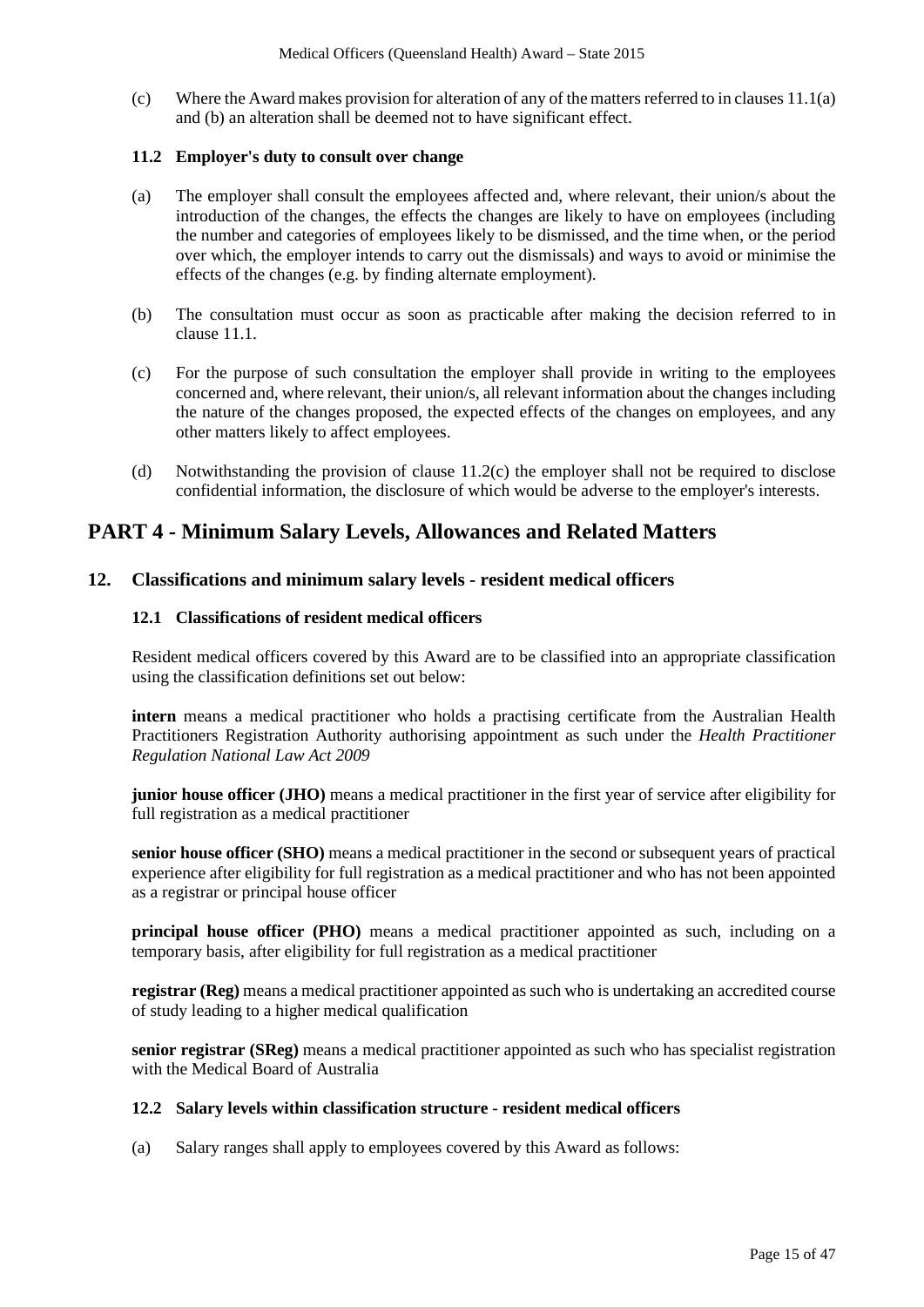(c) Where the Award makes provision for alteration of any of the matters referred to in clauses 11.1(a) and (b) an alteration shall be deemed not to have significant effect.

#### **11.2 Employer's duty to consult over change**

- (a) The employer shall consult the employees affected and, where relevant, their union/s about the introduction of the changes, the effects the changes are likely to have on employees (including the number and categories of employees likely to be dismissed, and the time when, or the period over which, the employer intends to carry out the dismissals) and ways to avoid or minimise the effects of the changes (e.g. by finding alternate employment).
- (b) The consultation must occur as soon as practicable after making the decision referred to in clause 11.1.
- (c) For the purpose of such consultation the employer shall provide in writing to the employees concerned and, where relevant, their union/s, all relevant information about the changes including the nature of the changes proposed, the expected effects of the changes on employees, and any other matters likely to affect employees.
- (d) Notwithstanding the provision of clause 11.2(c) the employer shall not be required to disclose confidential information, the disclosure of which would be adverse to the employer's interests.

# **PART 4 - Minimum Salary Levels, Allowances and Related Matters**

### **12. Classifications and minimum salary levels - resident medical officers**

#### **12.1 Classifications of resident medical officers**

Resident medical officers covered by this Award are to be classified into an appropriate classification using the classification definitions set out below:

**intern** means a medical practitioner who holds a practising certificate from the Australian Health Practitioners Registration Authority authorising appointment as such under the *Health Practitioner Regulation National Law Act 2009*

**junior house officer (JHO)** means a medical practitioner in the first year of service after eligibility for full registration as a medical practitioner

**senior house officer (SHO)** means a medical practitioner in the second or subsequent years of practical experience after eligibility for full registration as a medical practitioner and who has not been appointed as a registrar or principal house officer

**principal house officer (PHO)** means a medical practitioner appointed as such, including on a temporary basis, after eligibility for full registration as a medical practitioner

**registrar (Reg)** means a medical practitioner appointed as such who is undertaking an accredited course of study leading to a higher medical qualification

**senior registrar (SReg)** means a medical practitioner appointed as such who has specialist registration with the Medical Board of Australia

#### **12.2 Salary levels within classification structure - resident medical officers**

(a) Salary ranges shall apply to employees covered by this Award as follows: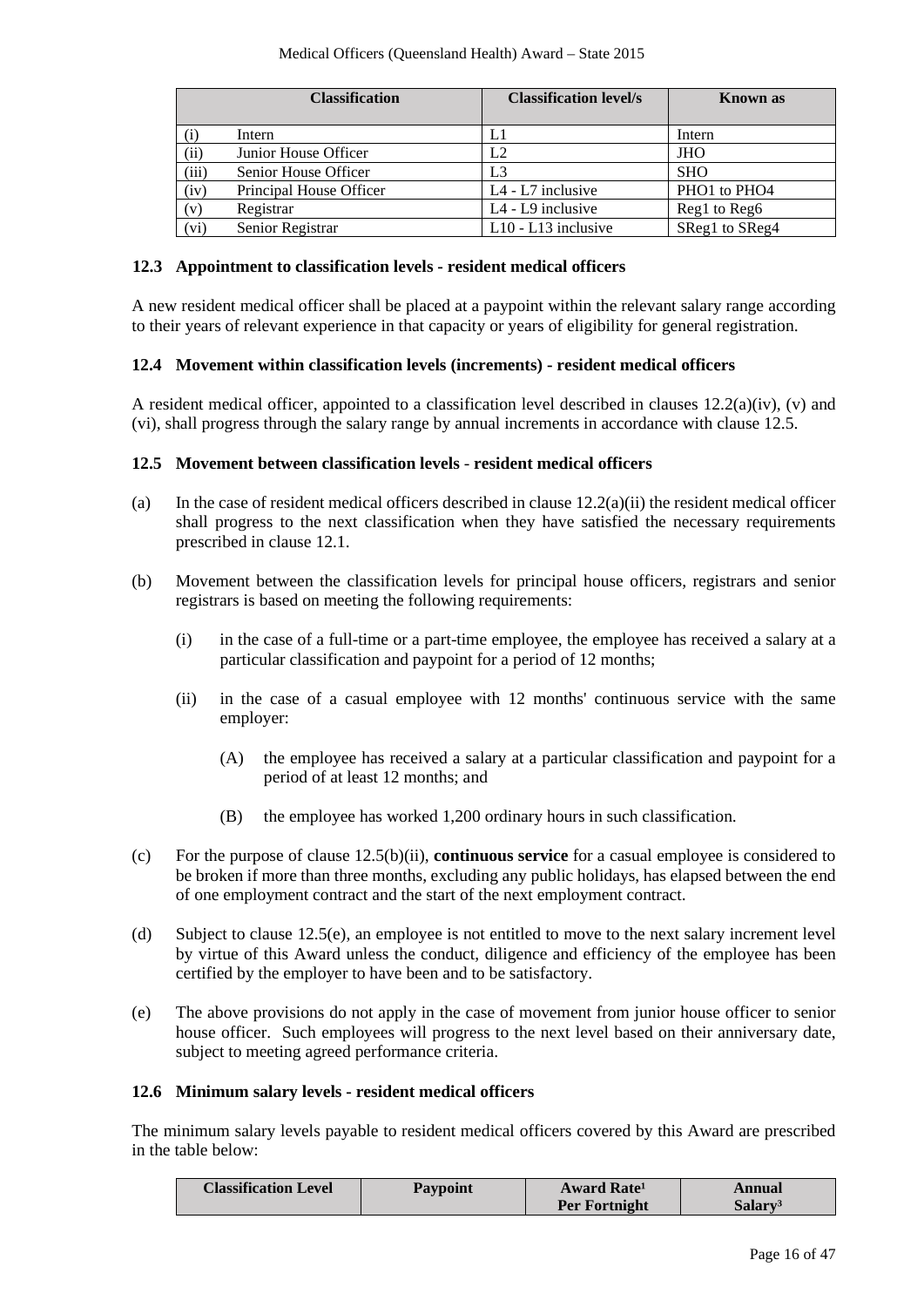|                | <b>Classification</b>   | <b>Classification level/s</b> | <b>Known</b> as                      |
|----------------|-------------------------|-------------------------------|--------------------------------------|
| (i)            | Intern                  | L1                            | Intern                               |
| (ii)           | Junior House Officer    | L2                            | <b>JHO</b>                           |
| (iii)          | Senior House Officer    | L <sub>3</sub>                | <b>SHO</b>                           |
| (iv)           | Principal House Officer | $L4 - L7$ inclusive           | PHO <sub>1</sub> to PHO <sub>4</sub> |
| $(\mathrm{v})$ | Registrar               | $L4 - L9$ inclusive           | Reg1 to Reg6                         |
| (vi)           | Senior Registrar        | $L10 - L13$ inclusive         | SReg1 to SReg4                       |

#### **12.3 Appointment to classification levels - resident medical officers**

A new resident medical officer shall be placed at a paypoint within the relevant salary range according to their years of relevant experience in that capacity or years of eligibility for general registration.

#### **12.4 Movement within classification levels (increments) - resident medical officers**

A resident medical officer, appointed to a classification level described in clauses  $12.2(a)(iv)$ , (v) and (vi), shall progress through the salary range by annual increments in accordance with clause 12.5.

#### **12.5 Movement between classification levels** - **resident medical officers**

- (a) In the case of resident medical officers described in clause 12.2(a)(ii) the resident medical officer shall progress to the next classification when they have satisfied the necessary requirements prescribed in clause 12.1.
- (b) Movement between the classification levels for principal house officers, registrars and senior registrars is based on meeting the following requirements:
	- (i) in the case of a full-time or a part-time employee, the employee has received a salary at a particular classification and paypoint for a period of 12 months;
	- (ii) in the case of a casual employee with 12 months' continuous service with the same employer:
		- (A) the employee has received a salary at a particular classification and paypoint for a period of at least 12 months; and
		- (B) the employee has worked 1,200 ordinary hours in such classification.
- (c) For the purpose of clause 12.5(b)(ii), **continuous service** for a casual employee is considered to be broken if more than three months, excluding any public holidays, has elapsed between the end of one employment contract and the start of the next employment contract.
- (d) Subject to clause 12.5(e), an employee is not entitled to move to the next salary increment level by virtue of this Award unless the conduct, diligence and efficiency of the employee has been certified by the employer to have been and to be satisfactory.
- (e) The above provisions do not apply in the case of movement from junior house officer to senior house officer. Such employees will progress to the next level based on their anniversary date, subject to meeting agreed performance criteria.

#### **12.6 Minimum salary levels - resident medical officers**

The minimum salary levels payable to resident medical officers covered by this Award are prescribed in the table below:

| <b>Classification Level</b> | <b>Paypoint</b> | <b>Award Rate</b> <sup>1</sup> | Annual              |
|-----------------------------|-----------------|--------------------------------|---------------------|
|                             |                 | <b>Per Fortnight</b>           | Salarv <sup>3</sup> |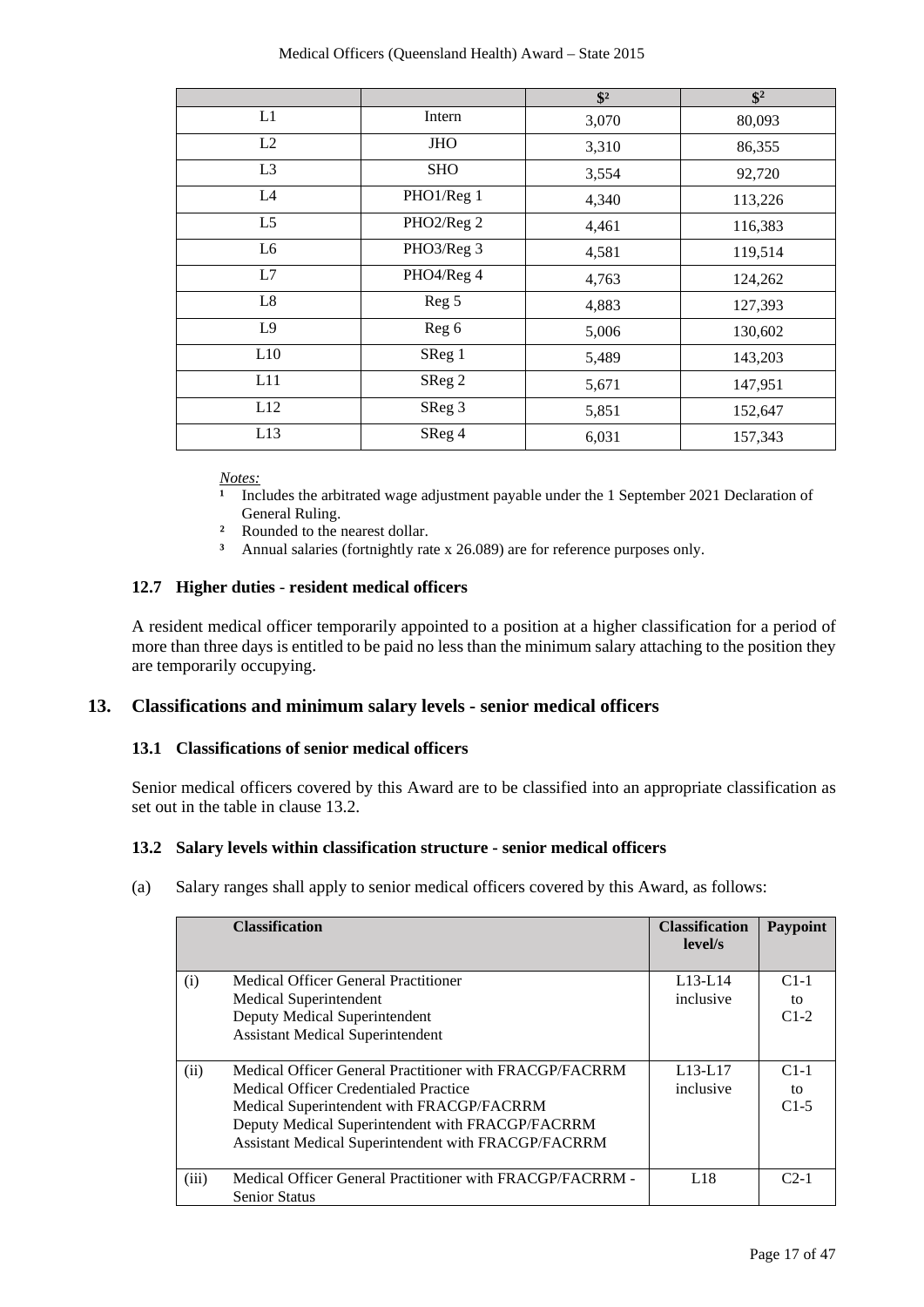|                |            | $\sqrt[6]{2}$ | $\overline{\$^2}$ |
|----------------|------------|---------------|-------------------|
| L1             | Intern     | 3,070         | 80,093            |
| L2             | <b>JHO</b> | 3,310         | 86,355            |
| L3             | <b>SHO</b> | 3,554         | 92,720            |
| L4             | PHO1/Reg 1 | 4,340         | 113,226           |
| L <sub>5</sub> | PHO2/Reg 2 | 4,461         | 116,383           |
| L <sub>6</sub> | PHO3/Reg 3 | 4,581         | 119,514           |
| L7             | PHO4/Reg 4 | 4,763         | 124,262           |
| L8             | Reg 5      | 4,883         | 127,393           |
| L <sub>9</sub> | Reg 6      | 5,006         | 130,602           |
| L10            | SReg 1     | 5,489         | 143,203           |
| L11            | SReg 2     | 5,671         | 147,951           |
| L12            | SReg 3     | 5,851         | 152,647           |
| L13            | SReg 4     | 6,031         | 157,343           |

*Notes:*

- Includes the arbitrated wage adjustment payable under the 1 September 2021 Declaration of General Ruling.
- **²** Rounded to the nearest dollar.
- **³** Annual salaries (fortnightly rate x 26.089) are for reference purposes only.

# **12.7 Higher duties** - **resident medical officers**

A resident medical officer temporarily appointed to a position at a higher classification for a period of more than three days is entitled to be paid no less than the minimum salary attaching to the position they are temporarily occupying.

#### **13. Classifications and minimum salary levels - senior medical officers**

#### **13.1 Classifications of senior medical officers**

Senior medical officers covered by this Award are to be classified into an appropriate classification as set out in the table in clause 13.2.

#### **13.2 Salary levels within classification structure - senior medical officers**

(a) Salary ranges shall apply to senior medical officers covered by this Award, as follows:

|       | <b>Classification</b>                                     | <b>Classification</b><br>level/s | Paypoint |
|-------|-----------------------------------------------------------|----------------------------------|----------|
| (i)   | Medical Officer General Practitioner                      | $L13-L14$                        | $C1-1$   |
|       | Medical Superintendent                                    | inclusive                        | to       |
|       | Deputy Medical Superintendent                             |                                  | $C1-2$   |
|       | <b>Assistant Medical Superintendent</b>                   |                                  |          |
|       |                                                           |                                  |          |
| (ii)  | Medical Officer General Practitioner with FRACGP/FACRRM   | $L13-L17$                        | $C1-1$   |
|       | Medical Officer Credentialed Practice                     | inclusive                        | tΩ       |
|       | Medical Superintendent with FRACGP/FACRRM                 |                                  | $C1-5$   |
|       | Deputy Medical Superintendent with FRACGP/FACRRM          |                                  |          |
|       | Assistant Medical Superintendent with FRACGP/FACRRM       |                                  |          |
|       |                                                           |                                  |          |
| (iii) | Medical Officer General Practitioner with FRACGP/FACRRM - | L18                              | $C2-1$   |
|       | <b>Senior Status</b>                                      |                                  |          |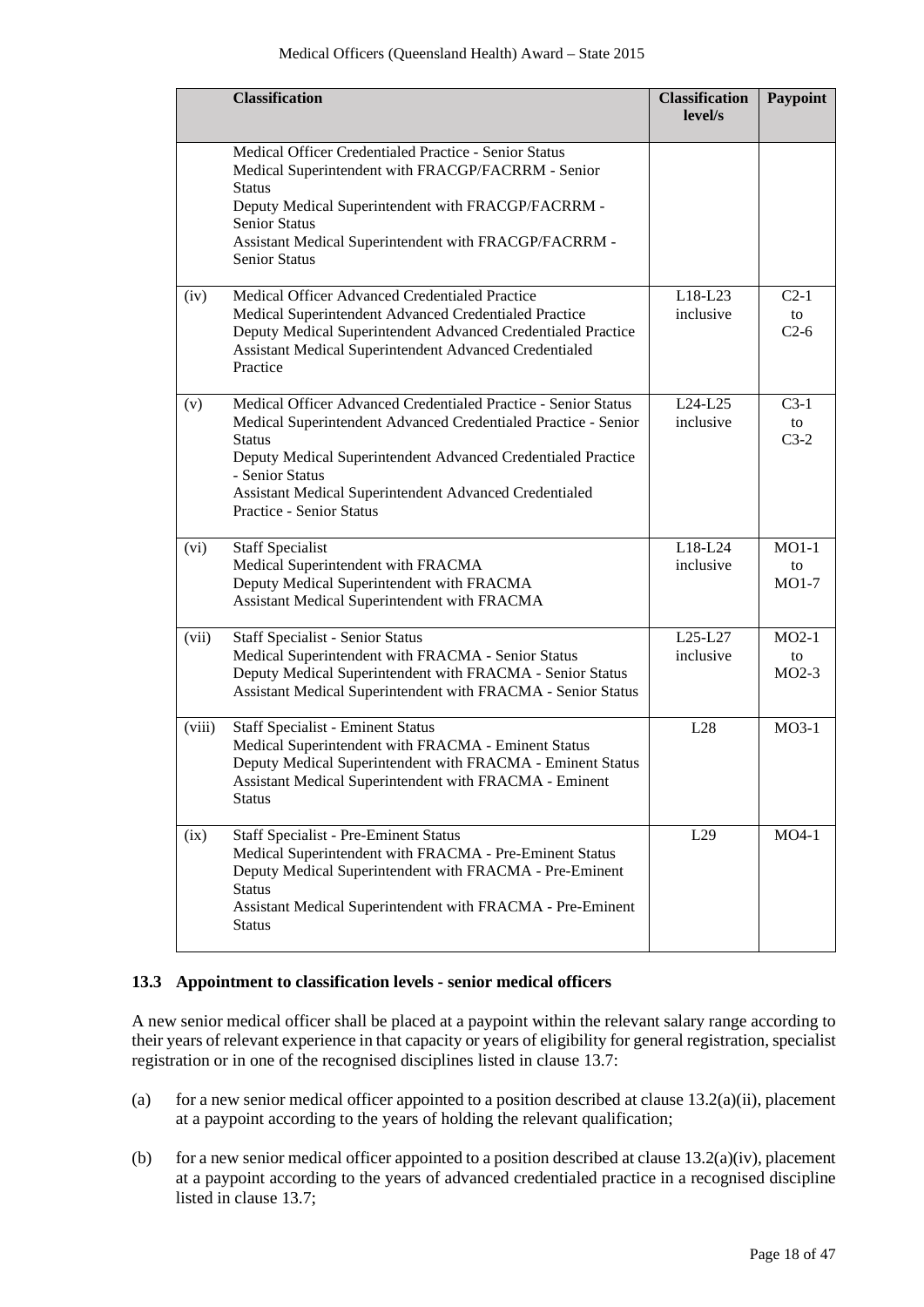|        | <b>Classification</b>                                                                                                                                                                                                                                                                                                             | <b>Classification</b><br>level/s | Paypoint                 |
|--------|-----------------------------------------------------------------------------------------------------------------------------------------------------------------------------------------------------------------------------------------------------------------------------------------------------------------------------------|----------------------------------|--------------------------|
|        | Medical Officer Credentialed Practice - Senior Status<br>Medical Superintendent with FRACGP/FACRRM - Senior<br><b>Status</b><br>Deputy Medical Superintendent with FRACGP/FACRRM -<br>Senior Status<br>Assistant Medical Superintendent with FRACGP/FACRRM -<br>Senior Status                                                     |                                  |                          |
| (iv)   | Medical Officer Advanced Credentialed Practice<br>Medical Superintendent Advanced Credentialed Practice<br>Deputy Medical Superintendent Advanced Credentialed Practice<br>Assistant Medical Superintendent Advanced Credentialed<br>Practice                                                                                     | L18-L23<br>inclusive             | $C2-1$<br>to<br>$C2-6$   |
| (v)    | Medical Officer Advanced Credentialed Practice - Senior Status<br>Medical Superintendent Advanced Credentialed Practice - Senior<br><b>Status</b><br>Deputy Medical Superintendent Advanced Credentialed Practice<br>- Senior Status<br>Assistant Medical Superintendent Advanced Credentialed<br><b>Practice - Senior Status</b> | $L24-L25$<br>inclusive           | $C3-1$<br>to<br>$C3-2$   |
| (vi)   | <b>Staff Specialist</b><br>Medical Superintendent with FRACMA<br>Deputy Medical Superintendent with FRACMA<br>Assistant Medical Superintendent with FRACMA                                                                                                                                                                        | L18-L24<br>inclusive             | $MO1-1$<br>to<br>$MO1-7$ |
| (vii)  | Staff Specialist - Senior Status<br>Medical Superintendent with FRACMA - Senior Status<br>Deputy Medical Superintendent with FRACMA - Senior Status<br>Assistant Medical Superintendent with FRACMA - Senior Status                                                                                                               | L25-L27<br>inclusive             | $MO2-1$<br>to<br>$MO2-3$ |
| (viii) | <b>Staff Specialist - Eminent Status</b><br>Medical Superintendent with FRACMA - Eminent Status<br>Deputy Medical Superintendent with FRACMA - Eminent Status<br>Assistant Medical Superintendent with FRACMA - Eminent<br>Status                                                                                                 | L28                              | $MO3-1$                  |
| (ix)   | <b>Staff Specialist - Pre-Eminent Status</b><br>Medical Superintendent with FRACMA - Pre-Eminent Status<br>Deputy Medical Superintendent with FRACMA - Pre-Eminent<br><b>Status</b><br>Assistant Medical Superintendent with FRACMA - Pre-Eminent<br><b>Status</b>                                                                | L29                              | $MO4-1$                  |

#### **13.3 Appointment to classification levels - senior medical officers**

A new senior medical officer shall be placed at a paypoint within the relevant salary range according to their years of relevant experience in that capacity or years of eligibility for general registration, specialist registration or in one of the recognised disciplines listed in clause 13.7:

- (a) for a new senior medical officer appointed to a position described at clause  $13.2(a)(ii)$ , placement at a paypoint according to the years of holding the relevant qualification;
- (b) for a new senior medical officer appointed to a position described at clause  $13.2(a)(iv)$ , placement at a paypoint according to the years of advanced credentialed practice in a recognised discipline listed in clause 13.7;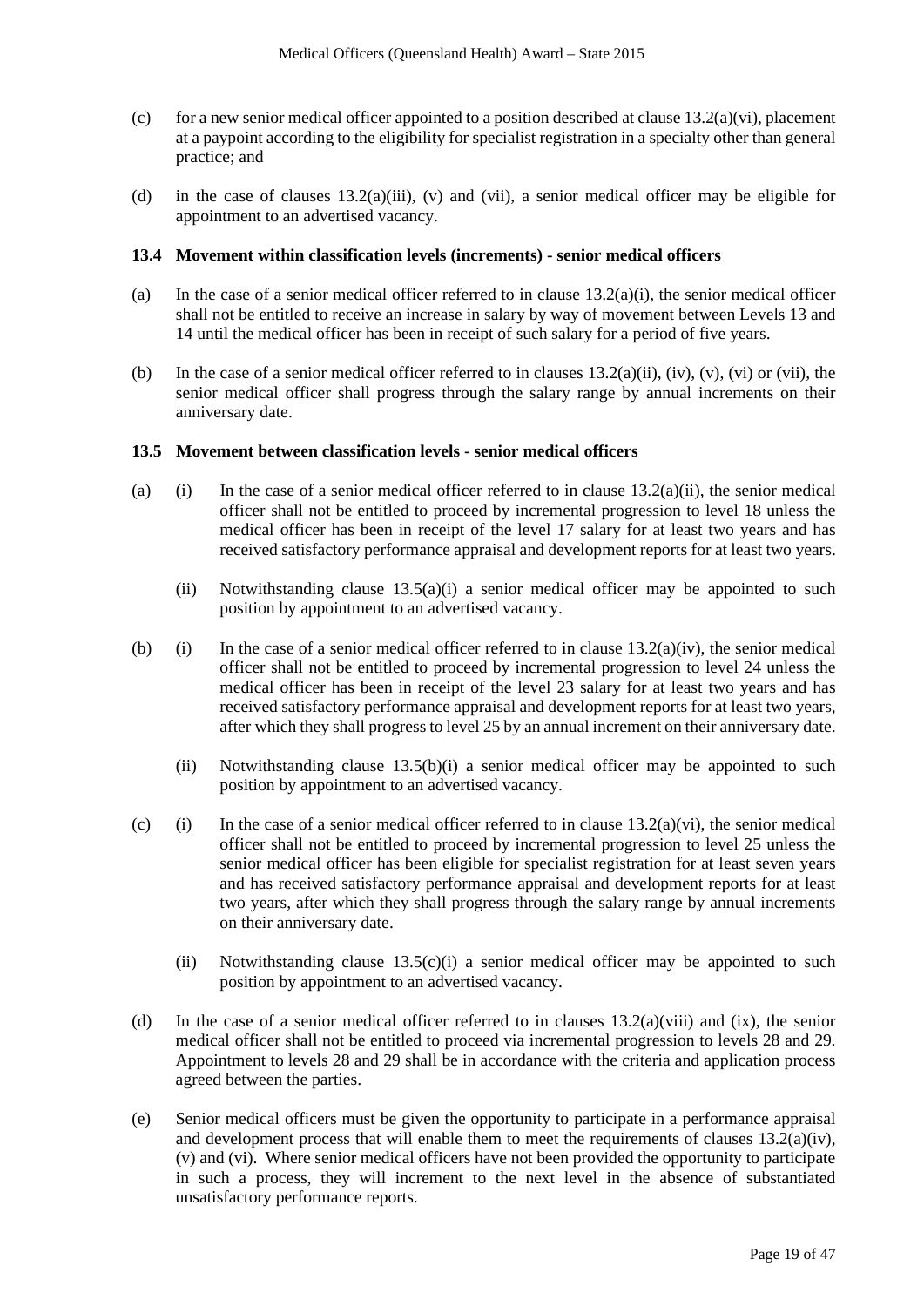- (c) for a new senior medical officer appointed to a position described at clause  $13.2(a)(vi)$ , placement at a paypoint according to the eligibility for specialist registration in a specialty other than general practice; and
- (d) in the case of clauses 13.2(a)(iii), (v) and (vii), a senior medical officer may be eligible for appointment to an advertised vacancy.

#### **13.4 Movement within classification levels (increments) - senior medical officers**

- (a) In the case of a senior medical officer referred to in clause 13.2(a)(i), the senior medical officer shall not be entitled to receive an increase in salary by way of movement between Levels 13 and 14 until the medical officer has been in receipt of such salary for a period of five years.
- (b) In the case of a senior medical officer referred to in clauses  $13.2(a)(ii)$ , (iv), (v), (vi) or (vii), the senior medical officer shall progress through the salary range by annual increments on their anniversary date.

#### **13.5 Movement between classification levels - senior medical officers**

- (a) (i) In the case of a senior medical officer referred to in clause  $13.2(a)(ii)$ , the senior medical officer shall not be entitled to proceed by incremental progression to level 18 unless the medical officer has been in receipt of the level 17 salary for at least two years and has received satisfactory performance appraisal and development reports for at least two years.
	- (ii) Notwithstanding clause  $13.5(a)(i)$  a senior medical officer may be appointed to such position by appointment to an advertised vacancy.
- (b) (i) In the case of a senior medical officer referred to in clause  $13.2(a)(iv)$ , the senior medical officer shall not be entitled to proceed by incremental progression to level 24 unless the medical officer has been in receipt of the level 23 salary for at least two years and has received satisfactory performance appraisal and development reports for at least two years, after which they shall progress to level 25 by an annual increment on their anniversary date.
	- (ii) Notwithstanding clause 13.5(b)(i) a senior medical officer may be appointed to such position by appointment to an advertised vacancy.
- (c) (i) In the case of a senior medical officer referred to in clause  $13.2(a)(vi)$ , the senior medical officer shall not be entitled to proceed by incremental progression to level 25 unless the senior medical officer has been eligible for specialist registration for at least seven years and has received satisfactory performance appraisal and development reports for at least two years, after which they shall progress through the salary range by annual increments on their anniversary date.
	- (ii) Notwithstanding clause 13.5(c)(i) a senior medical officer may be appointed to such position by appointment to an advertised vacancy.
- (d) In the case of a senior medical officer referred to in clauses 13.2(a)(viii) and (ix), the senior medical officer shall not be entitled to proceed via incremental progression to levels 28 and 29. Appointment to levels 28 and 29 shall be in accordance with the criteria and application process agreed between the parties.
- (e) Senior medical officers must be given the opportunity to participate in a performance appraisal and development process that will enable them to meet the requirements of clauses  $13.2(a)(iv)$ , (v) and (vi). Where senior medical officers have not been provided the opportunity to participate in such a process, they will increment to the next level in the absence of substantiated unsatisfactory performance reports.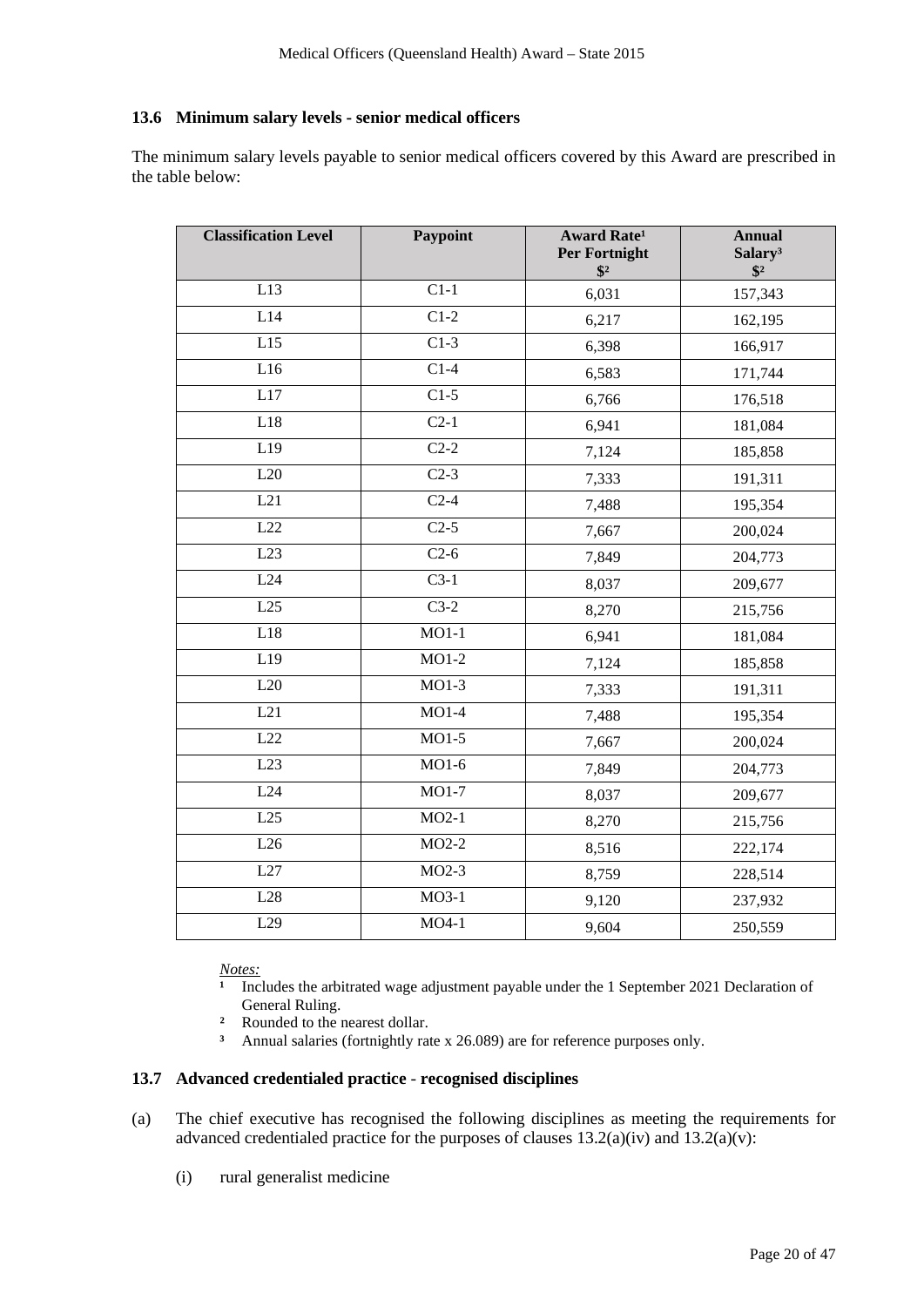# **13.6 Minimum salary levels - senior medical officers**

The minimum salary levels payable to senior medical officers covered by this Award are prescribed in the table below:

| <b>Classification Level</b> | Paypoint          | <b>Award Rate<sup>1</sup></b><br><b>Per Fortnight</b><br>$\sqrt[6]{3}$ | <b>Annual</b><br>Salary <sup>3</sup><br>$\sqrt[6]{3}$ |
|-----------------------------|-------------------|------------------------------------------------------------------------|-------------------------------------------------------|
| L13                         | $C1-1$            | 6,031                                                                  | 157,343                                               |
| L14                         | $C1-2$            | 6,217                                                                  | 162,195                                               |
| L15                         | $C1-3$            | 6,398                                                                  | 166,917                                               |
| L16                         | $\overline{C1-4}$ | 6,583                                                                  | 171,744                                               |
| L17                         | $\overline{C1-5}$ | 6,766                                                                  | 176,518                                               |
| L18                         | $C2-1$            | 6,941                                                                  | 181,084                                               |
| L19                         | $C2-2$            | 7,124                                                                  | 185,858                                               |
| L20                         | $\overline{C2-3}$ | 7,333                                                                  | 191,311                                               |
| L21                         | $C2-4$            | 7,488                                                                  | 195,354                                               |
| L22                         | $C2-5$            | 7,667                                                                  | 200,024                                               |
| L23                         | $C2-6$            | 7,849                                                                  | 204,773                                               |
| L24                         | $C3-1$            | 8,037                                                                  | 209,677                                               |
| L25                         | $\overline{C3-2}$ | 8,270                                                                  | 215,756                                               |
| L18                         | $MO1-1$           | 6,941                                                                  | 181,084                                               |
| L19                         | $MO1-2$           | 7,124                                                                  | 185,858                                               |
| L20                         | $MO1-3$           | 7,333                                                                  | 191,311                                               |
| L21                         | $MO1-4$           | 7,488                                                                  | 195,354                                               |
| L22                         | $MO1-5$           | 7,667                                                                  | 200,024                                               |
| L23                         | $MO1-6$           | 7,849                                                                  | 204,773                                               |
| L24                         | MO1-7             | 8,037                                                                  | 209,677                                               |
| L25                         | $MO2-1$           | 8,270                                                                  | 215,756                                               |
| L26                         | $MO2-2$           | 8,516                                                                  | 222,174                                               |
| L27                         | $MO2-3$           | 8,759                                                                  | 228,514                                               |
| L28                         | $MO3-1$           | 9,120                                                                  | 237,932                                               |
| L29                         | $MO4-1$           | 9,604                                                                  | 250,559                                               |

*Notes:*

Includes the arbitrated wage adjustment payable under the 1 September 2021 Declaration of General Ruling.

- **²** Rounded to the nearest dollar.
- **³** Annual salaries (fortnightly rate x 26.089) are for reference purposes only.

# **13.7 Advanced credentialed practice** - **recognised disciplines**

- (a) The chief executive has recognised the following disciplines as meeting the requirements for advanced credentialed practice for the purposes of clauses  $13.2(a)(iv)$  and  $13.2(a)(v)$ :
	- (i) rural generalist medicine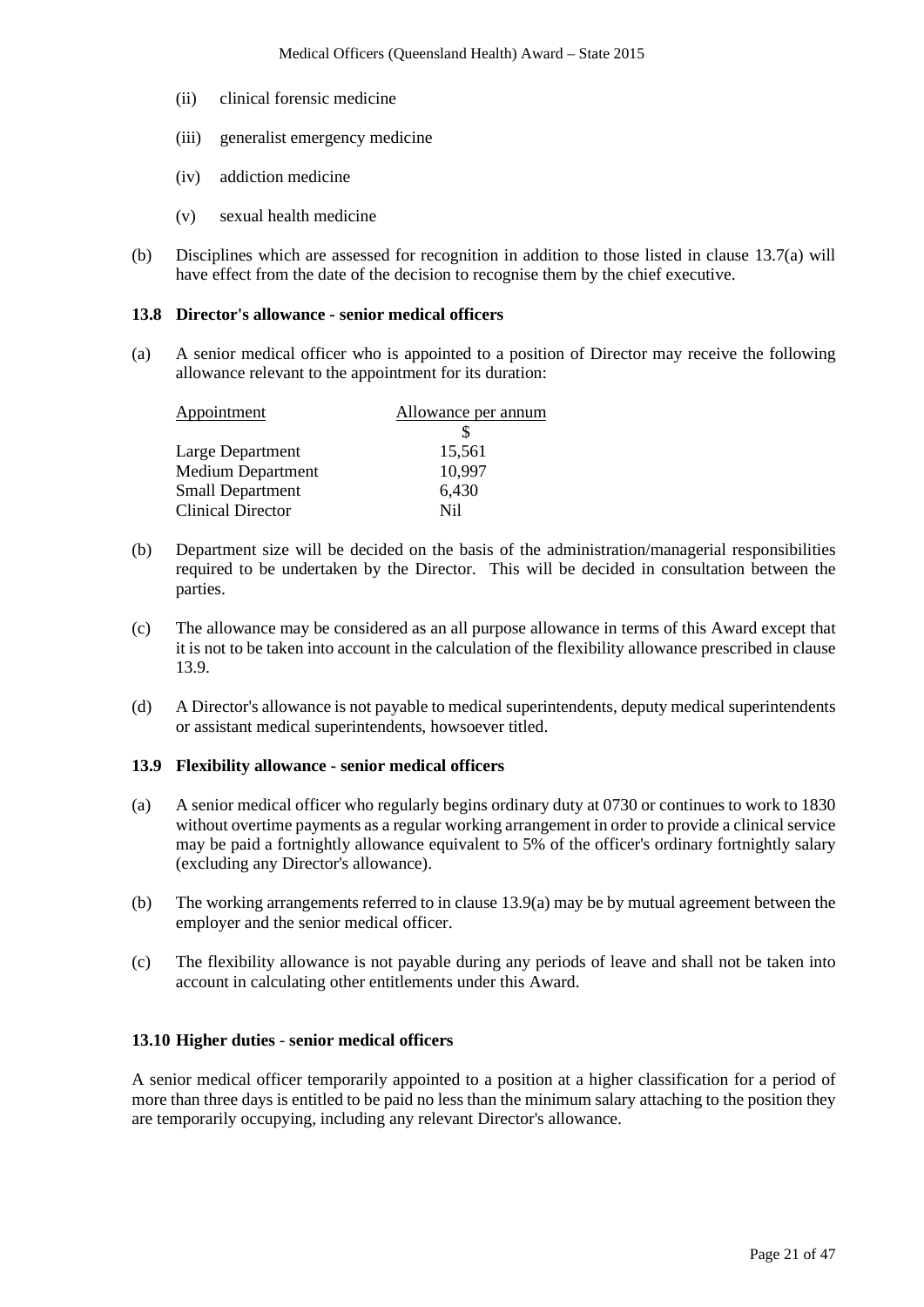- (ii) clinical forensic medicine
- (iii) generalist emergency medicine
- (iv) addiction medicine
- (v) sexual health medicine
- (b) Disciplines which are assessed for recognition in addition to those listed in clause 13.7(a) will have effect from the date of the decision to recognise them by the chief executive.

#### **13.8 Director's allowance - senior medical officers**

(a) A senior medical officer who is appointed to a position of Director may receive the following allowance relevant to the appointment for its duration:

| Appointment              | Allowance per annum |
|--------------------------|---------------------|
|                          |                     |
| Large Department         | 15,561              |
| <b>Medium Department</b> | 10,997              |
| <b>Small Department</b>  | 6,430               |
| <b>Clinical Director</b> | Ni1                 |

- (b) Department size will be decided on the basis of the administration/managerial responsibilities required to be undertaken by the Director. This will be decided in consultation between the parties.
- (c) The allowance may be considered as an all purpose allowance in terms of this Award except that it is not to be taken into account in the calculation of the flexibility allowance prescribed in clause 13.9.
- (d) A Director's allowance is not payable to medical superintendents, deputy medical superintendents or assistant medical superintendents, howsoever titled.

#### **13.9 Flexibility allowance - senior medical officers**

- (a) A senior medical officer who regularly begins ordinary duty at 0730 or continues to work to 1830 without overtime payments as a regular working arrangement in order to provide a clinical service may be paid a fortnightly allowance equivalent to 5% of the officer's ordinary fortnightly salary (excluding any Director's allowance).
- (b) The working arrangements referred to in clause 13.9(a) may be by mutual agreement between the employer and the senior medical officer.
- (c) The flexibility allowance is not payable during any periods of leave and shall not be taken into account in calculating other entitlements under this Award.

#### **13.10 Higher duties** - **senior medical officers**

A senior medical officer temporarily appointed to a position at a higher classification for a period of more than three days is entitled to be paid no less than the minimum salary attaching to the position they are temporarily occupying, including any relevant Director's allowance.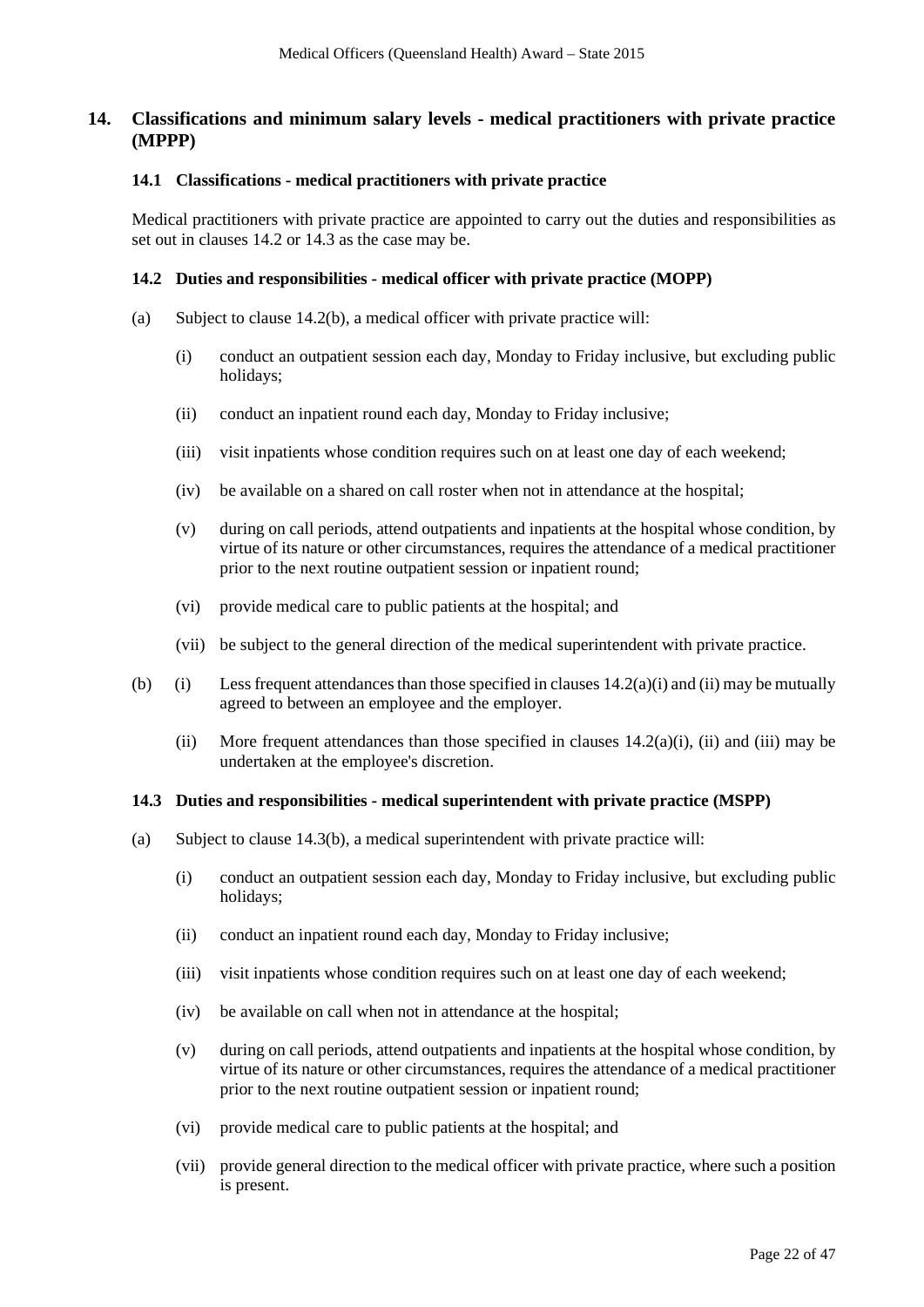# **14. Classifications and minimum salary levels - medical practitioners with private practice (MPPP)**

#### **14.1 Classifications - medical practitioners with private practice**

Medical practitioners with private practice are appointed to carry out the duties and responsibilities as set out in clauses 14.2 or 14.3 as the case may be.

#### **14.2 Duties and responsibilities - medical officer with private practice (MOPP)**

- <span id="page-21-0"></span>(a) Subject to clause 14.2(b), a medical officer with private practice will:
	- (i) conduct an outpatient session each day, Monday to Friday inclusive, but excluding public holidays;
	- (ii) conduct an inpatient round each day, Monday to Friday inclusive;
	- (iii) visit inpatients whose condition requires such on at least one day of each weekend;
	- (iv) be available on a shared on call roster when not in attendance at the hospital;
	- (v) during on call periods, attend outpatients and inpatients at the hospital whose condition, by virtue of its nature or other circumstances, requires the attendance of a medical practitioner prior to the next routine outpatient session or inpatient round;
	- (vi) provide medical care to public patients at the hospital; and
	- (vii) be subject to the general direction of the medical superintendent with private practice.
- (b) (i) Less frequent attendances than those specified in clauses  $14.2(a)(i)$  $14.2(a)(i)$  and (ii) may be mutually agreed to between an employee and the employer.
	- (ii) More frequent attendances than those specified in clauses  $14.2(a)(i)$ , (ii) and (iii) may be undertaken at the employee's discretion.

#### **14.3 Duties and responsibilities - medical superintendent with private practice (MSPP)**

- (a) Subject to clause 14.3(b), a medical superintendent with private practice will:
	- (i) conduct an outpatient session each day, Monday to Friday inclusive, but excluding public holidays;
	- (ii) conduct an inpatient round each day, Monday to Friday inclusive;
	- (iii) visit inpatients whose condition requires such on at least one day of each weekend;
	- (iv) be available on call when not in attendance at the hospital;
	- (v) during on call periods, attend outpatients and inpatients at the hospital whose condition, by virtue of its nature or other circumstances, requires the attendance of a medical practitioner prior to the next routine outpatient session or inpatient round;
	- (vi) provide medical care to public patients at the hospital; and
	- (vii) provide general direction to the medical officer with private practice, where such a position is present.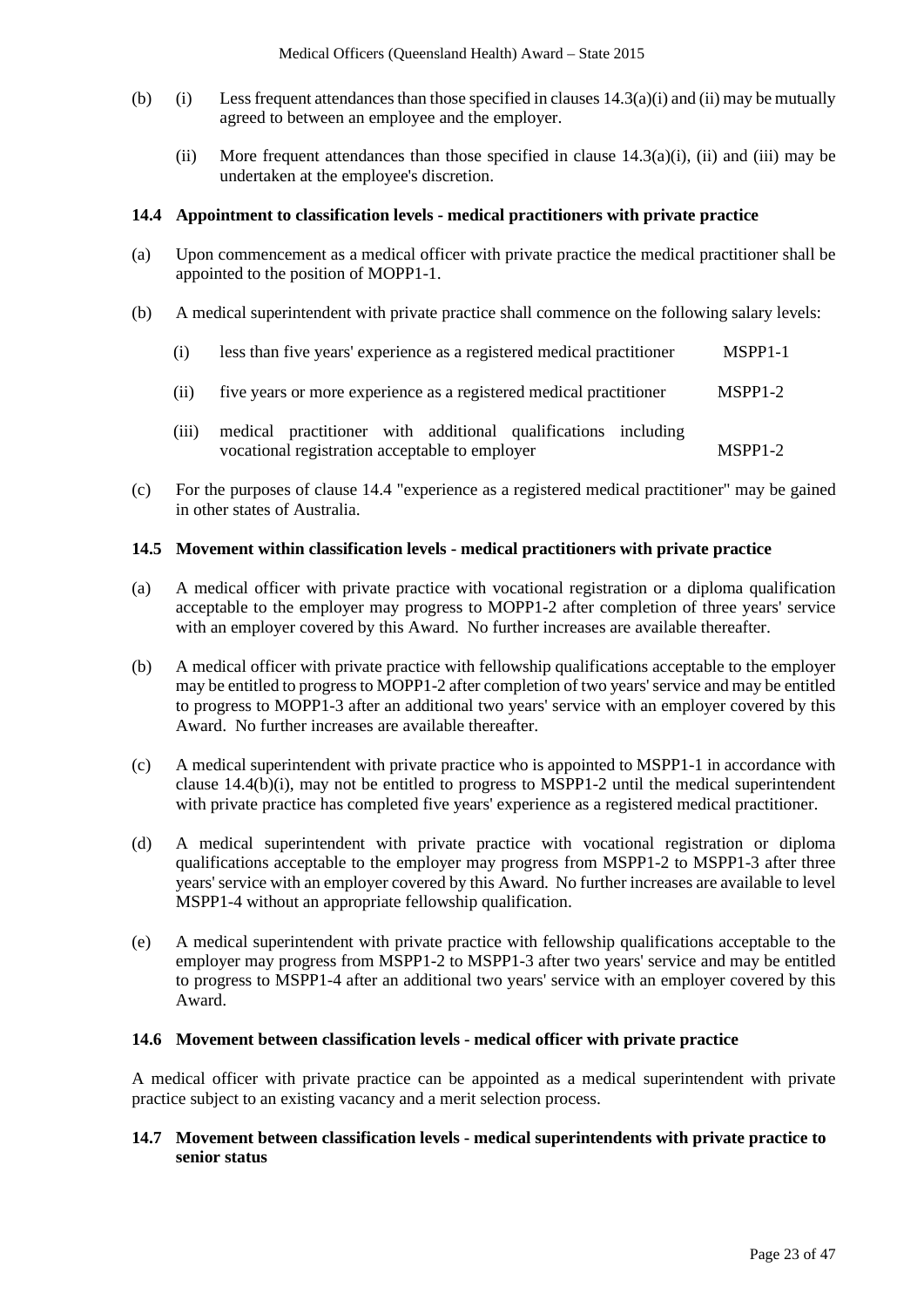- (b) (i) Less frequent attendances than those specified in clauses  $14.3(a)(i)$  and (ii) may be mutually agreed to between an employee and the employer.
	- (ii) More frequent attendances than those specified in clause  $14.3(a)(i)$ , (ii) and (iii) may be undertaken at the employee's discretion.

#### **14.4 Appointment to classification levels - medical practitioners with private practice**

- (a) Upon commencement as a medical officer with private practice the medical practitioner shall be appointed to the position of MOPP1-1.
- (b) A medical superintendent with private practice shall commence on the following salary levels:

| (i) |  |  |  | less than five years' experience as a registered medical practitioner | MSPP <sub>1</sub> -1 |
|-----|--|--|--|-----------------------------------------------------------------------|----------------------|
|-----|--|--|--|-----------------------------------------------------------------------|----------------------|

- (ii) five years or more experience as a registered medical practitioner MSPP1-2
- (iii) medical practitioner with additional qualifications including vocational registration acceptable to employer MSPP1-2
- (c) For the purposes of clause 14.4 "experience as a registered medical practitioner" may be gained in other states of Australia.

#### **14.5 Movement within classification levels - medical practitioners with private practice**

- (a) A medical officer with private practice with vocational registration or a diploma qualification acceptable to the employer may progress to MOPP1-2 after completion of three years' service with an employer covered by this Award. No further increases are available thereafter.
- (b) A medical officer with private practice with fellowship qualifications acceptable to the employer may be entitled to progress to MOPP1-2 after completion of two years' service and may be entitled to progress to MOPP1-3 after an additional two years' service with an employer covered by this Award. No further increases are available thereafter.
- (c) A medical superintendent with private practice who is appointed to MSPP1-1 in accordance with clause 14.4(b)(i), may not be entitled to progress to MSPP1-2 until the medical superintendent with private practice has completed five years' experience as a registered medical practitioner.
- (d) A medical superintendent with private practice with vocational registration or diploma qualifications acceptable to the employer may progress from MSPP1-2 to MSPP1-3 after three years' service with an employer covered by this Award. No further increases are available to level MSPP1-4 without an appropriate fellowship qualification.
- (e) A medical superintendent with private practice with fellowship qualifications acceptable to the employer may progress from MSPP1-2 to MSPP1-3 after two years' service and may be entitled to progress to MSPP1-4 after an additional two years' service with an employer covered by this Award.

#### **14.6 Movement between classification levels - medical officer with private practice**

A medical officer with private practice can be appointed as a medical superintendent with private practice subject to an existing vacancy and a merit selection process.

#### **14.7 Movement between classification levels - medical superintendents with private practice to senior status**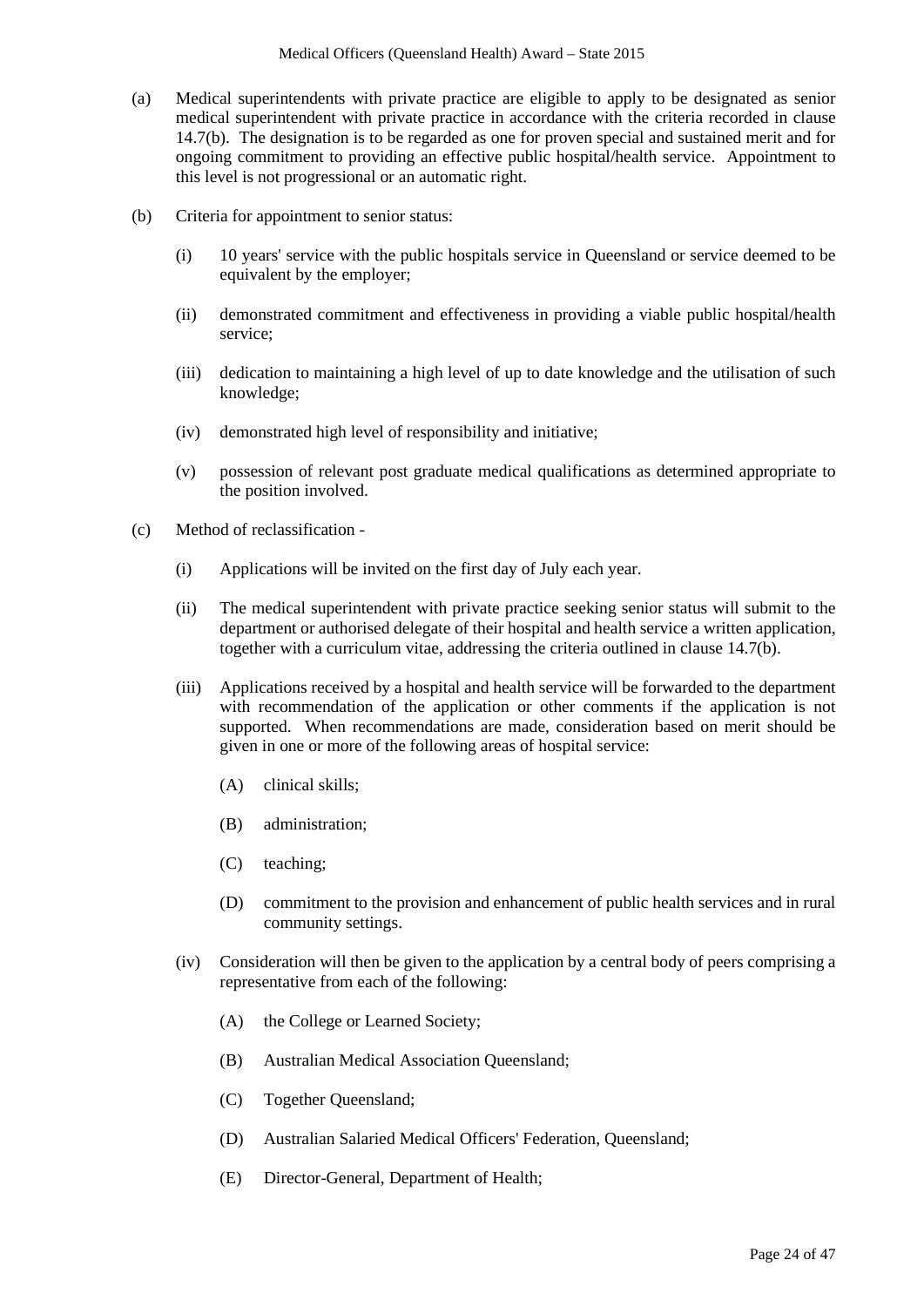- (a) Medical superintendents with private practice are eligible to apply to be designated as senior medical superintendent with private practice in accordance with the criteria recorded in clause 14.7(b). The designation is to be regarded as one for proven special and sustained merit and for ongoing commitment to providing an effective public hospital/health service. Appointment to this level is not progressional or an automatic right.
- (b) Criteria for appointment to senior status:
	- (i) 10 years' service with the public hospitals service in Queensland or service deemed to be equivalent by the employer;
	- (ii) demonstrated commitment and effectiveness in providing a viable public hospital/health service;
	- (iii) dedication to maintaining a high level of up to date knowledge and the utilisation of such knowledge;
	- (iv) demonstrated high level of responsibility and initiative;
	- (v) possession of relevant post graduate medical qualifications as determined appropriate to the position involved.
- (c) Method of reclassification
	- (i) Applications will be invited on the first day of July each year.
	- (ii) The medical superintendent with private practice seeking senior status will submit to the department or authorised delegate of their hospital and health service a written application, together with a curriculum vitae, addressing the criteria outlined in clause 14.7(b).
	- (iii) Applications received by a hospital and health service will be forwarded to the department with recommendation of the application or other comments if the application is not supported. When recommendations are made, consideration based on merit should be given in one or more of the following areas of hospital service:
		- (A) clinical skills;
		- (B) administration;
		- (C) teaching;
		- (D) commitment to the provision and enhancement of public health services and in rural community settings.
	- (iv) Consideration will then be given to the application by a central body of peers comprising a representative from each of the following:
		- (A) the College or Learned Society;
		- (B) Australian Medical Association Queensland;
		- (C) Together Queensland;
		- (D) Australian Salaried Medical Officers' Federation, Queensland;
		- (E) Director-General, Department of Health;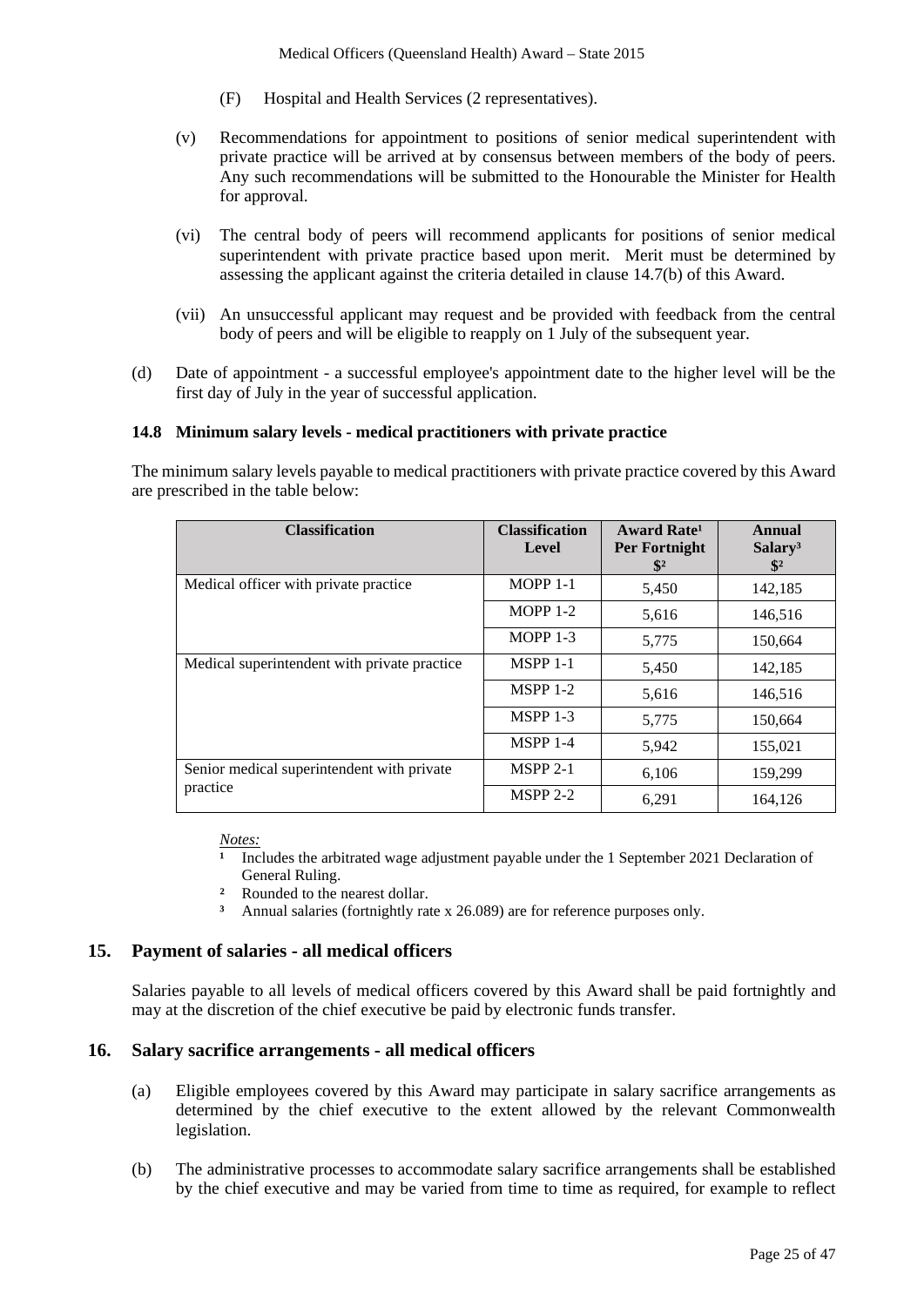- (F) Hospital and Health Services (2 representatives).
- (v) Recommendations for appointment to positions of senior medical superintendent with private practice will be arrived at by consensus between members of the body of peers. Any such recommendations will be submitted to the Honourable the Minister for Health for approval.
- (vi) The central body of peers will recommend applicants for positions of senior medical superintendent with private practice based upon merit. Merit must be determined by assessing the applicant against the criteria detailed in clause 14.7(b) of this Award.
- (vii) An unsuccessful applicant may request and be provided with feedback from the central body of peers and will be eligible to reapply on 1 July of the subsequent year.
- (d) Date of appointment a successful employee's appointment date to the higher level will be the first day of July in the year of successful application.

#### **14.8 Minimum salary levels - medical practitioners with private practice**

The minimum salary levels payable to medical practitioners with private practice covered by this Award are prescribed in the table below:

| <b>Classification</b>                        | <b>Classification</b><br><b>Level</b> | <b>Award Rate</b> <sup>1</sup><br>Per Fortnight<br>$\mathbf{\$}^2$ | <b>Annual</b><br>Salary <sup>3</sup><br>$\mathbb{S}^2$ |
|----------------------------------------------|---------------------------------------|--------------------------------------------------------------------|--------------------------------------------------------|
| Medical officer with private practice        | $MOPP 1-1$                            | 5,450                                                              | 142,185                                                |
|                                              | $MOPP 1-2$                            | 5,616                                                              | 146,516                                                |
|                                              | MOPP $1-3$                            | 5,775                                                              | 150,664                                                |
| Medical superintendent with private practice | <b>MSPP 1-1</b>                       | 5,450                                                              | 142,185                                                |
|                                              | $MSPP 1-2$                            | 5,616                                                              | 146,516                                                |
|                                              | <b>MSPP 1-3</b>                       | 5,775                                                              | 150,664                                                |
|                                              | <b>MSPP 1-4</b>                       | 5,942                                                              | 155,021                                                |
| Senior medical superintendent with private   | $MSPP 2-1$                            | 6,106                                                              | 159,299                                                |
| practice                                     | $MSPP 2-2$                            | 6,291                                                              | 164,126                                                |

#### *Notes:*

Includes the arbitrated wage adjustment payable under the 1 September 2021 Declaration of General Ruling.

- <sup>2</sup> Rounded to the nearest dollar.
- **³** Annual salaries (fortnightly rate x 26.089) are for reference purposes only.

#### **15. Payment of salaries - all medical officers**

Salaries payable to all levels of medical officers covered by this Award shall be paid fortnightly and may at the discretion of the chief executive be paid by electronic funds transfer.

#### **16. Salary sacrifice arrangements - all medical officers**

- (a) Eligible employees covered by this Award may participate in salary sacrifice arrangements as determined by the chief executive to the extent allowed by the relevant Commonwealth legislation.
- (b) The administrative processes to accommodate salary sacrifice arrangements shall be established by the chief executive and may be varied from time to time as required, for example to reflect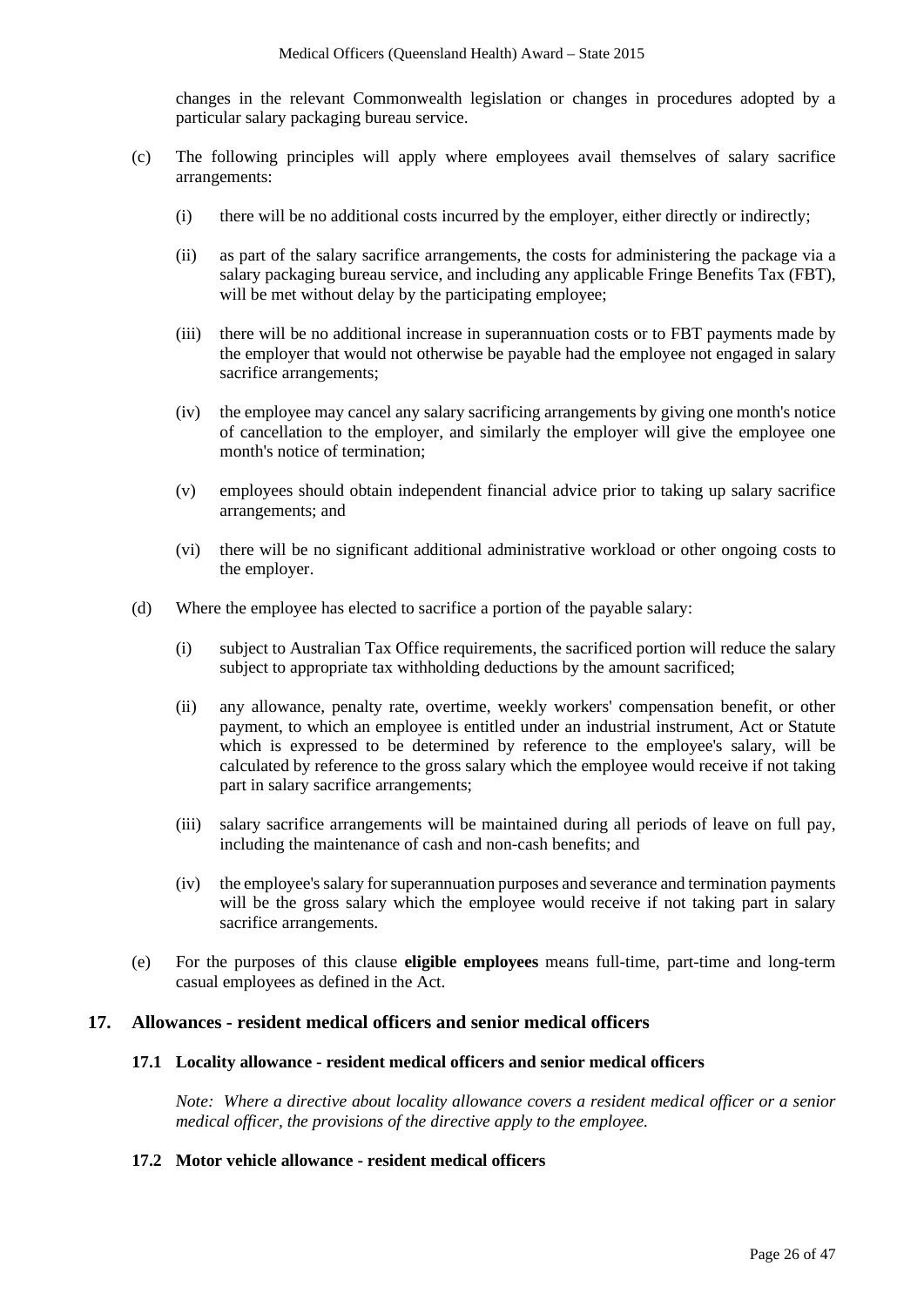changes in the relevant Commonwealth legislation or changes in procedures adopted by a particular salary packaging bureau service.

- (c) The following principles will apply where employees avail themselves of salary sacrifice arrangements:
	- (i) there will be no additional costs incurred by the employer, either directly or indirectly;
	- (ii) as part of the salary sacrifice arrangements, the costs for administering the package via a salary packaging bureau service, and including any applicable Fringe Benefits Tax (FBT), will be met without delay by the participating employee;
	- (iii) there will be no additional increase in superannuation costs or to FBT payments made by the employer that would not otherwise be payable had the employee not engaged in salary sacrifice arrangements;
	- (iv) the employee may cancel any salary sacrificing arrangements by giving one month's notice of cancellation to the employer, and similarly the employer will give the employee one month's notice of termination;
	- (v) employees should obtain independent financial advice prior to taking up salary sacrifice arrangements; and
	- (vi) there will be no significant additional administrative workload or other ongoing costs to the employer.
- (d) Where the employee has elected to sacrifice a portion of the payable salary:
	- (i) subject to Australian Tax Office requirements, the sacrificed portion will reduce the salary subject to appropriate tax withholding deductions by the amount sacrificed;
	- (ii) any allowance, penalty rate, overtime, weekly workers' compensation benefit, or other payment, to which an employee is entitled under an industrial instrument, Act or Statute which is expressed to be determined by reference to the employee's salary, will be calculated by reference to the gross salary which the employee would receive if not taking part in salary sacrifice arrangements;
	- (iii) salary sacrifice arrangements will be maintained during all periods of leave on full pay, including the maintenance of cash and non-cash benefits; and
	- (iv) the employee's salary for superannuation purposes and severance and termination payments will be the gross salary which the employee would receive if not taking part in salary sacrifice arrangements.
- (e) For the purposes of this clause **eligible employees** means full-time, part-time and long-term casual employees as defined in the Act.

# **17. Allowances - resident medical officers and senior medical officers**

#### **17.1 Locality allowance - resident medical officers and senior medical officers**

*Note: Where a directive about locality allowance covers a resident medical officer or a senior medical officer, the provisions of the directive apply to the employee.* 

#### **17.2 Motor vehicle allowance - resident medical officers**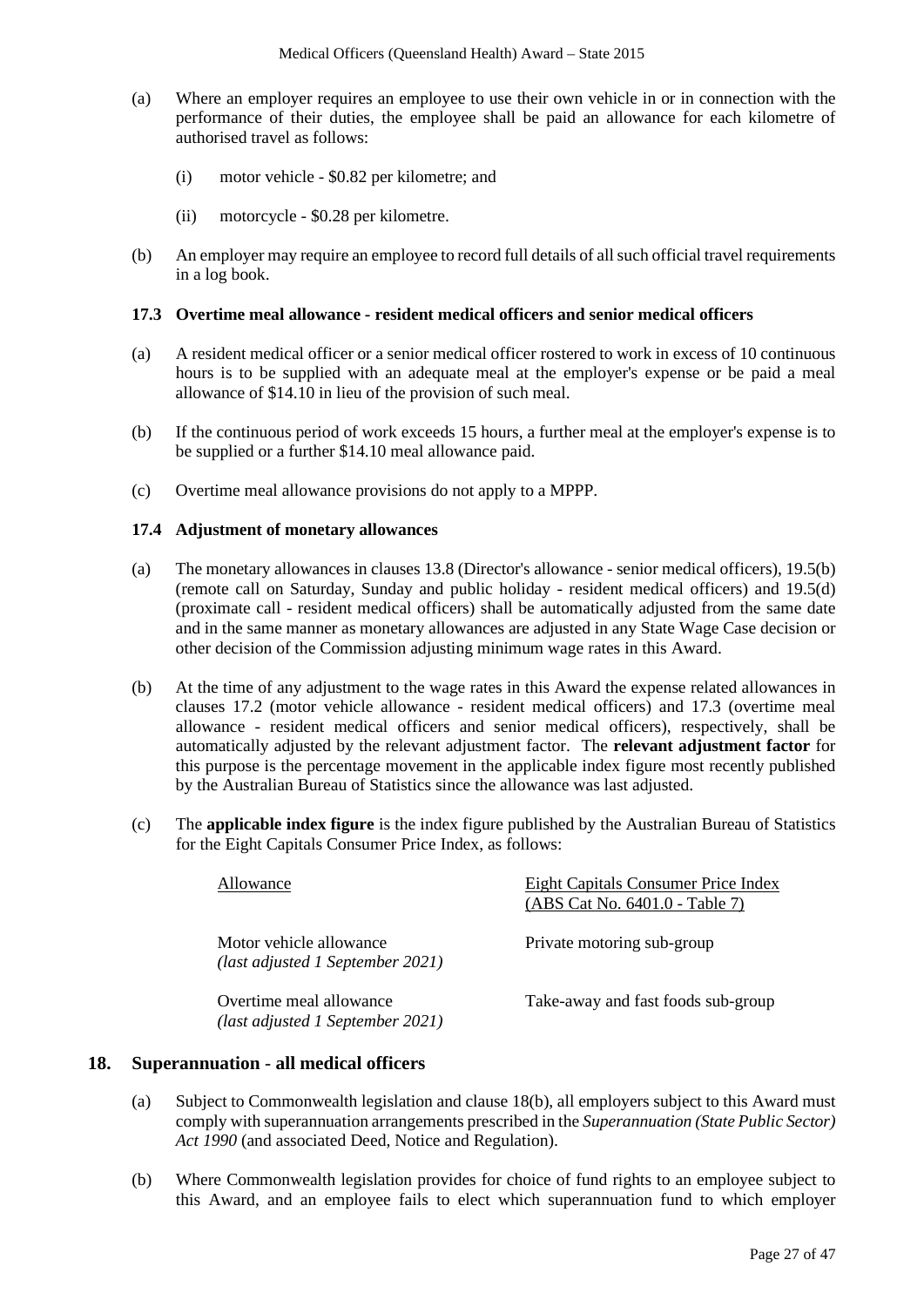- (a) Where an employer requires an employee to use their own vehicle in or in connection with the performance of their duties, the employee shall be paid an allowance for each kilometre of authorised travel as follows:
	- (i) motor vehicle \$0.82 per kilometre; and
	- (ii) motorcycle \$0.28 per kilometre.
- (b) An employer may require an employee to record full details of all such official travel requirements in a log book.

#### **17.3 Overtime meal allowance - resident medical officers and senior medical officers**

- (a) A resident medical officer or a senior medical officer rostered to work in excess of 10 continuous hours is to be supplied with an adequate meal at the employer's expense or be paid a meal allowance of \$14.10 in lieu of the provision of such meal.
- (b) If the continuous period of work exceeds 15 hours, a further meal at the employer's expense is to be supplied or a further \$14.10 meal allowance paid.
- (c) Overtime meal allowance provisions do not apply to a MPPP.

#### **17.4 Adjustment of monetary allowances**

- (a) The monetary allowances in clauses 13.8 (Director's allowance senior medical officers), 19.5(b) (remote call on Saturday, Sunday and public holiday - resident medical officers) and 19.5(d) (proximate call - resident medical officers) shall be automatically adjusted from the same date and in the same manner as monetary allowances are adjusted in any State Wage Case decision or other decision of the Commission adjusting minimum wage rates in this Award.
- (b) At the time of any adjustment to the wage rates in this Award the expense related allowances in clauses 17.2 (motor vehicle allowance - resident medical officers) and 17.3 (overtime meal allowance - resident medical officers and senior medical officers), respectively, shall be automatically adjusted by the relevant adjustment factor. The **relevant adjustment factor** for this purpose is the percentage movement in the applicable index figure most recently published by the Australian Bureau of Statistics since the allowance was last adjusted.
- (c) The **applicable index figure** is the index figure published by the Australian Bureau of Statistics for the Eight Capitals Consumer Price Index, as follows:

| Allowance                                                   | Eight Capitals Consumer Price Index<br>(ABS Cat No. 6401.0 - Table 7) |
|-------------------------------------------------------------|-----------------------------------------------------------------------|
| Motor vehicle allowance<br>(last adjusted 1 September 2021) | Private motoring sub-group                                            |
| Overtime meal allowance<br>(last adjusted 1 September 2021) | Take-away and fast foods sub-group                                    |

#### **18. Superannuation** - **all medical officers**

- (a) Subject to Commonwealth legislation and clause 18(b), all employers subject to this Award must comply with superannuation arrangements prescribed in the *Superannuation (State Public Sector) Act 1990* (and associated Deed, Notice and Regulation).
- (b) Where Commonwealth legislation provides for choice of fund rights to an employee subject to this Award, and an employee fails to elect which superannuation fund to which employer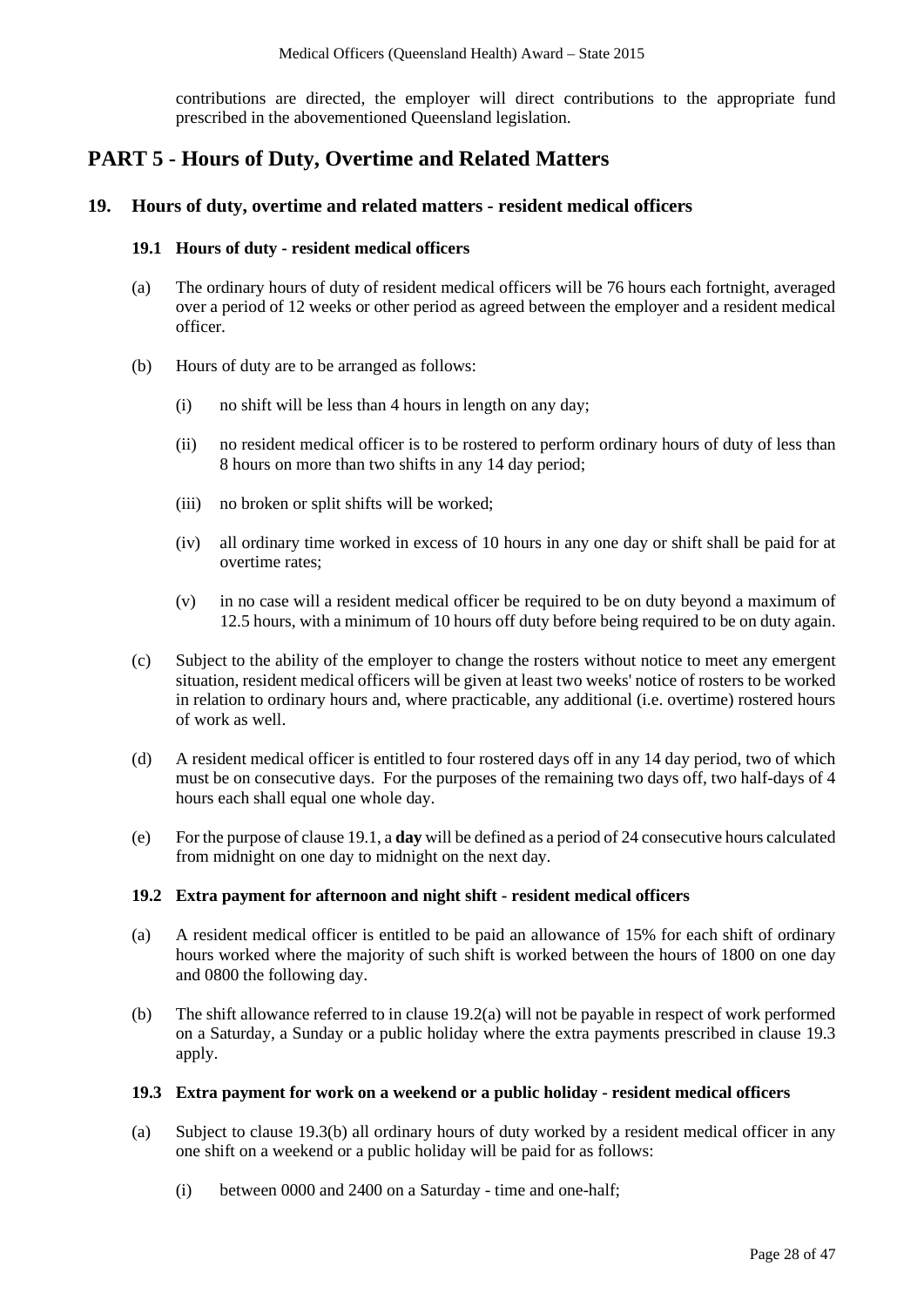contributions are directed, the employer will direct contributions to the appropriate fund prescribed in the abovementioned Queensland legislation.

# **PART 5 - Hours of Duty, Overtime and Related Matters**

### **19. Hours of duty, overtime and related matters - resident medical officers**

#### **19.1 Hours of duty - resident medical officers**

- (a) The ordinary hours of duty of resident medical officers will be 76 hours each fortnight, averaged over a period of 12 weeks or other period as agreed between the employer and a resident medical officer.
- (b) Hours of duty are to be arranged as follows:
	- (i) no shift will be less than 4 hours in length on any day;
	- (ii) no resident medical officer is to be rostered to perform ordinary hours of duty of less than 8 hours on more than two shifts in any 14 day period;
	- (iii) no broken or split shifts will be worked;
	- (iv) all ordinary time worked in excess of 10 hours in any one day or shift shall be paid for at overtime rates;
	- (v) in no case will a resident medical officer be required to be on duty beyond a maximum of 12.5 hours, with a minimum of 10 hours off duty before being required to be on duty again.
- (c) Subject to the ability of the employer to change the rosters without notice to meet any emergent situation, resident medical officers will be given at least two weeks' notice of rosters to be worked in relation to ordinary hours and, where practicable, any additional (i.e. overtime) rostered hours of work as well.
- (d) A resident medical officer is entitled to four rostered days off in any 14 day period, two of which must be on consecutive days. For the purposes of the remaining two days off, two half-days of 4 hours each shall equal one whole day.
- (e) For the purpose of clause 19.1, a **day** will be defined as a period of 24 consecutive hours calculated from midnight on one day to midnight on the next day.

#### **19.2 Extra payment for afternoon and night shift - resident medical officers**

- (a) A resident medical officer is entitled to be paid an allowance of 15% for each shift of ordinary hours worked where the majority of such shift is worked between the hours of 1800 on one day and 0800 the following day.
- (b) The shift allowance referred to in clause 19.2(a) will not be payable in respect of work performed on a Saturday, a Sunday or a public holiday where the extra payments prescribed in clause 19.3 apply.

#### **19.3 Extra payment for work on a weekend or a public holiday - resident medical officers**

- (a) Subject to clause 19.3(b) all ordinary hours of duty worked by a resident medical officer in any one shift on a weekend or a public holiday will be paid for as follows:
	- (i) between 0000 and 2400 on a Saturday time and one-half;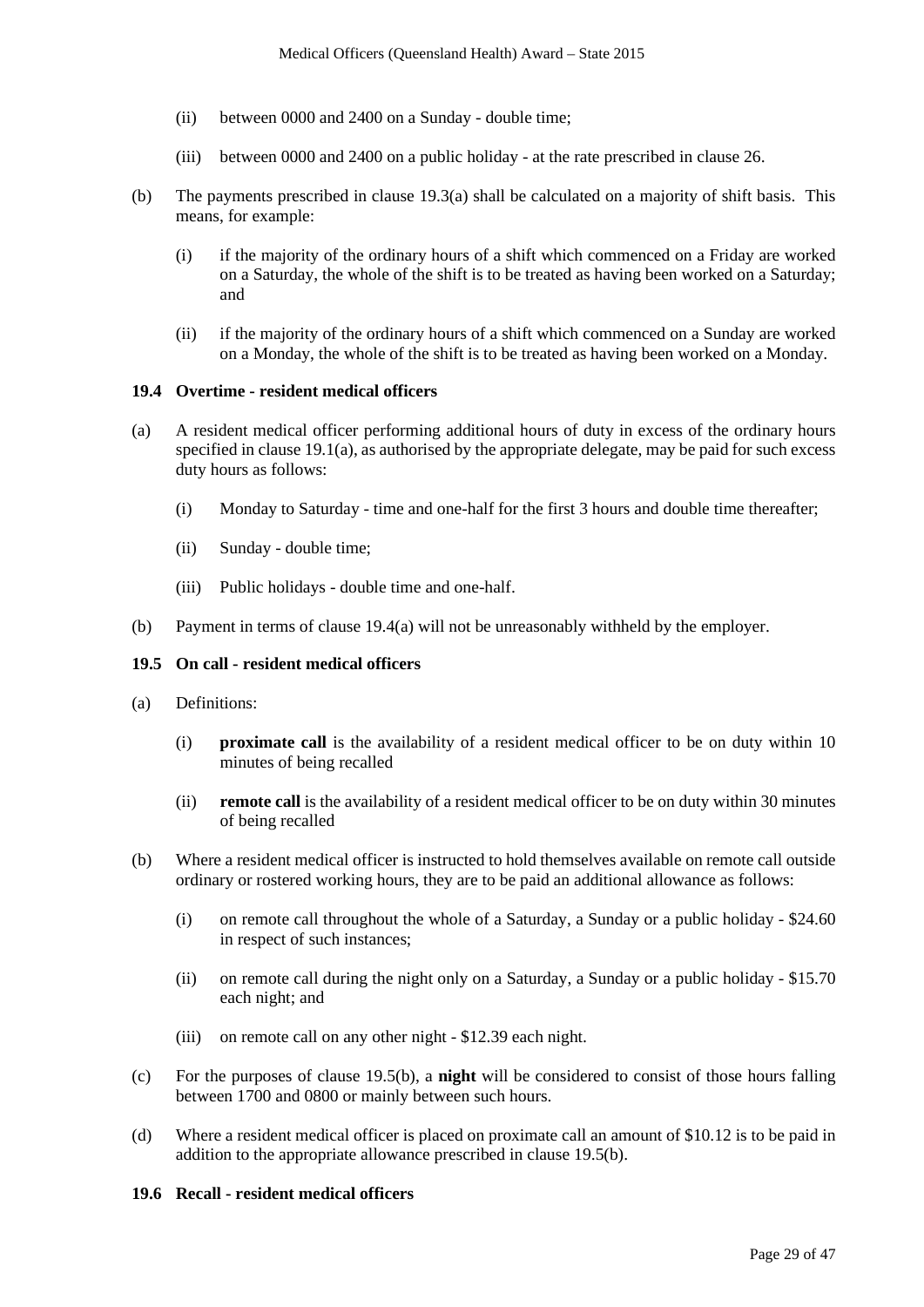- (ii) between 0000 and 2400 on a Sunday double time;
- (iii) between 0000 and 2400 on a public holiday at the rate prescribed in clause 26.
- (b) The payments prescribed in clause 19.3(a) shall be calculated on a majority of shift basis. This means, for example:
	- (i) if the majority of the ordinary hours of a shift which commenced on a Friday are worked on a Saturday, the whole of the shift is to be treated as having been worked on a Saturday; and
	- (ii) if the majority of the ordinary hours of a shift which commenced on a Sunday are worked on a Monday, the whole of the shift is to be treated as having been worked on a Monday.

#### **19.4 Overtime - resident medical officers**

- (a) A resident medical officer performing additional hours of duty in excess of the ordinary hours specified in clause  $19.1(a)$ , as authorised by the appropriate delegate, may be paid for such excess duty hours as follows:
	- (i) Monday to Saturday time and one-half for the first 3 hours and double time thereafter;
	- (ii) Sunday double time;
	- (iii) Public holidays double time and one-half.
- (b) Payment in terms of clause 19.4(a) will not be unreasonably withheld by the employer.

#### **19.5 On call - resident medical officers**

- (a) Definitions:
	- (i) **proximate call** is the availability of a resident medical officer to be on duty within 10 minutes of being recalled
	- (ii) **remote call** is the availability of a resident medical officer to be on duty within 30 minutes of being recalled
- (b) Where a resident medical officer is instructed to hold themselves available on remote call outside ordinary or rostered working hours, they are to be paid an additional allowance as follows:
	- (i) on remote call throughout the whole of a Saturday, a Sunday or a public holiday \$24.60 in respect of such instances;
	- (ii) on remote call during the night only on a Saturday, a Sunday or a public holiday \$15.70 each night; and
	- (iii) on remote call on any other night \$12.39 each night.
- (c) For the purposes of clause 19.5(b), a **night** will be considered to consist of those hours falling between 1700 and 0800 or mainly between such hours.
- (d) Where a resident medical officer is placed on proximate call an amount of \$10.12 is to be paid in addition to the appropriate allowance prescribed in clause 19.5(b).

#### **19.6 Recall - resident medical officers**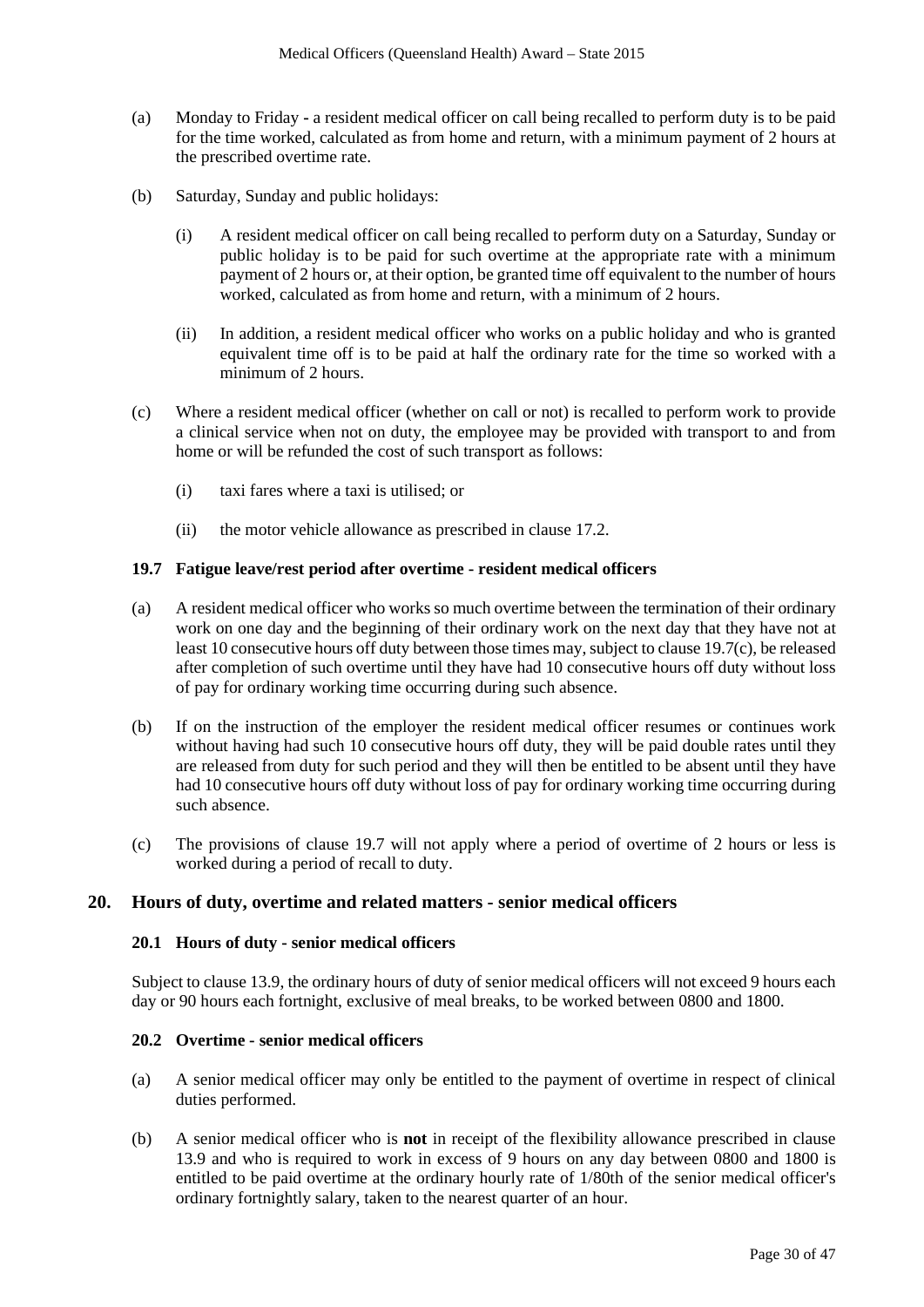- (a) Monday to Friday **-** a resident medical officer on call being recalled to perform duty is to be paid for the time worked, calculated as from home and return, with a minimum payment of 2 hours at the prescribed overtime rate.
- (b) Saturday, Sunday and public holidays:
	- (i) A resident medical officer on call being recalled to perform duty on a Saturday, Sunday or public holiday is to be paid for such overtime at the appropriate rate with a minimum payment of 2 hours or, at their option, be granted time off equivalent to the number of hours worked, calculated as from home and return, with a minimum of 2 hours.
	- (ii) In addition, a resident medical officer who works on a public holiday and who is granted equivalent time off is to be paid at half the ordinary rate for the time so worked with a minimum of 2 hours.
- (c) Where a resident medical officer (whether on call or not) is recalled to perform work to provide a clinical service when not on duty, the employee may be provided with transport to and from home or will be refunded the cost of such transport as follows:
	- (i) taxi fares where a taxi is utilised; or
	- (ii) the motor vehicle allowance as prescribed in clause 17.2.

#### **19.7 Fatigue leave/rest period after overtime - resident medical officers**

- (a) A resident medical officer who works so much overtime between the termination of their ordinary work on one day and the beginning of their ordinary work on the next day that they have not at least 10 consecutive hours off duty between those times may, subject to clause 19.7(c), be released after completion of such overtime until they have had 10 consecutive hours off duty without loss of pay for ordinary working time occurring during such absence.
- (b) If on the instruction of the employer the resident medical officer resumes or continues work without having had such 10 consecutive hours off duty, they will be paid double rates until they are released from duty for such period and they will then be entitled to be absent until they have had 10 consecutive hours off duty without loss of pay for ordinary working time occurring during such absence.
- (c) The provisions of clause 19.7 will not apply where a period of overtime of 2 hours or less is worked during a period of recall to duty.

#### **20. Hours of duty, overtime and related matters - senior medical officers**

#### **20.1 Hours of duty - senior medical officers**

Subject to clause 13.9, the ordinary hours of duty of senior medical officers will not exceed 9 hours each day or 90 hours each fortnight, exclusive of meal breaks, to be worked between 0800 and 1800.

#### **20.2 Overtime - senior medical officers**

- (a) A senior medical officer may only be entitled to the payment of overtime in respect of clinical duties performed.
- (b) A senior medical officer who is **not** in receipt of the flexibility allowance prescribed in clause 13.9 and who is required to work in excess of 9 hours on any day between 0800 and 1800 is entitled to be paid overtime at the ordinary hourly rate of 1/80th of the senior medical officer's ordinary fortnightly salary, taken to the nearest quarter of an hour.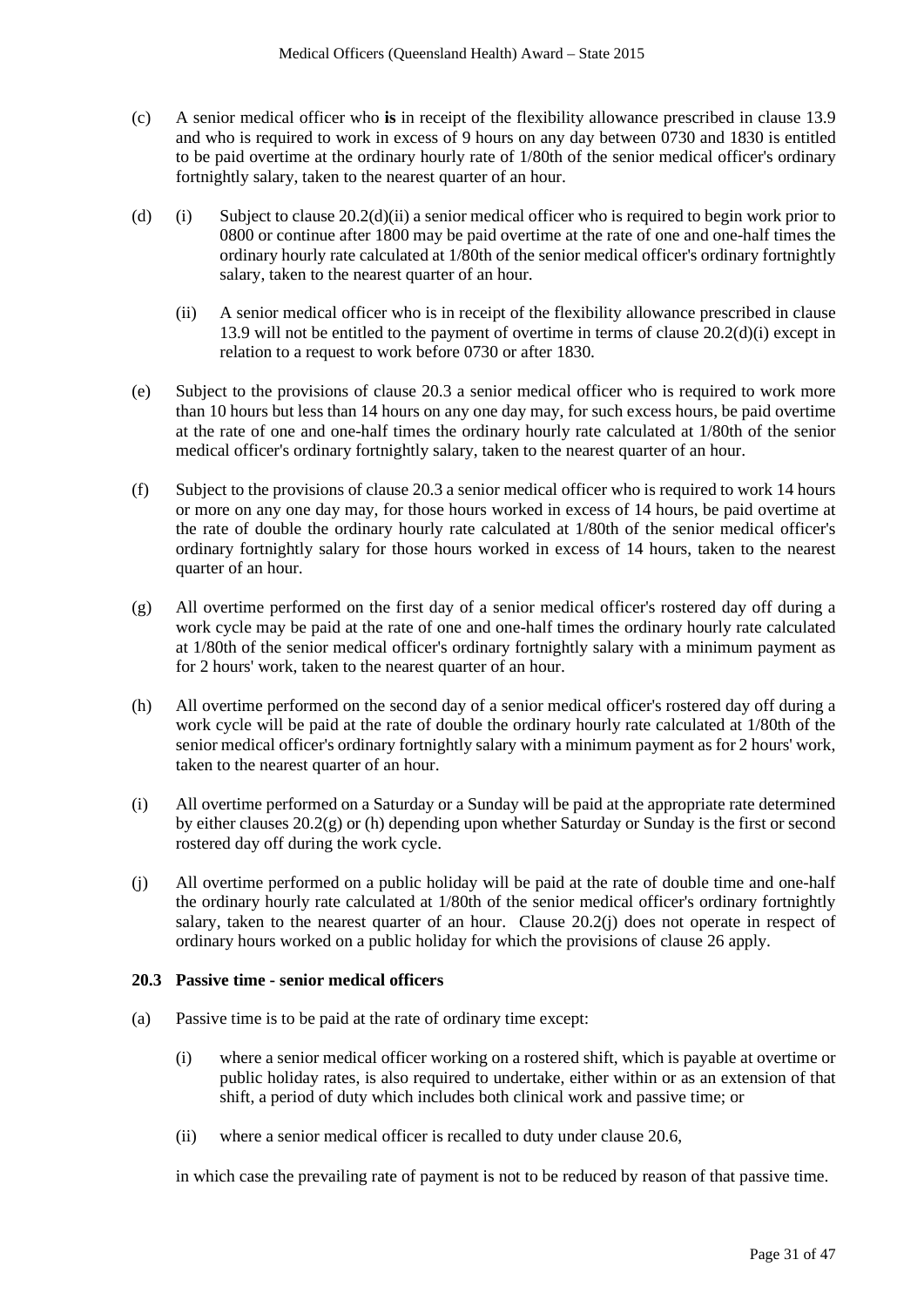- (c) A senior medical officer who **is** in receipt of the flexibility allowance prescribed in clause 13.9 and who is required to work in excess of 9 hours on any day between 0730 and 1830 is entitled to be paid overtime at the ordinary hourly rate of 1/80th of the senior medical officer's ordinary fortnightly salary, taken to the nearest quarter of an hour.
- (d) (i) Subject to clause  $20.2(d)(ii)$  a senior medical officer who is required to begin work prior to 0800 or continue after 1800 may be paid overtime at the rate of one and one-half times the ordinary hourly rate calculated at 1/80th of the senior medical officer's ordinary fortnightly salary, taken to the nearest quarter of an hour.
	- (ii) A senior medical officer who is in receipt of the flexibility allowance prescribed in clause 13.9 will not be entitled to the payment of overtime in terms of clause 20.2(d)(i) except in relation to a request to work before 0730 or after 1830.
- (e) Subject to the provisions of clause 20.3 a senior medical officer who is required to work more than 10 hours but less than 14 hours on any one day may, for such excess hours, be paid overtime at the rate of one and one-half times the ordinary hourly rate calculated at 1/80th of the senior medical officer's ordinary fortnightly salary, taken to the nearest quarter of an hour.
- (f) Subject to the provisions of clause 20.3 a senior medical officer who is required to work 14 hours or more on any one day may, for those hours worked in excess of 14 hours, be paid overtime at the rate of double the ordinary hourly rate calculated at 1/80th of the senior medical officer's ordinary fortnightly salary for those hours worked in excess of 14 hours, taken to the nearest quarter of an hour.
- (g) All overtime performed on the first day of a senior medical officer's rostered day off during a work cycle may be paid at the rate of one and one-half times the ordinary hourly rate calculated at 1/80th of the senior medical officer's ordinary fortnightly salary with a minimum payment as for 2 hours' work, taken to the nearest quarter of an hour.
- (h) All overtime performed on the second day of a senior medical officer's rostered day off during a work cycle will be paid at the rate of double the ordinary hourly rate calculated at 1/80th of the senior medical officer's ordinary fortnightly salary with a minimum payment as for 2 hours' work, taken to the nearest quarter of an hour.
- (i) All overtime performed on a Saturday or a Sunday will be paid at the appropriate rate determined by either clauses 20.2(g) or (h) depending upon whether Saturday or Sunday is the first or second rostered day off during the work cycle.
- (j) All overtime performed on a public holiday will be paid at the rate of double time and one-half the ordinary hourly rate calculated at 1/80th of the senior medical officer's ordinary fortnightly salary, taken to the nearest quarter of an hour. Clause 20.2(j) does not operate in respect of ordinary hours worked on a public holiday for which the provisions of clause 26 apply.

#### <span id="page-30-0"></span>**20.3 Passive time - senior medical officers**

- (a) Passive time is to be paid at the rate of ordinary time except:
	- (i) where a senior medical officer working on a rostered shift, which is payable at overtime or public holiday rates, is also required to undertake, either within or as an extension of that shift, a period of duty which includes both clinical work and passive time; or
	- (ii) where a senior medical officer is recalled to duty under clause 20.6,

in which case the prevailing rate of payment is not to be reduced by reason of that passive time.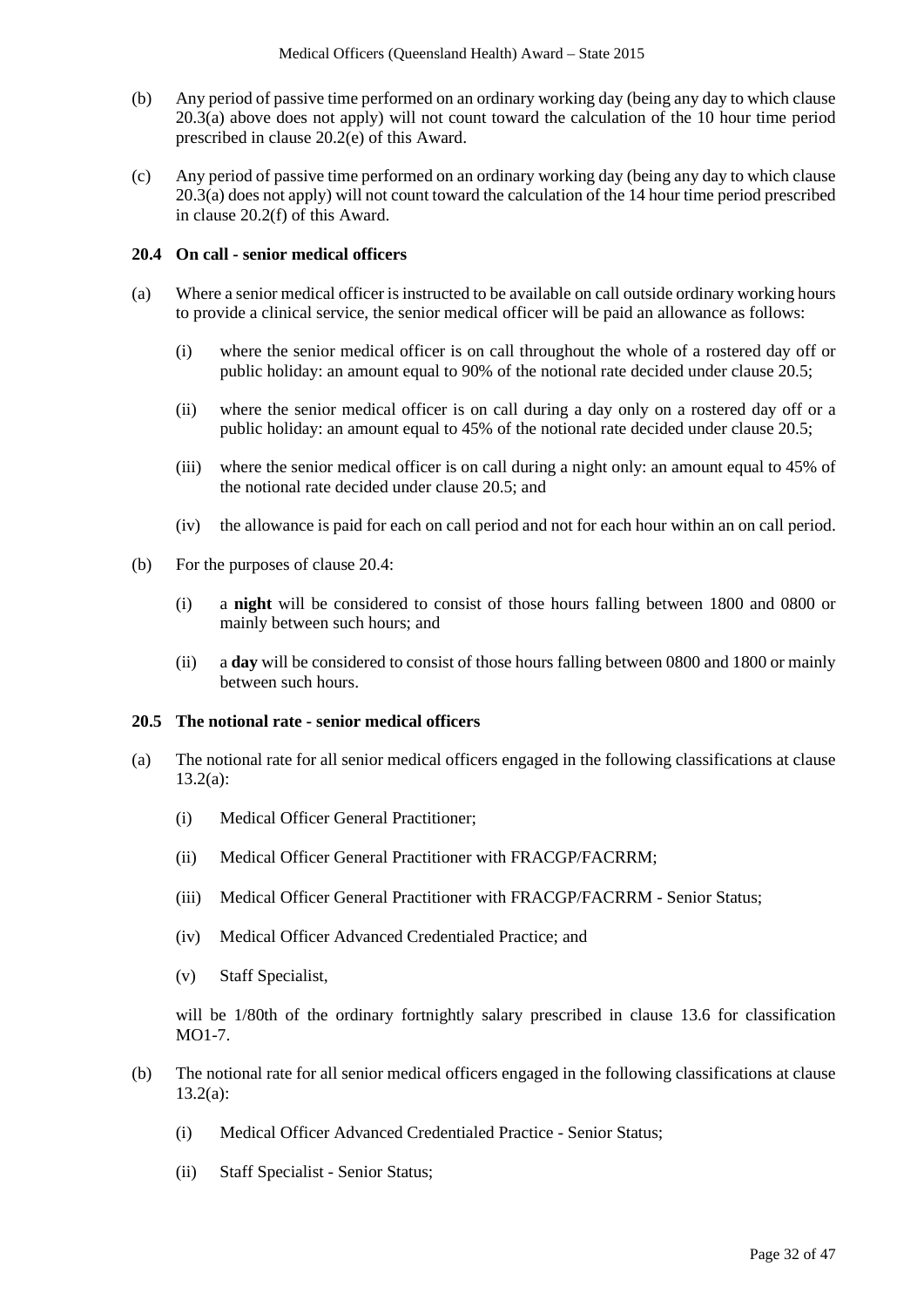- (b) Any period of passive time performed on an ordinary working day (being any day to which clause 20.[3\(a\)](#page-30-0) above does not apply) will not count toward the calculation of the 10 hour time period prescribed in clause 20.2(e) of this Award.
- (c) Any period of passive time performed on an ordinary working day (being any day to which clause 20.[3\(a\)](#page-30-0) does not apply) will not count toward the calculation of the 14 hour time period prescribed in clause 20.2(f) of this Award.

### **20.4 On call - senior medical officers**

- (a) Where a senior medical officer is instructed to be available on call outside ordinary working hours to provide a clinical service, the senior medical officer will be paid an allowance as follows:
	- (i) where the senior medical officer is on call throughout the whole of a rostered day off or public holiday: an amount equal to 90% of the notional rate decided under clause 20.5;
	- (ii) where the senior medical officer is on call during a day only on a rostered day off or a public holiday: an amount equal to 45% of the notional rate decided under clause 20.5;
	- (iii) where the senior medical officer is on call during a night only: an amount equal to 45% of the notional rate decided under clause 20.5; and
	- (iv) the allowance is paid for each on call period and not for each hour within an on call period.
- (b) For the purposes of clause 20.4:
	- (i) a **night** will be considered to consist of those hours falling between 1800 and 0800 or mainly between such hours; and
	- (ii) a **day** will be considered to consist of those hours falling between 0800 and 1800 or mainly between such hours.

#### **20.5 The notional rate - senior medical officers**

- (a) The notional rate for all senior medical officers engaged in the following classifications at clause 13.2(a):
	- (i) Medical Officer General Practitioner;
	- (ii) Medical Officer General Practitioner with FRACGP/FACRRM;
	- (iii) Medical Officer General Practitioner with FRACGP/FACRRM Senior Status;
	- (iv) Medical Officer Advanced Credentialed Practice; and
	- (v) Staff Specialist,

will be 1/80th of the ordinary fortnightly salary prescribed in clause 13.6 for classification  $MO1-7$ 

- (b) The notional rate for all senior medical officers engaged in the following classifications at clause 13.2(a):
	- (i) Medical Officer Advanced Credentialed Practice Senior Status;
	- (ii) Staff Specialist Senior Status;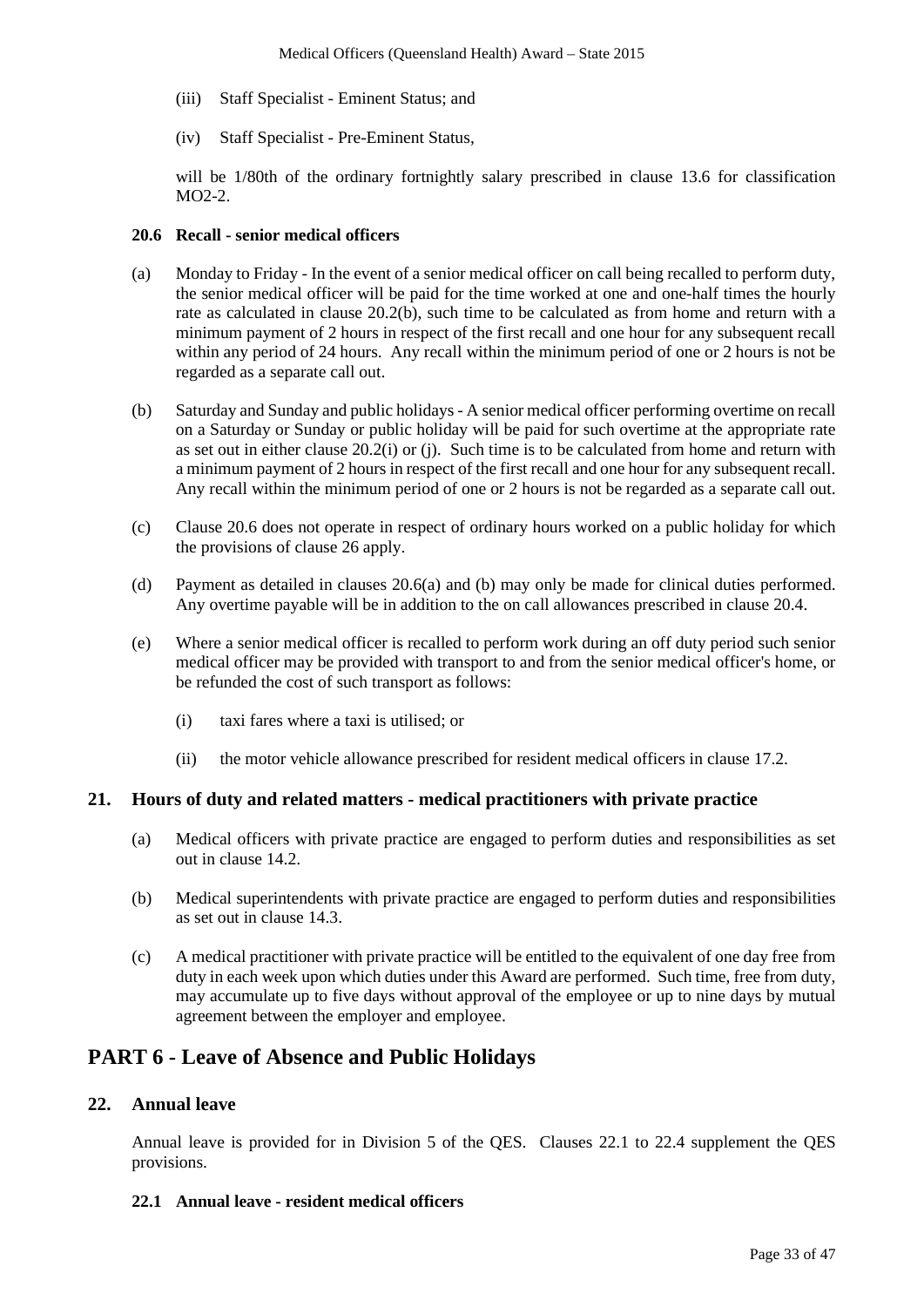- (iii) Staff Specialist Eminent Status; and
- (iv) Staff Specialist Pre-Eminent Status,

will be 1/80th of the ordinary fortnightly salary prescribed in clause 13.6 for classification MO2-2.

#### **20.6 Recall - senior medical officers**

- <span id="page-32-0"></span>(a) Monday to Friday - In the event of a senior medical officer on call being recalled to perform duty, the senior medical officer will be paid for the time worked at one and one-half times the hourly rate as calculated in clause 20.2(b), such time to be calculated as from home and return with a minimum payment of 2 hours in respect of the first recall and one hour for any subsequent recall within any period of 24 hours. Any recall within the minimum period of one or 2 hours is not be regarded as a separate call out.
- (b) Saturday and Sunday and public holidays A senior medical officer performing overtime on recall on a Saturday or Sunday or public holiday will be paid for such overtime at the appropriate rate as set out in either clause 20.2(i) or (j). Such time is to be calculated from home and return with a minimum payment of 2 hours in respect of the first recall and one hour for any subsequent recall. Any recall within the minimum period of one or 2 hours is not be regarded as a separate call out.
- (c) Clause 20.6 does not operate in respect of ordinary hours worked on a public holiday for which the provisions of clause 26 apply.
- (d) Payment as detailed in clauses 20.[6\(a\)](#page-32-0) and (b) may only be made for clinical duties performed. Any overtime payable will be in addition to the on call allowances prescribed in clause 20.4.
- (e) Where a senior medical officer is recalled to perform work during an off duty period such senior medical officer may be provided with transport to and from the senior medical officer's home, or be refunded the cost of such transport as follows:
	- (i) taxi fares where a taxi is utilised; or
	- (ii) the motor vehicle allowance prescribed for resident medical officers in clause 17.2.

#### **21. Hours of duty and related matters - medical practitioners with private practice**

- (a) Medical officers with private practice are engaged to perform duties and responsibilities as set out in clause 14.2.
- (b) Medical superintendents with private practice are engaged to perform duties and responsibilities as set out in clause 14.3.
- (c) A medical practitioner with private practice will be entitled to the equivalent of one day free from duty in each week upon which duties under this Award are performed. Such time, free from duty, may accumulate up to five days without approval of the employee or up to nine days by mutual agreement between the employer and employee.

# **PART 6 - Leave of Absence and Public Holidays**

## **22. Annual leave**

Annual leave is provided for in Division 5 of the QES. Clauses 22.1 to 22.4 supplement the QES provisions.

#### **22.1 Annual leave - resident medical officers**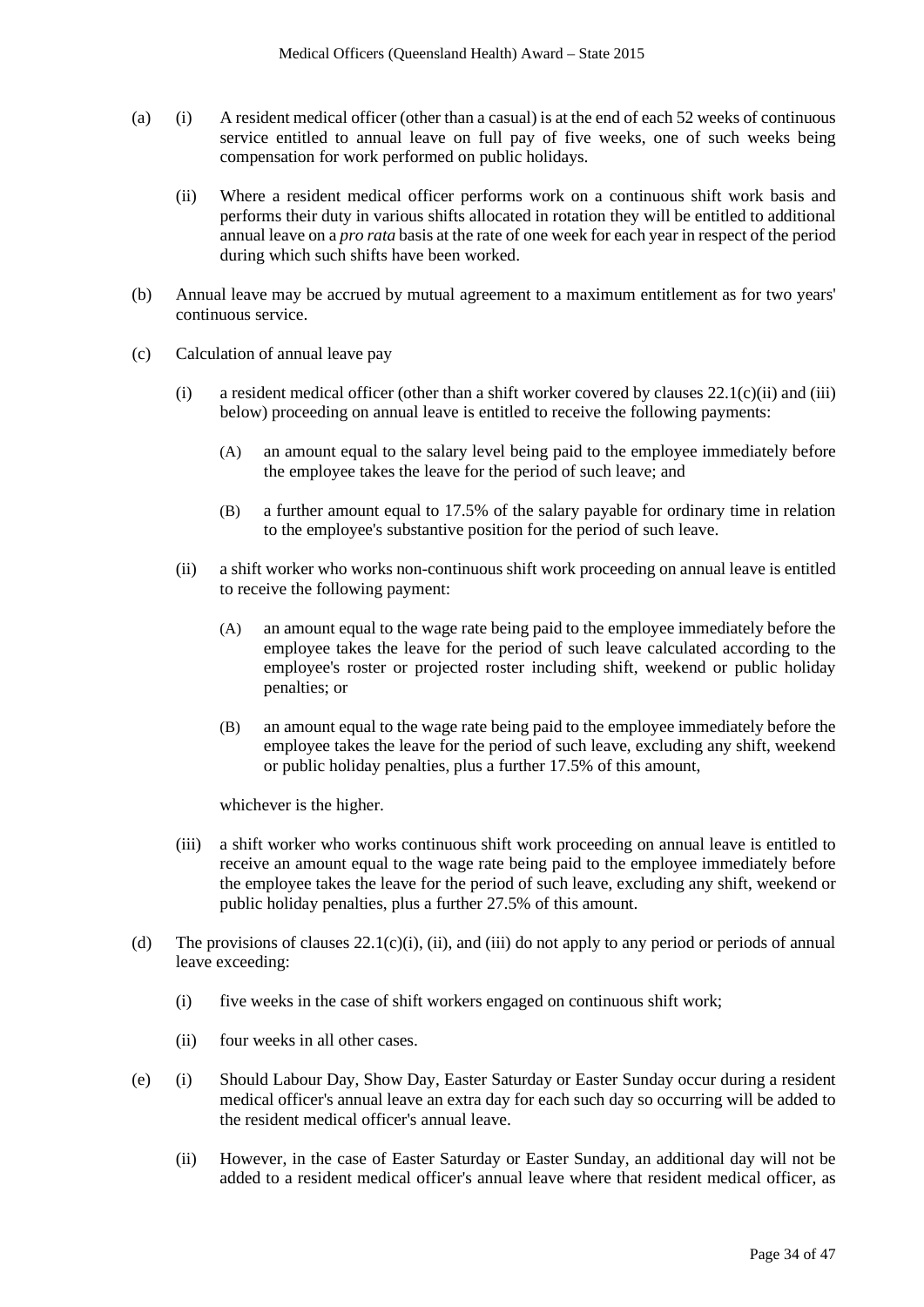- (a) (i) A resident medical officer (other than a casual) is at the end of each 52 weeks of continuous service entitled to annual leave on full pay of five weeks, one of such weeks being compensation for work performed on public holidays.
	- (ii) Where a resident medical officer performs work on a continuous shift work basis and performs their duty in various shifts allocated in rotation they will be entitled to additional annual leave on a *pro rata* basis at the rate of one week for each year in respect of the period during which such shifts have been worked.
- (b) Annual leave may be accrued by mutual agreement to a maximum entitlement as for two years' continuous service.
- (c) Calculation of annual leave pay
	- (i) a resident medical officer (other than a shift worker covered by clauses  $22.1(c)(ii)$  and (iii) below) proceeding on annual leave is entitled to receive the following payments:
		- (A) an amount equal to the salary level being paid to the employee immediately before the employee takes the leave for the period of such leave; and
		- (B) a further amount equal to 17.5% of the salary payable for ordinary time in relation to the employee's substantive position for the period of such leave.
	- (ii) a shift worker who works non-continuous shift work proceeding on annual leave is entitled to receive the following payment:
		- (A) an amount equal to the wage rate being paid to the employee immediately before the employee takes the leave for the period of such leave calculated according to the employee's roster or projected roster including shift, weekend or public holiday penalties; or
		- (B) an amount equal to the wage rate being paid to the employee immediately before the employee takes the leave for the period of such leave, excluding any shift, weekend or public holiday penalties, plus a further 17.5% of this amount,

whichever is the higher.

- (iii) a shift worker who works continuous shift work proceeding on annual leave is entitled to receive an amount equal to the wage rate being paid to the employee immediately before the employee takes the leave for the period of such leave, excluding any shift, weekend or public holiday penalties, plus a further 27.5% of this amount.
- (d) The provisions of clauses  $22.1(c)(i)$ , (ii), and (iii) do not apply to any period or periods of annual leave exceeding:
	- (i) five weeks in the case of shift workers engaged on continuous shift work;
	- (ii) four weeks in all other cases.
- (e) (i) Should Labour Day, Show Day, Easter Saturday or Easter Sunday occur during a resident medical officer's annual leave an extra day for each such day so occurring will be added to the resident medical officer's annual leave.
	- (ii) However, in the case of Easter Saturday or Easter Sunday, an additional day will not be added to a resident medical officer's annual leave where that resident medical officer, as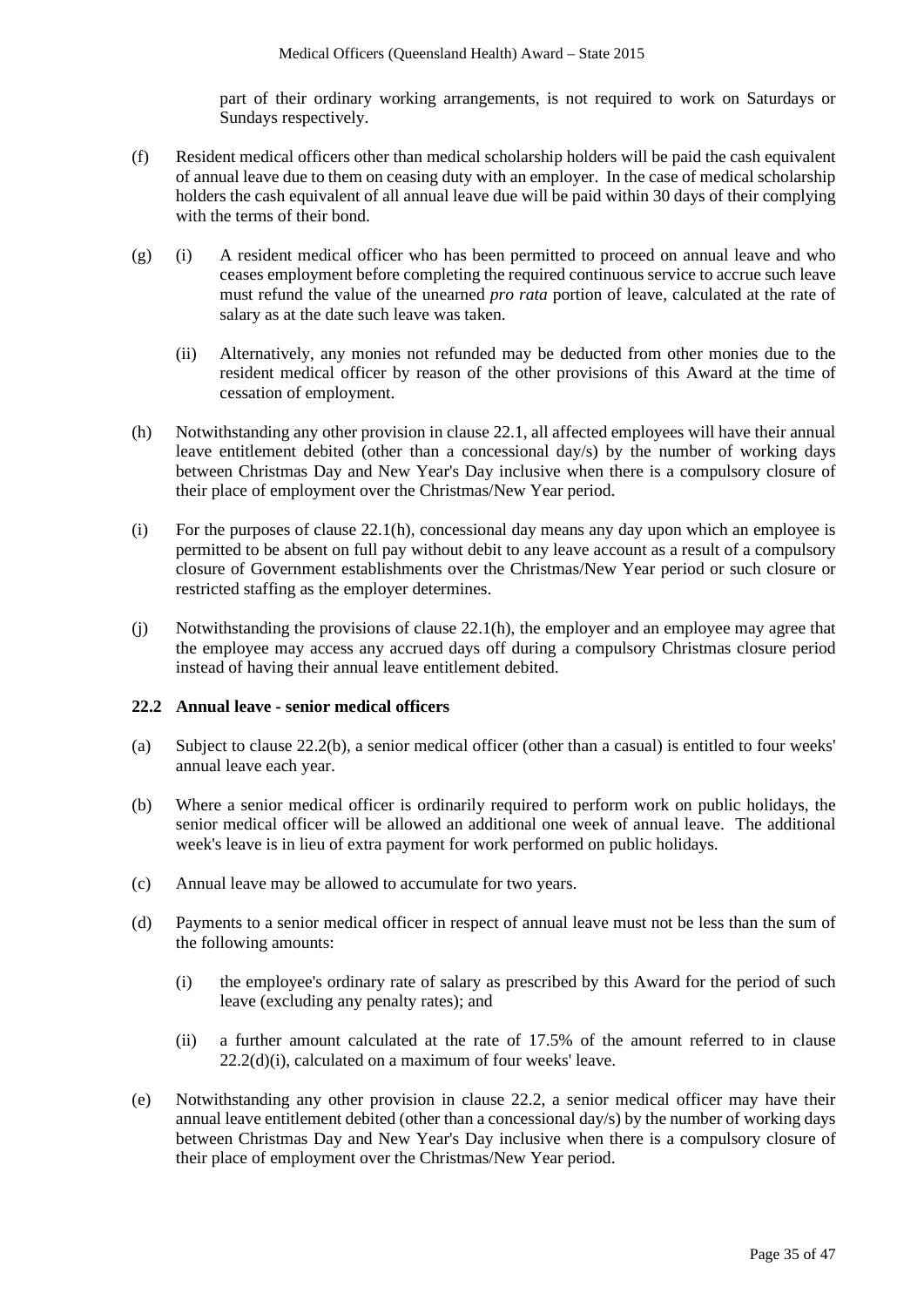part of their ordinary working arrangements, is not required to work on Saturdays or Sundays respectively.

- (f) Resident medical officers other than medical scholarship holders will be paid the cash equivalent of annual leave due to them on ceasing duty with an employer. In the case of medical scholarship holders the cash equivalent of all annual leave due will be paid within 30 days of their complying with the terms of their bond.
- (g) (i) A resident medical officer who has been permitted to proceed on annual leave and who ceases employment before completing the required continuous service to accrue such leave must refund the value of the unearned *pro rata* portion of leave, calculated at the rate of salary as at the date such leave was taken.
	- (ii) Alternatively, any monies not refunded may be deducted from other monies due to the resident medical officer by reason of the other provisions of this Award at the time of cessation of employment.
- (h) Notwithstanding any other provision in clause 22.1, all affected employees will have their annual leave entitlement debited (other than a concessional day/s) by the number of working days between Christmas Day and New Year's Day inclusive when there is a compulsory closure of their place of employment over the Christmas/New Year period.
- (i) For the purposes of clause  $22.1(h)$ , concessional day means any day upon which an employee is permitted to be absent on full pay without debit to any leave account as a result of a compulsory closure of Government establishments over the Christmas/New Year period or such closure or restricted staffing as the employer determines.
- (j) Notwithstanding the provisions of clause 22.1(h), the employer and an employee may agree that the employee may access any accrued days off during a compulsory Christmas closure period instead of having their annual leave entitlement debited.

#### **22.2 Annual leave - senior medical officers**

- (a) Subject to clause 22.2(b), a senior medical officer (other than a casual) is entitled to four weeks' annual leave each year.
- (b) Where a senior medical officer is ordinarily required to perform work on public holidays, the senior medical officer will be allowed an additional one week of annual leave. The additional week's leave is in lieu of extra payment for work performed on public holidays.
- (c) Annual leave may be allowed to accumulate for two years.
- <span id="page-34-0"></span>(d) Payments to a senior medical officer in respect of annual leave must not be less than the sum of the following amounts:
	- (i) the employee's ordinary rate of salary as prescribed by this Award for the period of such leave (excluding any penalty rates); and
	- (ii) a further amount calculated at the rate of 17.5% of the amount referred to in clause 22.2(d[\)\(i\),](#page-34-0) calculated on a maximum of four weeks' leave.
- (e) Notwithstanding any other provision in clause 22.2, a senior medical officer may have their annual leave entitlement debited (other than a concessional day/s) by the number of working days between Christmas Day and New Year's Day inclusive when there is a compulsory closure of their place of employment over the Christmas/New Year period.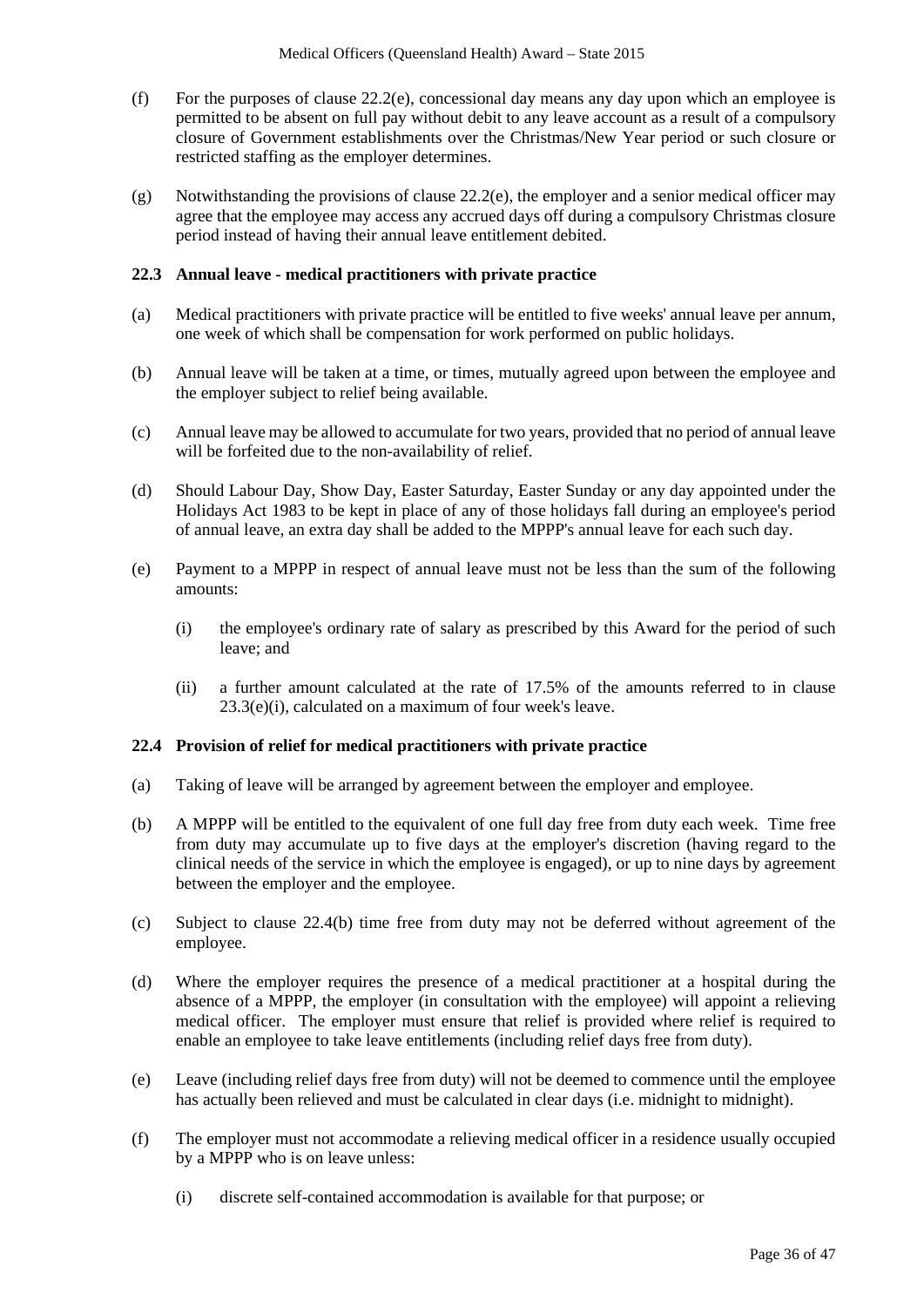- (f) For the purposes of clause  $22.2(e)$ , concessional day means any day upon which an employee is permitted to be absent on full pay without debit to any leave account as a result of a compulsory closure of Government establishments over the Christmas/New Year period or such closure or restricted staffing as the employer determines.
- (g) Notwithstanding the provisions of clause 22.2(e), the employer and a senior medical officer may agree that the employee may access any accrued days off during a compulsory Christmas closure period instead of having their annual leave entitlement debited.

#### **22.3 Annual leave - medical practitioners with private practice**

- (a) Medical practitioners with private practice will be entitled to five weeks' annual leave per annum, one week of which shall be compensation for work performed on public holidays.
- (b) Annual leave will be taken at a time, or times, mutually agreed upon between the employee and the employer subject to relief being available.
- (c) Annual leave may be allowed to accumulate for two years, provided that no period of annual leave will be forfeited due to the non-availability of relief.
- (d) Should Labour Day, Show Day, Easter Saturday, Easter Sunday or any day appointed under the Holidays Act 1983 to be kept in place of any of those holidays fall during an employee's period of annual leave, an extra day shall be added to the MPPP's annual leave for each such day.
- (e) Payment to a MPPP in respect of annual leave must not be less than the sum of the following amounts:
	- (i) the employee's ordinary rate of salary as prescribed by this Award for the period of such leave; and
	- (ii) a further amount calculated at the rate of 17.5% of the amounts referred to in clause 23.3(e)(i), calculated on a maximum of four week's leave.

#### **22.4 Provision of relief for medical practitioners with private practice**

- (a) Taking of leave will be arranged by agreement between the employer and employee.
- (b) A MPPP will be entitled to the equivalent of one full day free from duty each week. Time free from duty may accumulate up to five days at the employer's discretion (having regard to the clinical needs of the service in which the employee is engaged), or up to nine days by agreement between the employer and the employee.
- (c) Subject to clause 22.4(b) time free from duty may not be deferred without agreement of the employee.
- (d) Where the employer requires the presence of a medical practitioner at a hospital during the absence of a MPPP, the employer (in consultation with the employee) will appoint a relieving medical officer. The employer must ensure that relief is provided where relief is required to enable an employee to take leave entitlements (including relief days free from duty).
- (e) Leave (including relief days free from duty) will not be deemed to commence until the employee has actually been relieved and must be calculated in clear days (i.e. midnight to midnight).
- (f) The employer must not accommodate a relieving medical officer in a residence usually occupied by a MPPP who is on leave unless:
	- (i) discrete self-contained accommodation is available for that purpose; or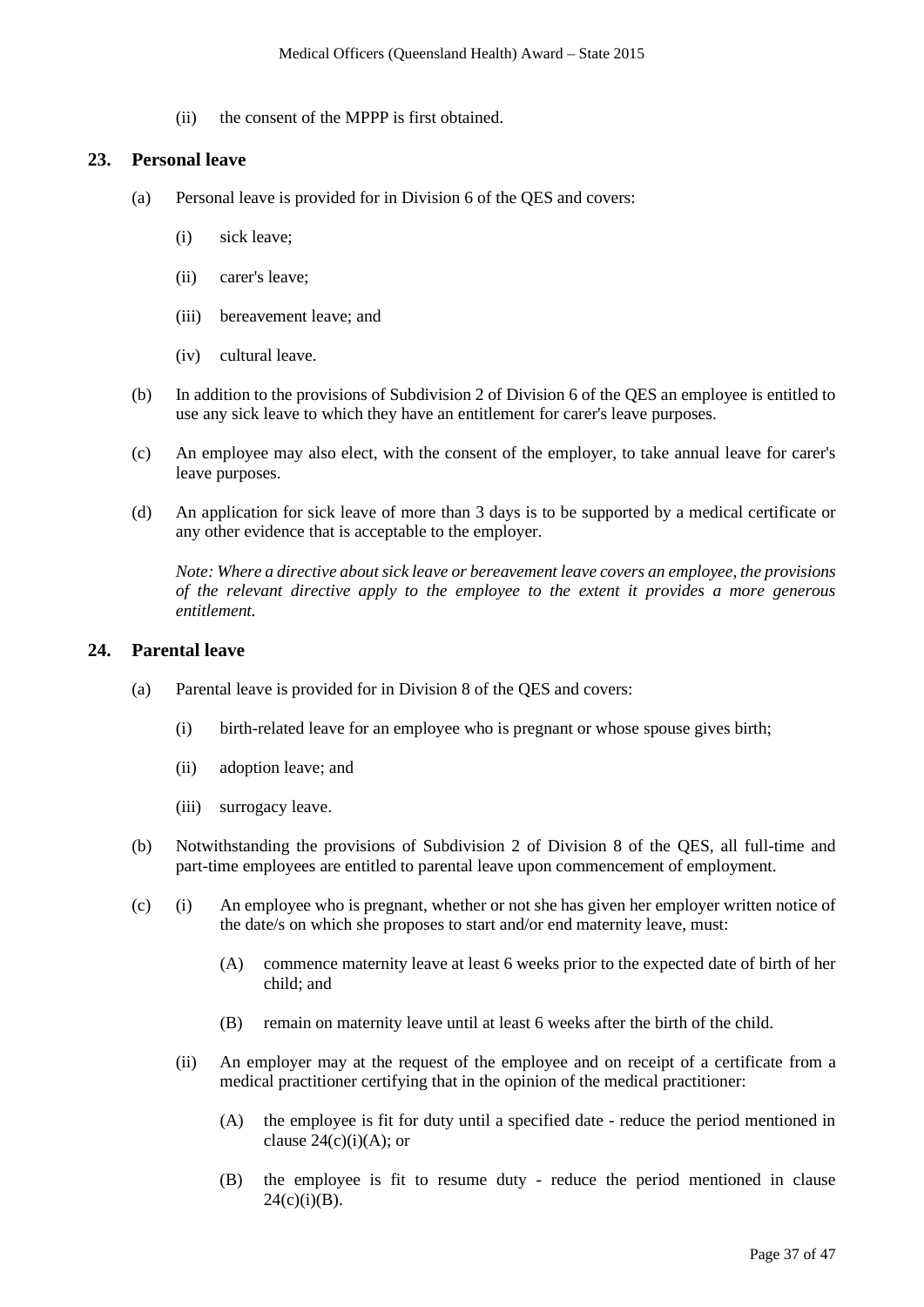(ii) the consent of the MPPP is first obtained.

### **23. Personal leave**

- (a) Personal leave is provided for in Division 6 of the QES and covers:
	- (i) sick leave;
	- (ii) carer's leave;
	- (iii) bereavement leave; and
	- (iv) cultural leave.
- (b) In addition to the provisions of Subdivision 2 of Division 6 of the QES an employee is entitled to use any sick leave to which they have an entitlement for carer's leave purposes.
- (c) An employee may also elect, with the consent of the employer, to take annual leave for carer's leave purposes.
- (d) An application for sick leave of more than 3 days is to be supported by a medical certificate or any other evidence that is acceptable to the employer.

*Note: Where a directive about sick leave or bereavement leave covers an employee, the provisions of the relevant directive apply to the employee to the extent it provides a more generous entitlement.* 

#### **24. Parental leave**

- (a) Parental leave is provided for in Division 8 of the QES and covers:
	- (i) birth-related leave for an employee who is pregnant or whose spouse gives birth;
	- (ii) adoption leave; and
	- (iii) surrogacy leave.
- (b) Notwithstanding the provisions of Subdivision 2 of Division 8 of the QES, all full-time and part-time employees are entitled to parental leave upon commencement of employment.
- (c) (i) An employee who is pregnant, whether or not she has given her employer written notice of the date/s on which she proposes to start and/or end maternity leave, must:
	- (A) commence maternity leave at least 6 weeks prior to the expected date of birth of her child; and
	- (B) remain on maternity leave until at least 6 weeks after the birth of the child.
	- (ii) An employer may at the request of the employee and on receipt of a certificate from a medical practitioner certifying that in the opinion of the medical practitioner:
		- (A) the employee is fit for duty until a specified date reduce the period mentioned in clause  $24(c)(i)(A)$ ; or
		- (B) the employee is fit to resume duty reduce the period mentioned in clause  $24(c)(i)(B)$ .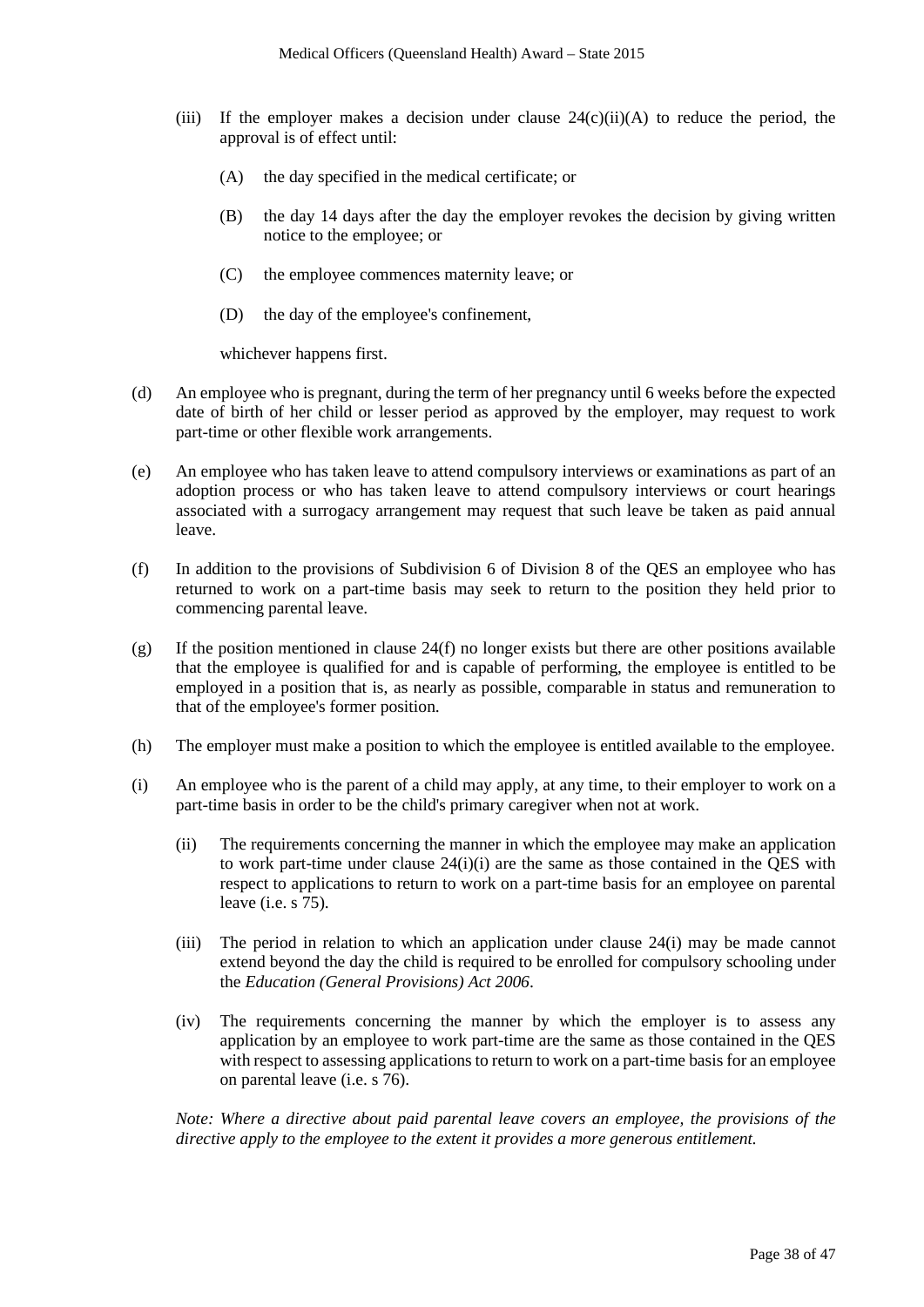- (iii) If the employer makes a decision under clause  $24(c)(ii)(A)$  to reduce the period, the approval is of effect until:
	- (A) the day specified in the medical certificate; or
	- (B) the day 14 days after the day the employer revokes the decision by giving written notice to the employee; or
	- (C) the employee commences maternity leave; or
	- (D) the day of the employee's confinement,

whichever happens first.

- (d) An employee who is pregnant, during the term of her pregnancy until 6 weeks before the expected date of birth of her child or lesser period as approved by the employer, may request to work part-time or other flexible work arrangements.
- (e) An employee who has taken leave to attend compulsory interviews or examinations as part of an adoption process or who has taken leave to attend compulsory interviews or court hearings associated with a surrogacy arrangement may request that such leave be taken as paid annual leave.
- (f) In addition to the provisions of Subdivision 6 of Division 8 of the QES an employee who has returned to work on a part-time basis may seek to return to the position they held prior to commencing parental leave.
- (g) If the position mentioned in clause  $24(f)$  no longer exists but there are other positions available that the employee is qualified for and is capable of performing, the employee is entitled to be employed in a position that is, as nearly as possible, comparable in status and remuneration to that of the employee's former position.
- (h) The employer must make a position to which the employee is entitled available to the employee.
- (i) An employee who is the parent of a child may apply, at any time, to their employer to work on a part-time basis in order to be the child's primary caregiver when not at work.
	- (ii) The requirements concerning the manner in which the employee may make an application to work part-time under clause 24(i)(i) are the same as those contained in the QES with respect to applications to return to work on a part-time basis for an employee on parental leave (i.e. s 75).
	- (iii) The period in relation to which an application under clause 24(i) may be made cannot extend beyond the day the child is required to be enrolled for compulsory schooling under the *Education (General Provisions) Act 2006*.
	- (iv) The requirements concerning the manner by which the employer is to assess any application by an employee to work part-time are the same as those contained in the QES with respect to assessing applications to return to work on a part-time basis for an employee on parental leave (i.e. s 76).

*Note: Where a directive about paid parental leave covers an employee, the provisions of the directive apply to the employee to the extent it provides a more generous entitlement.*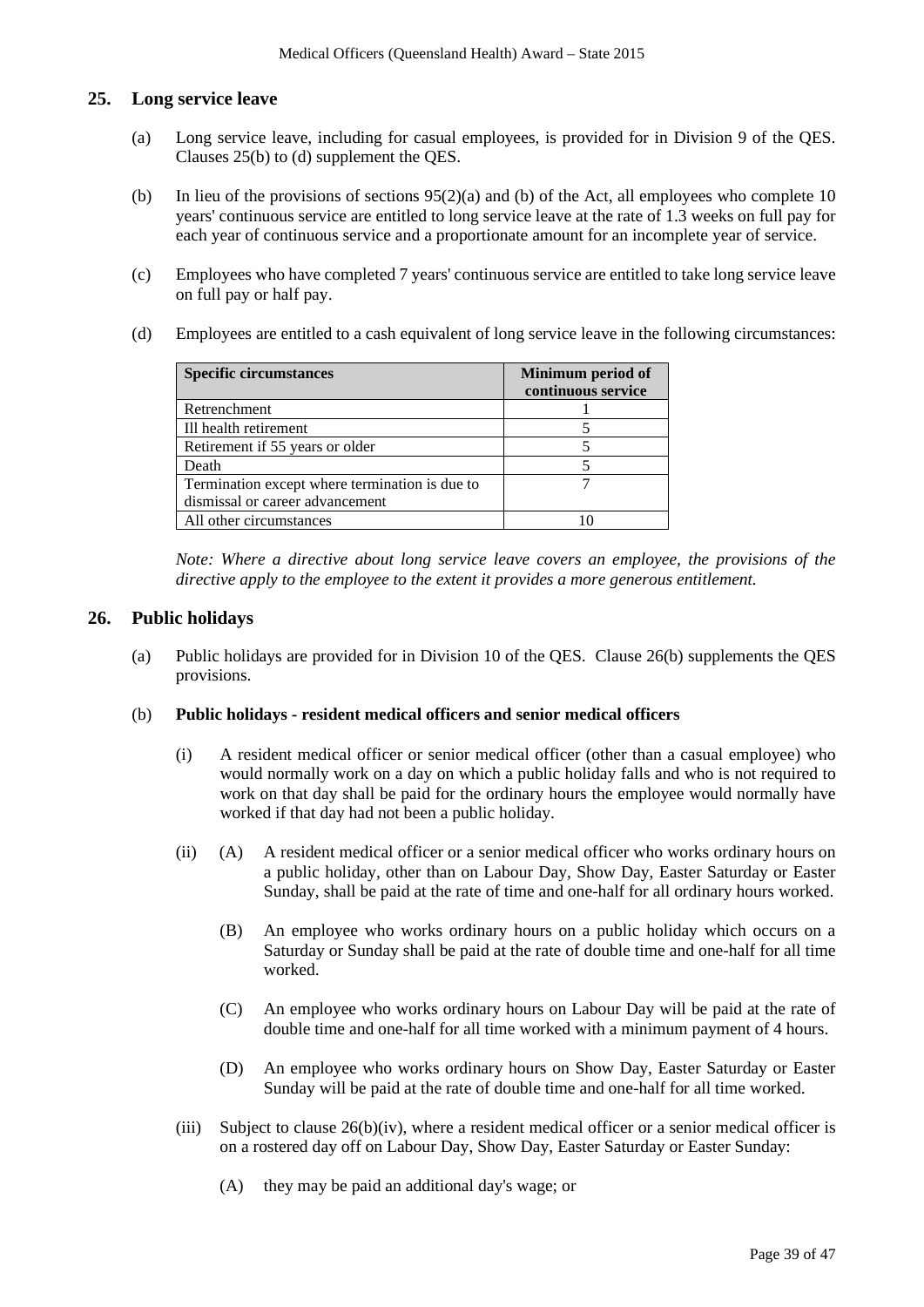### **25. Long service leave**

- (a) Long service leave, including for casual employees, is provided for in Division 9 of the QES. Clauses 25(b) to (d) supplement the QES.
- (b) In lieu of the provisions of sections  $95(2)(a)$  and (b) of the Act, all employees who complete 10 years' continuous service are entitled to long service leave at the rate of 1.3 weeks on full pay for each year of continuous service and a proportionate amount for an incomplete year of service.
- (c) Employees who have completed 7 years' continuous service are entitled to take long service leave on full pay or half pay.
- (d) Employees are entitled to a cash equivalent of long service leave in the following circumstances:

| <b>Specific circumstances</b>                  | Minimum period of<br>continuous service |
|------------------------------------------------|-----------------------------------------|
| Retrenchment                                   |                                         |
| Ill health retirement                          |                                         |
| Retirement if 55 years or older                |                                         |
| Death                                          |                                         |
| Termination except where termination is due to |                                         |
| dismissal or career advancement                |                                         |
| All other circumstances                        |                                         |

*Note: Where a directive about long service leave covers an employee, the provisions of the directive apply to the employee to the extent it provides a more generous entitlement.* 

# **26. Public holidays**

(a) Public holidays are provided for in Division 10 of the QES. Clause 26(b) supplements the QES provisions.

#### (b) **Public holidays - resident medical officers and senior medical officers**

- (i) A resident medical officer or senior medical officer (other than a casual employee) who would normally work on a day on which a public holiday falls and who is not required to work on that day shall be paid for the ordinary hours the employee would normally have worked if that day had not been a public holiday.
- (ii) (A) A resident medical officer or a senior medical officer who works ordinary hours on a public holiday, other than on Labour Day, Show Day, Easter Saturday or Easter Sunday, shall be paid at the rate of time and one-half for all ordinary hours worked.
	- (B) An employee who works ordinary hours on a public holiday which occurs on a Saturday or Sunday shall be paid at the rate of double time and one-half for all time worked.
	- (C) An employee who works ordinary hours on Labour Day will be paid at the rate of double time and one-half for all time worked with a minimum payment of 4 hours.
	- (D) An employee who works ordinary hours on Show Day, Easter Saturday or Easter Sunday will be paid at the rate of double time and one-half for all time worked.
- (iii) Subject to clause 26(b)(iv), where a resident medical officer or a senior medical officer is on a rostered day off on Labour Day, Show Day, Easter Saturday or Easter Sunday:
	- (A) they may be paid an additional day's wage; or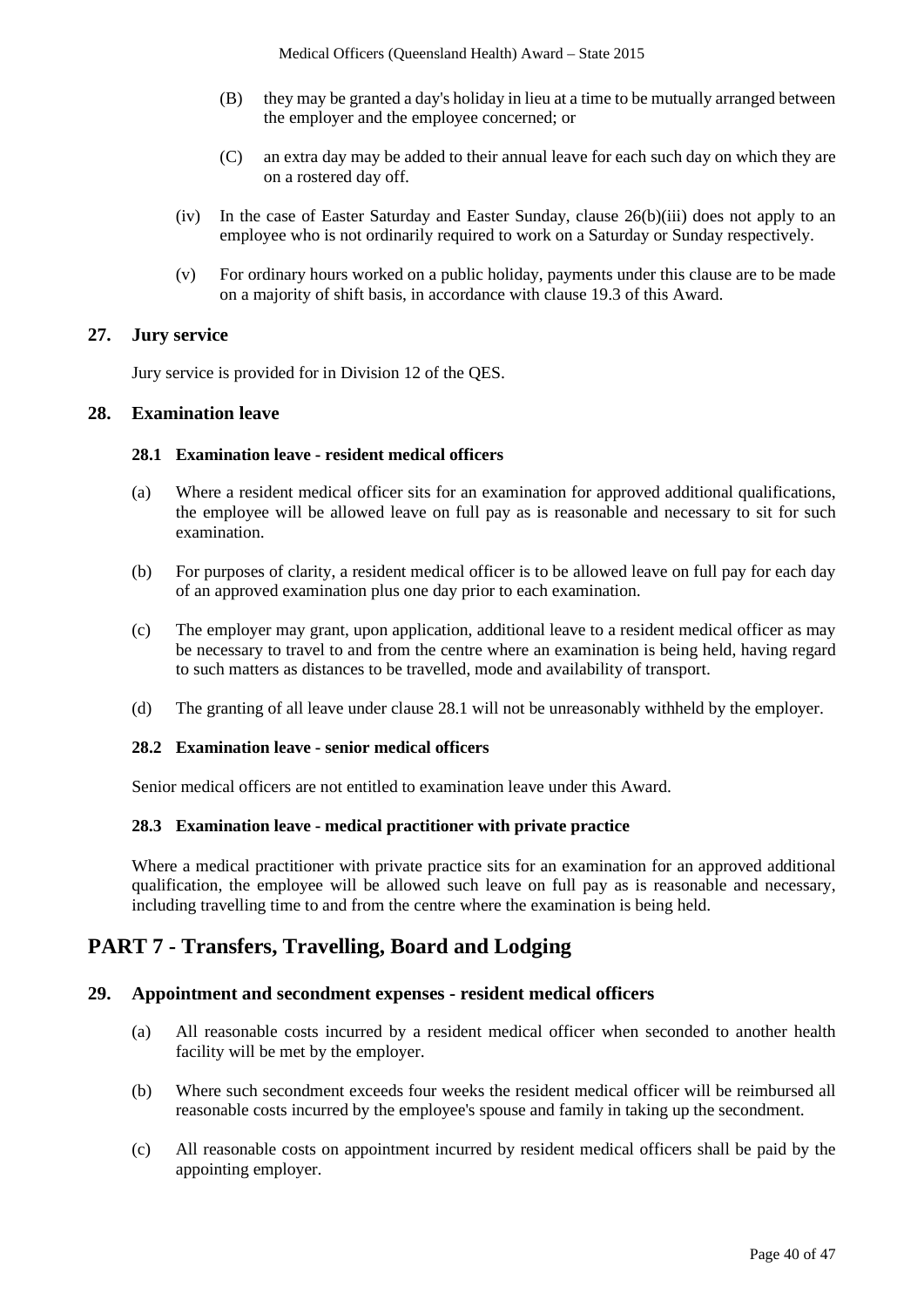- (B) they may be granted a day's holiday in lieu at a time to be mutually arranged between the employer and the employee concerned; or
- (C) an extra day may be added to their annual leave for each such day on which they are on a rostered day off.
- (iv) In the case of Easter Saturday and Easter Sunday, clause 26(b)(iii) does not apply to an employee who is not ordinarily required to work on a Saturday or Sunday respectively.
- (v) For ordinary hours worked on a public holiday, payments under this clause are to be made on a majority of shift basis, in accordance with clause 19.3 of this Award.

#### **27. Jury service**

Jury service is provided for in Division 12 of the QES.

### **28. Examination leave**

#### **28.1 Examination leave - resident medical officers**

- (a) Where a resident medical officer sits for an examination for approved additional qualifications, the employee will be allowed leave on full pay as is reasonable and necessary to sit for such examination.
- (b) For purposes of clarity, a resident medical officer is to be allowed leave on full pay for each day of an approved examination plus one day prior to each examination.
- (c) The employer may grant, upon application, additional leave to a resident medical officer as may be necessary to travel to and from the centre where an examination is being held, having regard to such matters as distances to be travelled, mode and availability of transport.
- (d) The granting of all leave under clause 28.1 will not be unreasonably withheld by the employer.

#### **28.2 Examination leave - senior medical officers**

Senior medical officers are not entitled to examination leave under this Award.

#### **28.3 Examination leave - medical practitioner with private practice**

Where a medical practitioner with private practice sits for an examination for an approved additional qualification, the employee will be allowed such leave on full pay as is reasonable and necessary, including travelling time to and from the centre where the examination is being held.

# **PART 7 - Transfers, Travelling, Board and Lodging**

#### **29. Appointment and secondment expenses - resident medical officers**

- (a) All reasonable costs incurred by a resident medical officer when seconded to another health facility will be met by the employer.
- (b) Where such secondment exceeds four weeks the resident medical officer will be reimbursed all reasonable costs incurred by the employee's spouse and family in taking up the secondment.
- (c) All reasonable costs on appointment incurred by resident medical officers shall be paid by the appointing employer.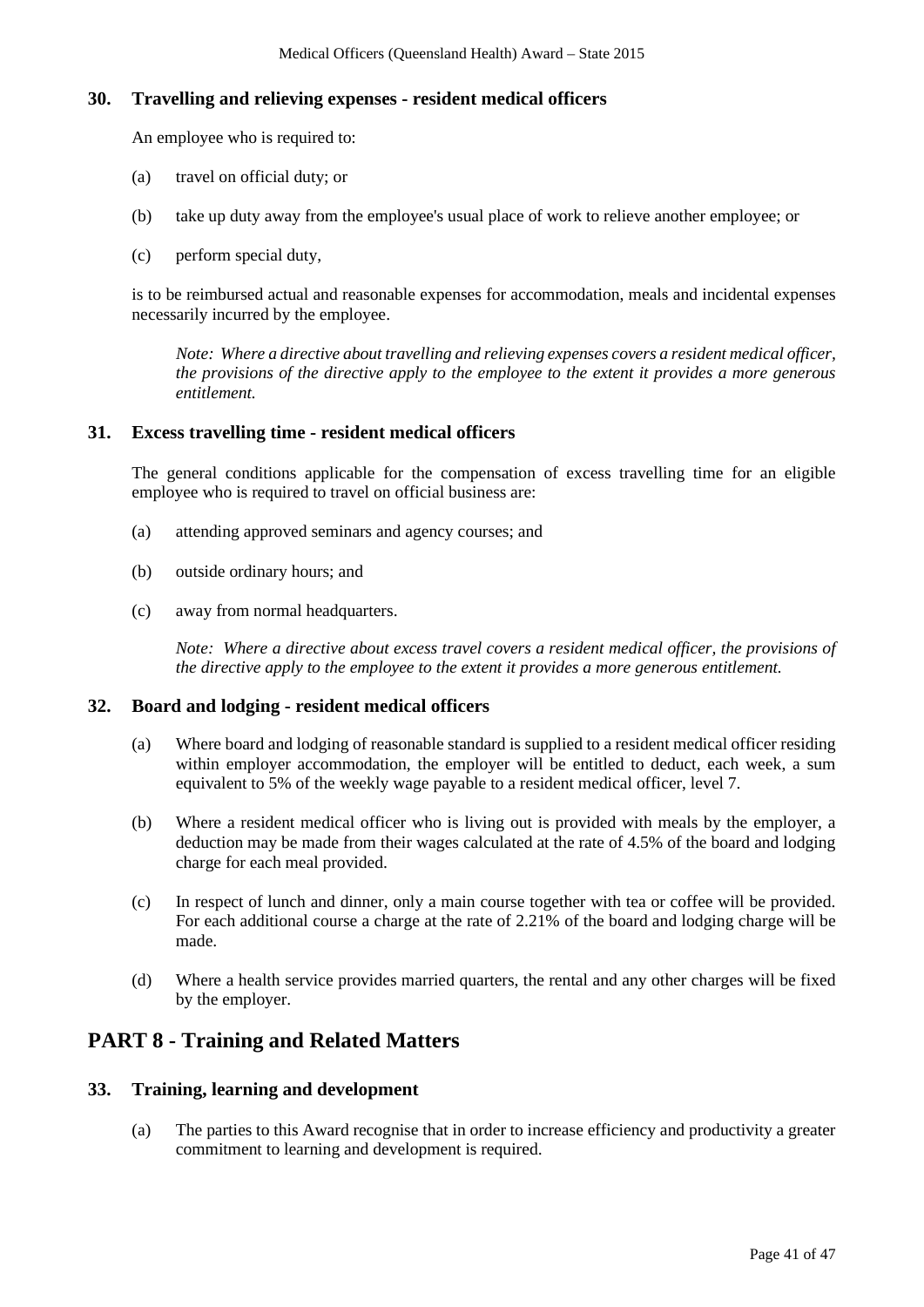### **30. Travelling and relieving expenses - resident medical officers**

An employee who is required to:

- (a) travel on official duty; or
- (b) take up duty away from the employee's usual place of work to relieve another employee; or
- (c) perform special duty,

is to be reimbursed actual and reasonable expenses for accommodation, meals and incidental expenses necessarily incurred by the employee.

*Note: Where a directive about travelling and relieving expenses covers a resident medical officer, the provisions of the directive apply to the employee to the extent it provides a more generous entitlement.*

### **31. Excess travelling time - resident medical officers**

The general conditions applicable for the compensation of excess travelling time for an eligible employee who is required to travel on official business are:

- (a) attending approved seminars and agency courses; and
- (b) outside ordinary hours; and
- (c) away from normal headquarters.

*Note: Where a directive about excess travel covers a resident medical officer, the provisions of the directive apply to the employee to the extent it provides a more generous entitlement.* 

#### **32. Board and lodging - resident medical officers**

- (a) Where board and lodging of reasonable standard is supplied to a resident medical officer residing within employer accommodation, the employer will be entitled to deduct, each week, a sum equivalent to 5% of the weekly wage payable to a resident medical officer, level 7.
- (b) Where a resident medical officer who is living out is provided with meals by the employer, a deduction may be made from their wages calculated at the rate of 4.5% of the board and lodging charge for each meal provided.
- (c) In respect of lunch and dinner, only a main course together with tea or coffee will be provided. For each additional course a charge at the rate of 2.21% of the board and lodging charge will be made.
- (d) Where a health service provides married quarters, the rental and any other charges will be fixed by the employer.

# **PART 8 - Training and Related Matters**

#### **33. Training, learning and development**

(a) The parties to this Award recognise that in order to increase efficiency and productivity a greater commitment to learning and development is required.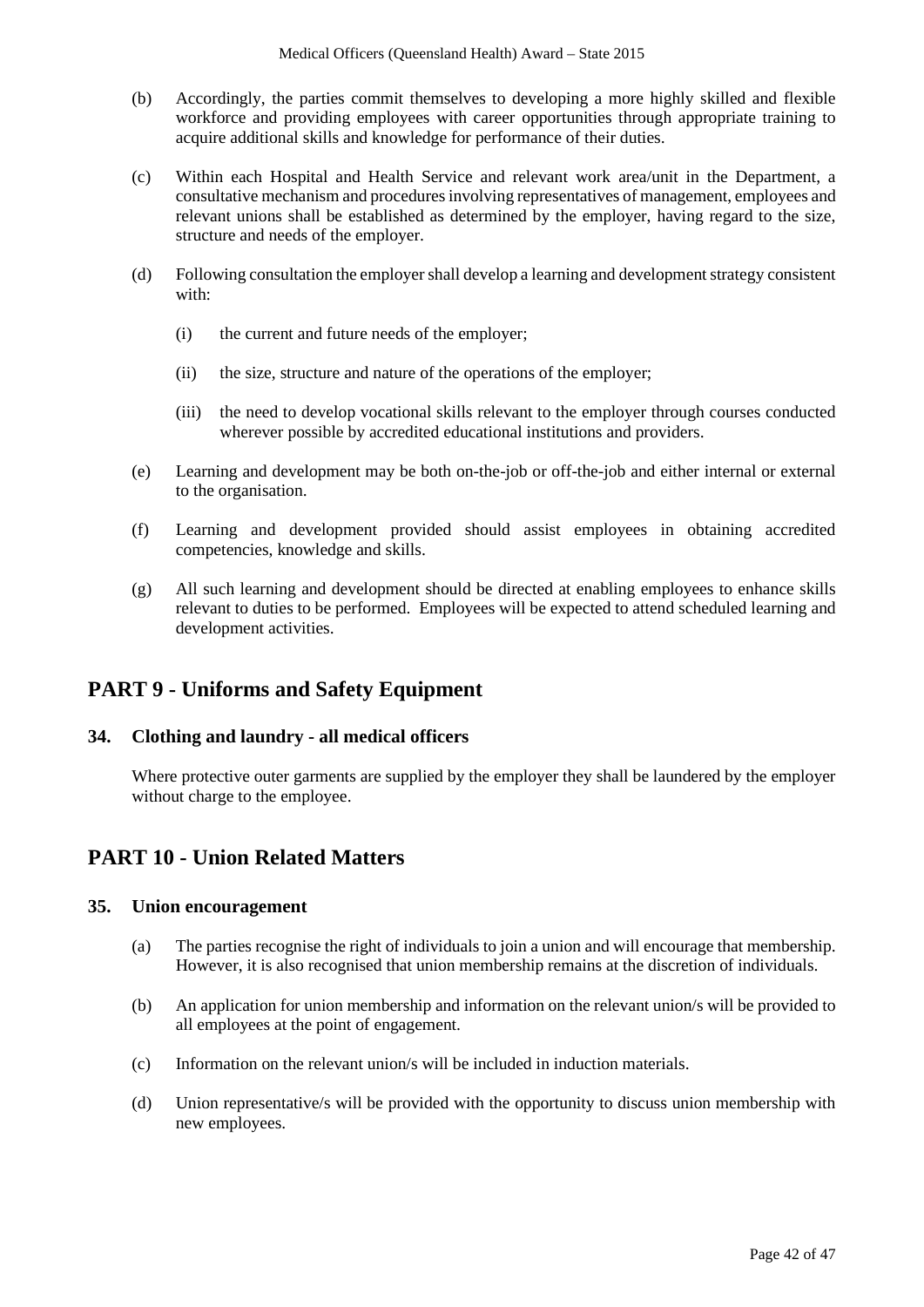- (b) Accordingly, the parties commit themselves to developing a more highly skilled and flexible workforce and providing employees with career opportunities through appropriate training to acquire additional skills and knowledge for performance of their duties.
- (c) Within each Hospital and Health Service and relevant work area/unit in the Department, a consultative mechanism and procedures involving representatives of management, employees and relevant unions shall be established as determined by the employer, having regard to the size, structure and needs of the employer.
- (d) Following consultation the employer shall develop a learning and development strategy consistent with:
	- (i) the current and future needs of the employer;
	- (ii) the size, structure and nature of the operations of the employer;
	- (iii) the need to develop vocational skills relevant to the employer through courses conducted wherever possible by accredited educational institutions and providers.
- (e) Learning and development may be both on-the-job or off-the-job and either internal or external to the organisation.
- (f) Learning and development provided should assist employees in obtaining accredited competencies, knowledge and skills.
- (g) All such learning and development should be directed at enabling employees to enhance skills relevant to duties to be performed. Employees will be expected to attend scheduled learning and development activities.

# **PART 9 - Uniforms and Safety Equipment**

#### **34. Clothing and laundry - all medical officers**

Where protective outer garments are supplied by the employer they shall be laundered by the employer without charge to the employee.

# **PART 10 - Union Related Matters**

#### **35. Union encouragement**

- (a) The parties recognise the right of individuals to join a union and will encourage that membership. However, it is also recognised that union membership remains at the discretion of individuals.
- (b) An application for union membership and information on the relevant union/s will be provided to all employees at the point of engagement.
- (c) Information on the relevant union/s will be included in induction materials.
- (d) Union representative/s will be provided with the opportunity to discuss union membership with new employees.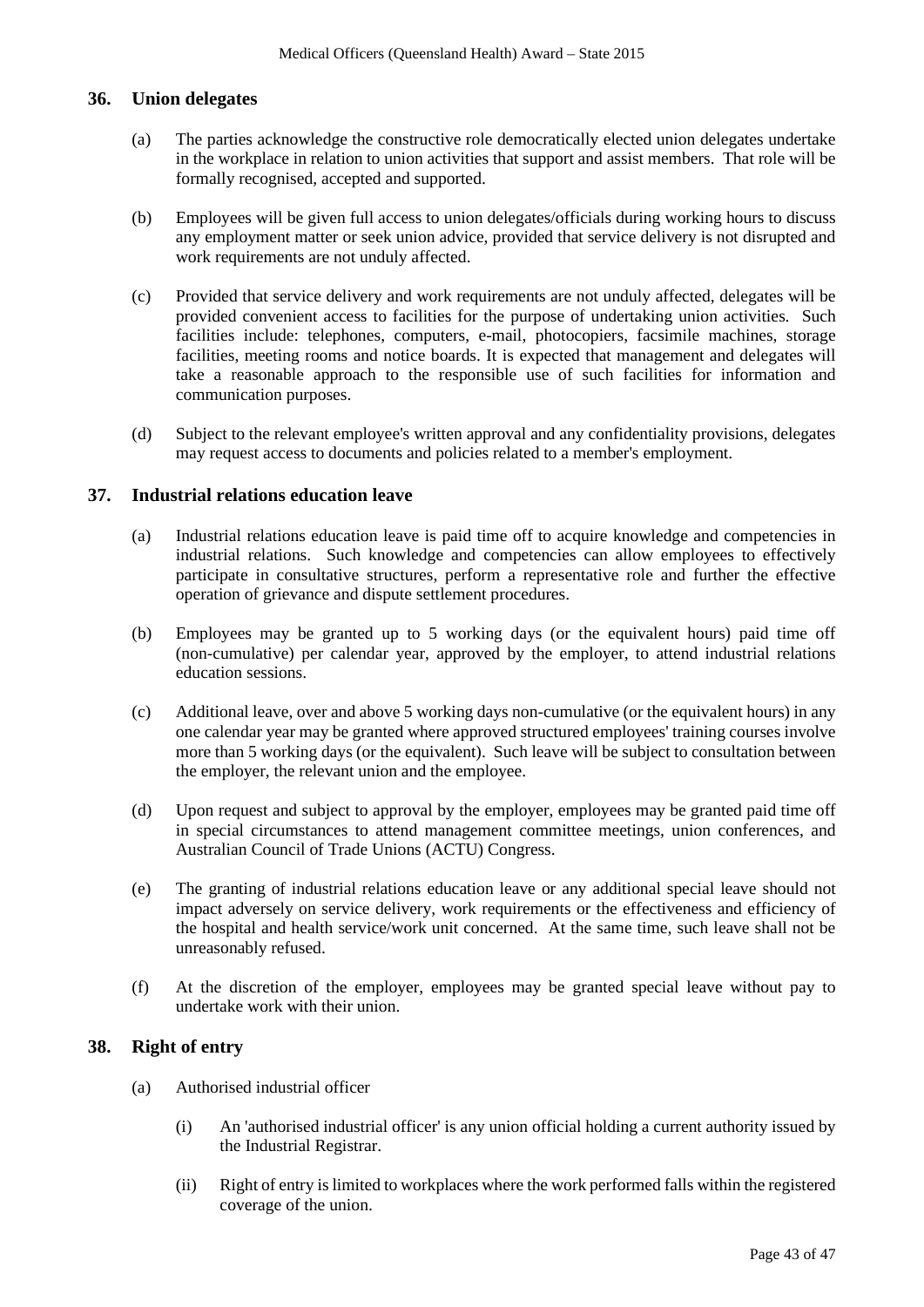#### **36. Union delegates**

- (a) The parties acknowledge the constructive role democratically elected union delegates undertake in the workplace in relation to union activities that support and assist members. That role will be formally recognised, accepted and supported.
- (b) Employees will be given full access to union delegates/officials during working hours to discuss any employment matter or seek union advice, provided that service delivery is not disrupted and work requirements are not unduly affected.
- (c) Provided that service delivery and work requirements are not unduly affected, delegates will be provided convenient access to facilities for the purpose of undertaking union activities. Such facilities include: telephones, computers, e-mail, photocopiers, facsimile machines, storage facilities, meeting rooms and notice boards. It is expected that management and delegates will take a reasonable approach to the responsible use of such facilities for information and communication purposes.
- (d) Subject to the relevant employee's written approval and any confidentiality provisions, delegates may request access to documents and policies related to a member's employment.

#### **37. Industrial relations education leave**

- (a) Industrial relations education leave is paid time off to acquire knowledge and competencies in industrial relations. Such knowledge and competencies can allow employees to effectively participate in consultative structures, perform a representative role and further the effective operation of grievance and dispute settlement procedures.
- (b) Employees may be granted up to 5 working days (or the equivalent hours) paid time off (non-cumulative) per calendar year, approved by the employer, to attend industrial relations education sessions.
- (c) Additional leave, over and above 5 working days non-cumulative (or the equivalent hours) in any one calendar year may be granted where approved structured employees' training courses involve more than 5 working days (or the equivalent). Such leave will be subject to consultation between the employer, the relevant union and the employee.
- (d) Upon request and subject to approval by the employer, employees may be granted paid time off in special circumstances to attend management committee meetings, union conferences, and Australian Council of Trade Unions (ACTU) Congress.
- (e) The granting of industrial relations education leave or any additional special leave should not impact adversely on service delivery, work requirements or the effectiveness and efficiency of the hospital and health service/work unit concerned. At the same time, such leave shall not be unreasonably refused.
- (f) At the discretion of the employer, employees may be granted special leave without pay to undertake work with their union.

# **38. Right of entry**

- (a) Authorised industrial officer
	- (i) An 'authorised industrial officer' is any union official holding a current authority issued by the Industrial Registrar.
	- (ii) Right of entry is limited to workplaces where the work performed falls within the registered coverage of the union.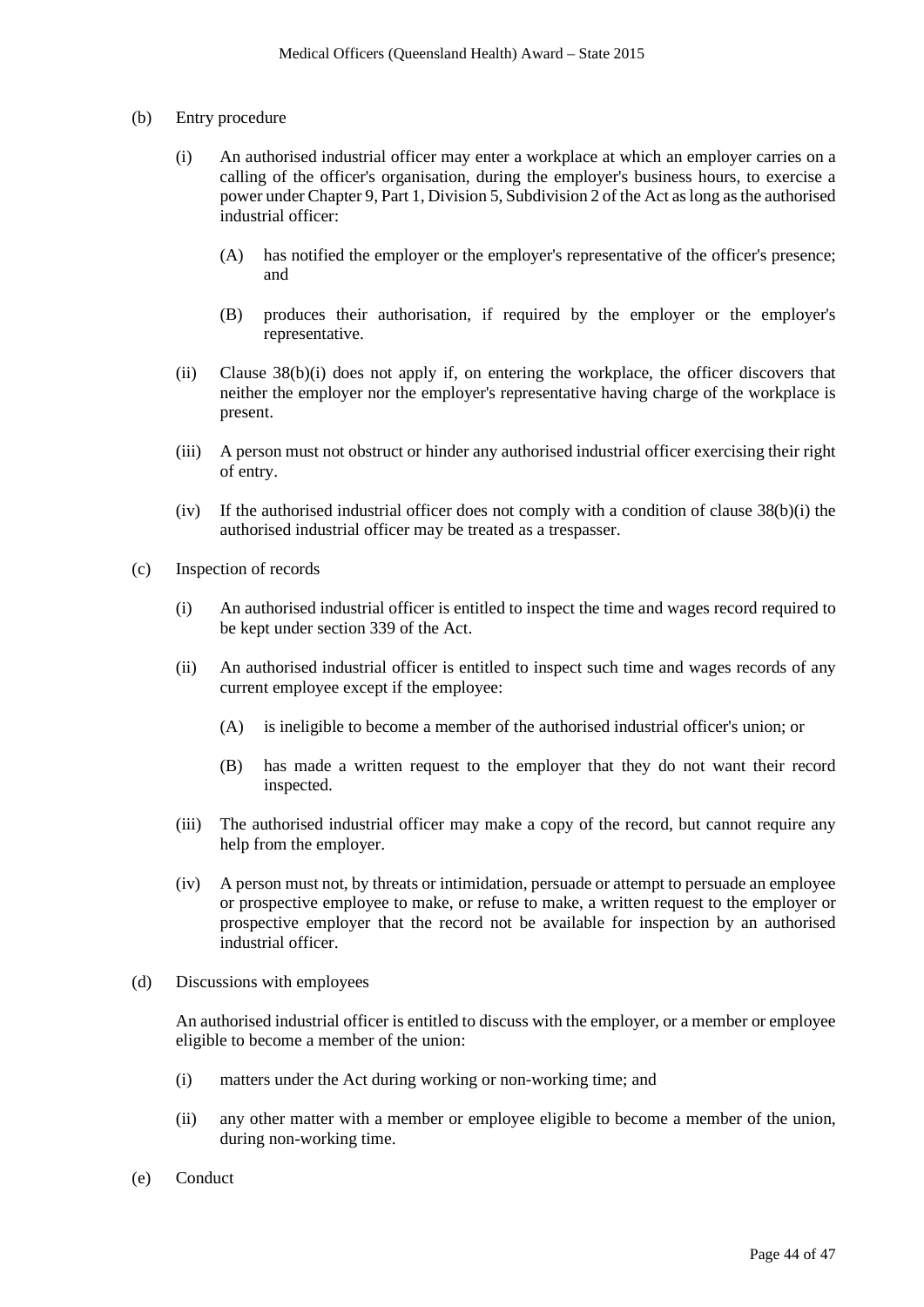- (b) Entry procedure
	- (i) An authorised industrial officer may enter a workplace at which an employer carries on a calling of the officer's organisation, during the employer's business hours, to exercise a power under Chapter 9, Part 1, Division 5, Subdivision 2 of the Act as long asthe authorised industrial officer:
		- (A) has notified the employer or the employer's representative of the officer's presence; and
		- (B) produces their authorisation, if required by the employer or the employer's representative.
	- (ii) Clause 38(b)(i) does not apply if, on entering the workplace, the officer discovers that neither the employer nor the employer's representative having charge of the workplace is present.
	- (iii) A person must not obstruct or hinder any authorised industrial officer exercising their right of entry.
	- (iv) If the authorised industrial officer does not comply with a condition of clause 38(b)(i) the authorised industrial officer may be treated as a trespasser.
- (c) Inspection of records
	- (i) An authorised industrial officer is entitled to inspect the time and wages record required to be kept under section 339 of the Act.
	- (ii) An authorised industrial officer is entitled to inspect such time and wages records of any current employee except if the employee:
		- (A) is ineligible to become a member of the authorised industrial officer's union; or
		- (B) has made a written request to the employer that they do not want their record inspected.
	- (iii) The authorised industrial officer may make a copy of the record, but cannot require any help from the employer.
	- (iv) A person must not, by threats or intimidation, persuade or attempt to persuade an employee or prospective employee to make, or refuse to make, a written request to the employer or prospective employer that the record not be available for inspection by an authorised industrial officer.
- (d) Discussions with employees

An authorised industrial officer is entitled to discuss with the employer, or a member or employee eligible to become a member of the union:

- (i) matters under the Act during working or non-working time; and
- (ii) any other matter with a member or employee eligible to become a member of the union, during non-working time.
- (e) Conduct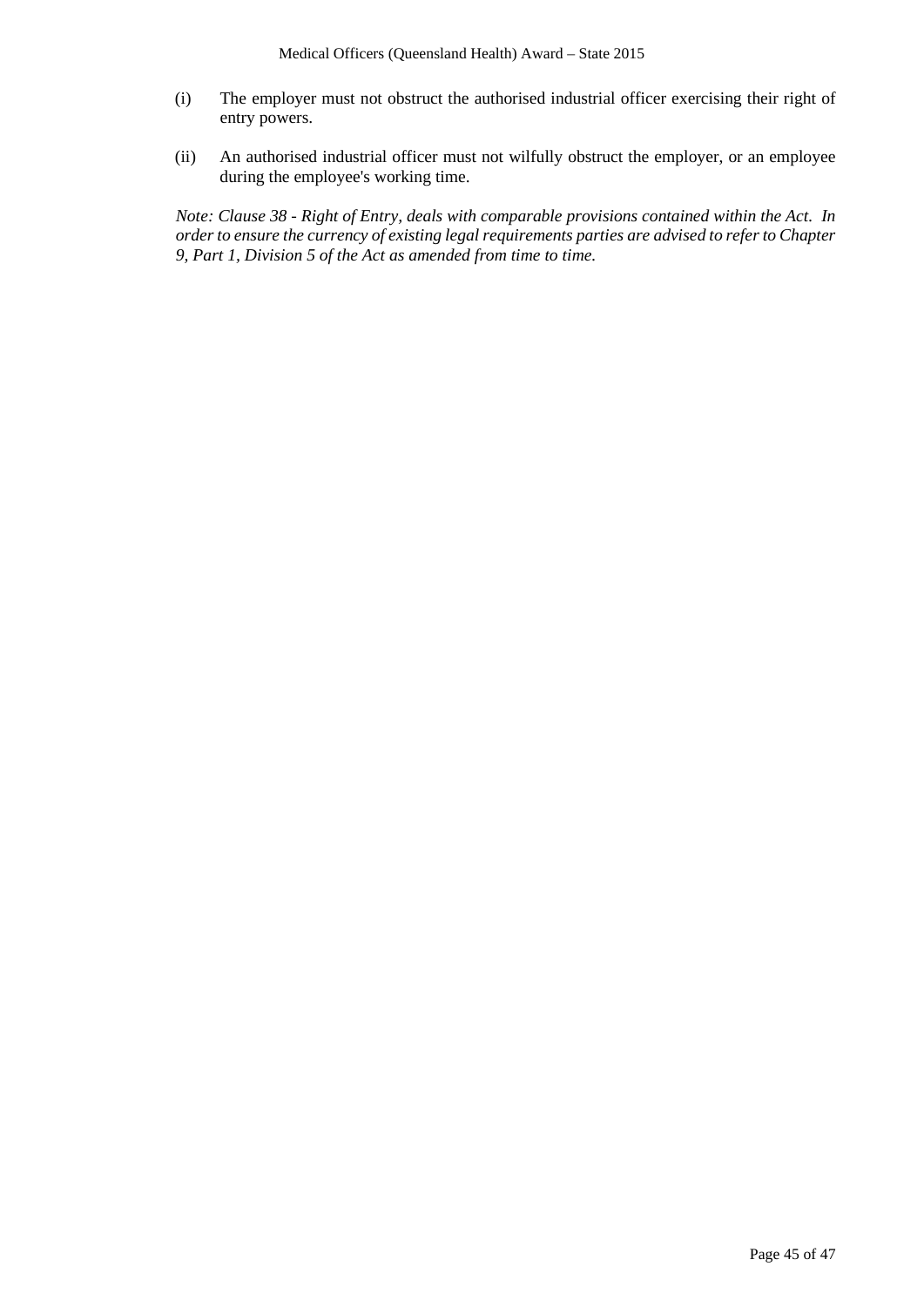- (i) The employer must not obstruct the authorised industrial officer exercising their right of entry powers.
- (ii) An authorised industrial officer must not wilfully obstruct the employer, or an employee during the employee's working time.

*Note: Clause 38 - Right of Entry, deals with comparable provisions contained within the Act. In order to ensure the currency of existing legal requirements parties are advised to refer to Chapter 9, Part 1, Division 5 of the Act as amended from time to time.*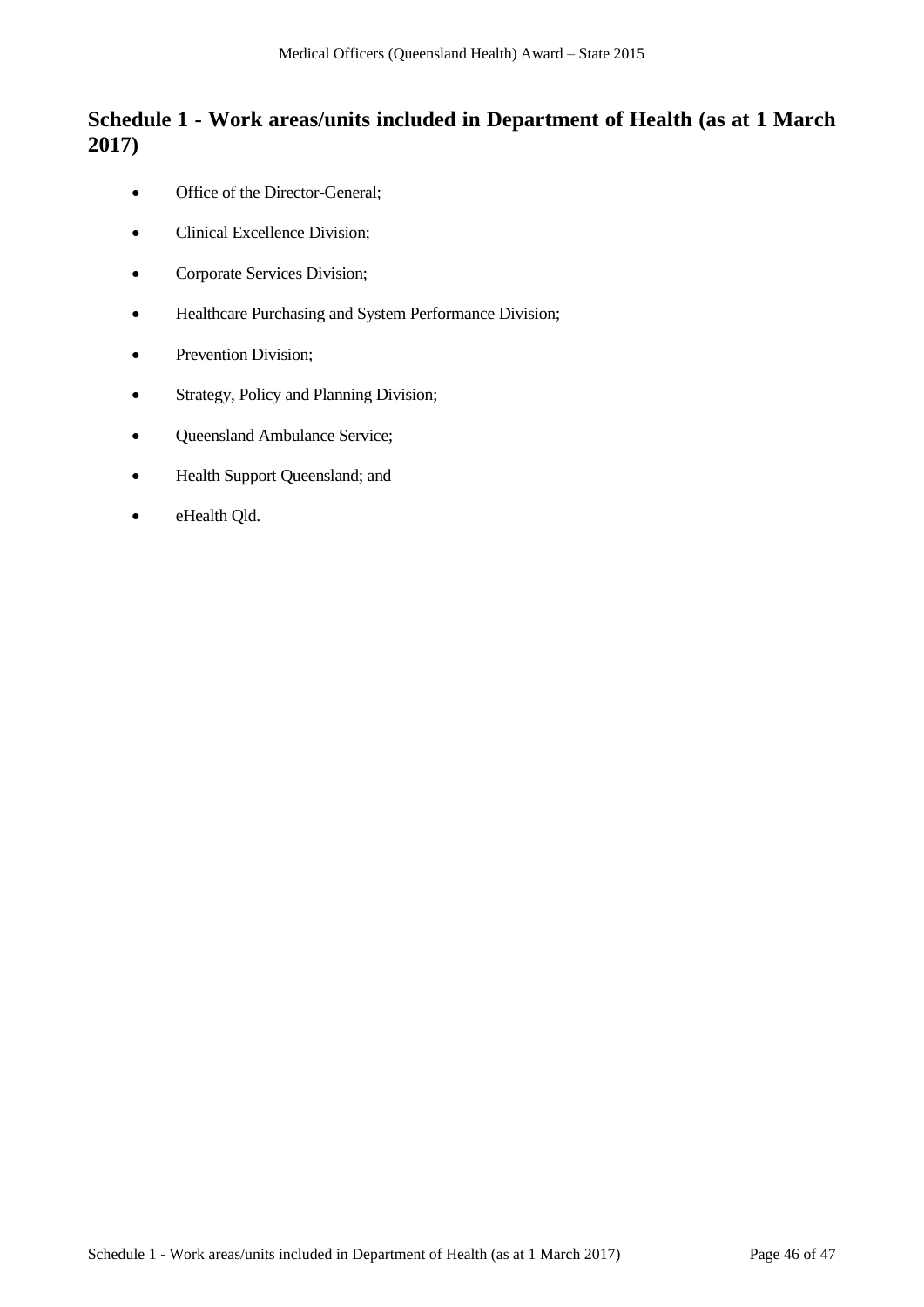# **Schedule 1 - Work areas/units included in Department of Health (as at 1 March 2017)**

- Office of the Director-General;
- Clinical Excellence Division;
- Corporate Services Division;
- Healthcare Purchasing and System Performance Division;
- Prevention Division;
- Strategy, Policy and Planning Division;
- Queensland Ambulance Service;
- Health Support Queensland; and
- eHealth Qld.